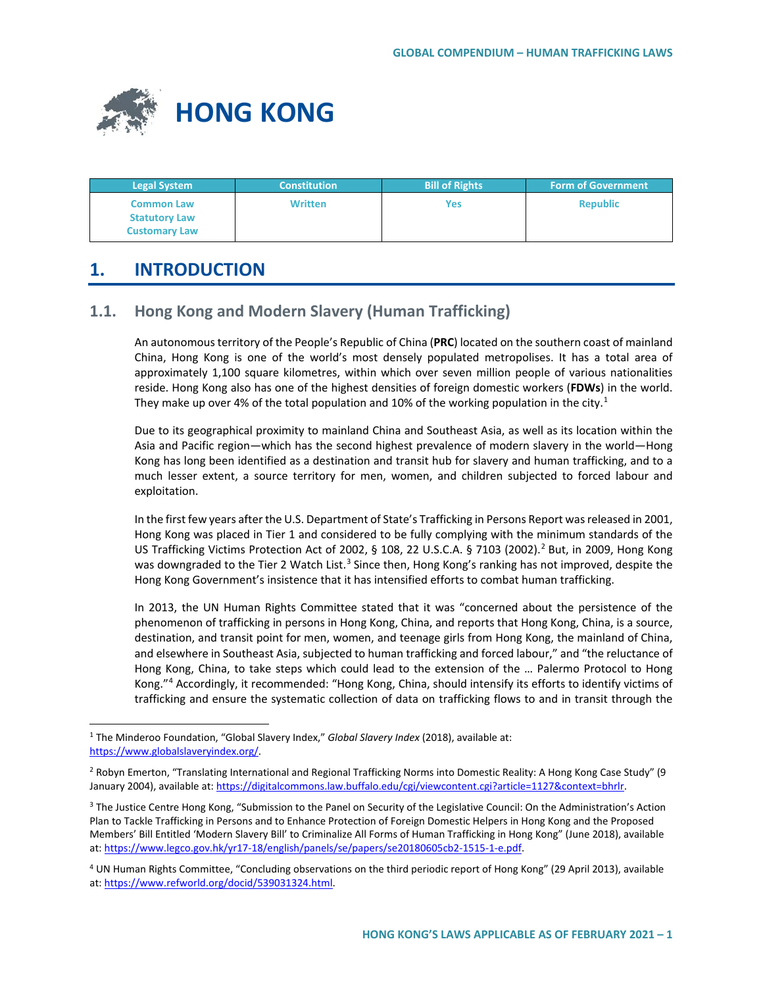

| <b>Legal System</b>  | <b>Constitution</b> | <b>Bill of Rights</b> | <b>Form of Government</b> |
|----------------------|---------------------|-----------------------|---------------------------|
| <b>Common Law</b>    | <b>Written</b>      | Yes                   | <b>Republic</b>           |
| <b>Statutory Law</b> |                     |                       |                           |
| <b>Customary Law</b> |                     |                       |                           |

# **1. INTRODUCTION**

# **1.1. Hong Kong and Modern Slavery (Human Trafficking)**

An autonomous territory of the People's Republic of China (**PRC**) located on the southern coast of mainland China, Hong Kong is one of the world's most densely populated metropolises. It has a total area of approximately 1,100 square kilometres, within which over seven million people of various nationalities reside. Hong Kong also has one of the highest densities of foreign domestic workers (**FDWs**) in the world. They make up over 4% of the total population and [1](#page-0-0)0% of the working population in the city.<sup>1</sup>

Due to its geographical proximity to mainland China and Southeast Asia, as well as its location within the Asia and Pacific region—which has the second highest prevalence of modern slavery in the world—Hong Kong has long been identified as a destination and transit hub for slavery and human trafficking, and to a much lesser extent, a source territory for men, women, and children subjected to forced labour and exploitation.

In the first few years after the U.S. Department of State's Trafficking in Persons Report was released in 2001, Hong Kong was placed in Tier 1 and considered to be fully complying with the minimum standards of the US Trafficking Victims Protection Act of [2](#page-0-1)002, § 108, 22 U.S.C.A. § 7103 (2002).<sup>2</sup> But, in 2009, Hong Kong was downgraded to the Tier 2 Watch List.<sup>[3](#page-0-2)</sup> Since then, Hong Kong's ranking has not improved, despite the Hong Kong Government's insistence that it has intensified efforts to combat human trafficking.

In 2013, the UN Human Rights Committee stated that it was "concerned about the persistence of the phenomenon of trafficking in persons in Hong Kong, China, and reports that Hong Kong, China, is a source, destination, and transit point for men, women, and teenage girls from Hong Kong, the mainland of China, and elsewhere in Southeast Asia, subjected to human trafficking and forced labour," and "the reluctance of Hong Kong, China, to take steps which could lead to the extension of the … Palermo Protocol to Hong Kong."[4](#page-0-3) Accordingly, it recommended: "Hong Kong, China, should intensify its efforts to identify victims of trafficking and ensure the systematic collection of data on trafficking flows to and in transit through the

<span id="page-0-0"></span> <sup>1</sup> The Minderoo Foundation, "Global Slavery Index," *Global Slavery Index* (2018), available at: [https://www.globalslaveryindex.org/.](https://www.globalslaveryindex.org/)

<span id="page-0-1"></span><sup>&</sup>lt;sup>2</sup> Robyn Emerton, "Translating International and Regional Trafficking Norms into Domestic Reality: A Hong Kong Case Study" (9 January 2004), available at[: https://digitalcommons.law.buffalo.edu/cgi/viewcontent.cgi?article=1127&context=bhrlr.](https://digitalcommons.law.buffalo.edu/cgi/viewcontent.cgi?article=1127&context=bhrlr)

<span id="page-0-2"></span><sup>&</sup>lt;sup>3</sup> The Justice Centre Hong Kong, "Submission to the Panel on Security of the Legislative Council: On the Administration's Action Plan to Tackle Trafficking in Persons and to Enhance Protection of Foreign Domestic Helpers in Hong Kong and the Proposed Members' Bill Entitled 'Modern Slavery Bill' to Criminalize All Forms of Human Trafficking in Hong Kong" (June 2018), available at: [https://www.legco.gov.hk/yr17-18/english/panels/se/papers/se20180605cb2-1515-1-e.pdf.](https://www.legco.gov.hk/yr17-18/english/panels/se/papers/se20180605cb2-1515-1-e.pdf)

<span id="page-0-3"></span><sup>4</sup> UN Human Rights Committee, "Concluding observations on the third periodic report of Hong Kong" (29 April 2013), available at: [https://www.refworld.org/docid/539031324.html.](https://www.refworld.org/docid/539031324.html)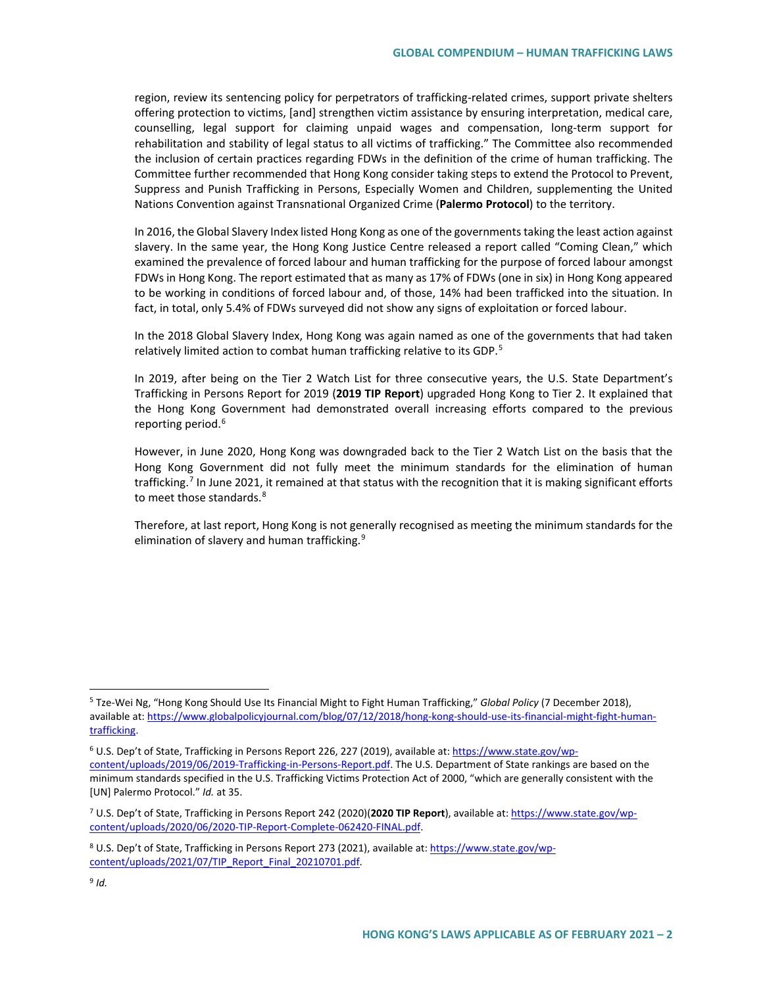region, review its sentencing policy for perpetrators of trafficking-related crimes, support private shelters offering protection to victims, [and] strengthen victim assistance by ensuring interpretation, medical care, counselling, legal support for claiming unpaid wages and compensation, long-term support for rehabilitation and stability of legal status to all victims of trafficking." The Committee also recommended the inclusion of certain practices regarding FDWs in the definition of the crime of human trafficking. The Committee further recommended that Hong Kong consider taking steps to extend the Protocol to Prevent, Suppress and Punish Trafficking in Persons, Especially Women and Children, supplementing the United Nations Convention against Transnational Organized Crime (**Palermo Protocol**) to the territory.

In 2016, the Global Slavery Index listed Hong Kong as one of the governments taking the least action against slavery. In the same year, the Hong Kong Justice Centre released a report called "Coming Clean," which examined the prevalence of forced labour and human trafficking for the purpose of forced labour amongst FDWs in Hong Kong. The report estimated that as many as 17% of FDWs (one in six) in Hong Kong appeared to be working in conditions of forced labour and, of those, 14% had been trafficked into the situation. In fact, in total, only 5.4% of FDWs surveyed did not show any signs of exploitation or forced labour.

In the 2018 Global Slavery Index, Hong Kong was again named as one of the governments that had taken relatively limited action to combat human trafficking relative to its GDP.<sup>[5](#page-1-0)</sup>

In 2019, after being on the Tier 2 Watch List for three consecutive years, the U.S. State Department's Trafficking in Persons Report for 2019 (**2019 TIP Report**) upgraded Hong Kong to Tier 2. It explained that the Hong Kong Government had demonstrated overall increasing efforts compared to the previous reporting period.<sup>[6](#page-1-1)</sup>

However, in June 2020, Hong Kong was downgraded back to the Tier 2 Watch List on the basis that the Hong Kong Government did not fully meet the minimum standards for the elimination of human trafficking.<sup>[7](#page-1-2)</sup> In June 2021, it remained at that status with the recognition that it is making significant efforts to meet those standards.<sup>8</sup>

Therefore, at last report, Hong Kong is not generally recognised as meeting the minimum standards for the elimination of slavery and human trafficking.<sup>[9](#page-1-4)</sup>

<span id="page-1-0"></span> <sup>5</sup> Tze-Wei Ng, "Hong Kong Should Use Its Financial Might to Fight Human Trafficking," *Global Policy* (7 December 2018), available at[: https://www.globalpolicyjournal.com/blog/07/12/2018/hong-kong-should-use-its-financial-might-fight-human](https://www.globalpolicyjournal.com/blog/07/12/2018/hong-kong-should-use-its-financial-might-fight-human-trafficking)[trafficking.](https://www.globalpolicyjournal.com/blog/07/12/2018/hong-kong-should-use-its-financial-might-fight-human-trafficking)

<span id="page-1-1"></span><sup>6</sup> U.S. Dep't of State, Trafficking in Persons Report 226, 227 (2019), available at[: https://www.state.gov/wp](https://www.state.gov/wp-content/uploads/2019/06/2019-Trafficking-in-Persons-Report.pdf)[content/uploads/2019/06/2019-Trafficking-in-Persons-Report.pdf.](https://www.state.gov/wp-content/uploads/2019/06/2019-Trafficking-in-Persons-Report.pdf) The U.S. Department of State rankings are based on the minimum standards specified in the U.S. Trafficking Victims Protection Act of 2000, "which are generally consistent with the [UN] Palermo Protocol." *Id.* at 35.

<span id="page-1-2"></span><sup>7</sup> U.S. Dep't of State, Trafficking in Persons Report 242 (2020)(**2020 TIP Report**), available at[: https://www.state.gov/wp](https://www.state.gov/wp-content/uploads/2020/06/2020-TIP-Report-Complete-062420-FINAL.pdf)[content/uploads/2020/06/2020-TIP-Report-Complete-062420-FINAL.pdf.](https://www.state.gov/wp-content/uploads/2020/06/2020-TIP-Report-Complete-062420-FINAL.pdf)

<span id="page-1-3"></span><sup>8</sup> U.S. Dep't of State, Trafficking in Persons Report 273 (2021), available at[: https://www.state.gov/wp](https://www.state.gov/wp-content/uploads/2021/07/TIP_Report_Final_20210701.pdf)[content/uploads/2021/07/TIP\\_Report\\_Final\\_20210701.pdf.](https://www.state.gov/wp-content/uploads/2021/07/TIP_Report_Final_20210701.pdf)

<span id="page-1-4"></span> $9$  *Id.*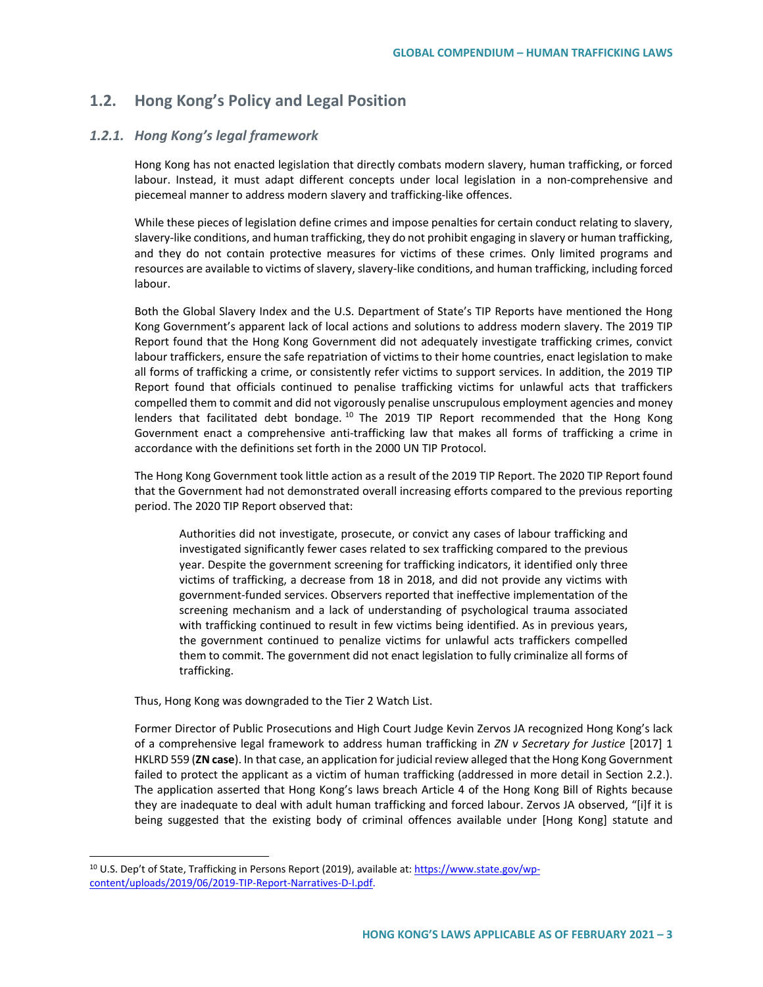# **1.2. Hong Kong's Policy and Legal Position**

## *1.2.1. Hong Kong's legal framework*

Hong Kong has not enacted legislation that directly combats modern slavery, human trafficking, or forced labour. Instead, it must adapt different concepts under local legislation in a non-comprehensive and piecemeal manner to address modern slavery and trafficking-like offences.

While these pieces of legislation define crimes and impose penalties for certain conduct relating to slavery, slavery-like conditions, and human trafficking, they do not prohibit engaging in slavery or human trafficking, and they do not contain protective measures for victims of these crimes. Only limited programs and resources are available to victims of slavery, slavery-like conditions, and human trafficking, including forced labour.

Both the Global Slavery Index and the U.S. Department of State's TIP Reports have mentioned the Hong Kong Government's apparent lack of local actions and solutions to address modern slavery. The 2019 TIP Report found that the Hong Kong Government did not adequately investigate trafficking crimes, convict labour traffickers, ensure the safe repatriation of victims to their home countries, enact legislation to make all forms of trafficking a crime, or consistently refer victims to support services. In addition, the 2019 TIP Report found that officials continued to penalise trafficking victims for unlawful acts that traffickers compelled them to commit and did not vigorously penalise unscrupulous employment agencies and money lenders that facilitated debt bondage.<sup>[10](#page-2-0)</sup> The 2019 TIP Report recommended that the Hong Kong Government enact a comprehensive anti-trafficking law that makes all forms of trafficking a crime in accordance with the definitions set forth in the 2000 UN TIP Protocol.

The Hong Kong Government took little action as a result of the 2019 TIP Report. The 2020 TIP Report found that the Government had not demonstrated overall increasing efforts compared to the previous reporting period. The 2020 TIP Report observed that:

Authorities did not investigate, prosecute, or convict any cases of labour trafficking and investigated significantly fewer cases related to sex trafficking compared to the previous year. Despite the government screening for trafficking indicators, it identified only three victims of trafficking, a decrease from 18 in 2018, and did not provide any victims with government-funded services. Observers reported that ineffective implementation of the screening mechanism and a lack of understanding of psychological trauma associated with trafficking continued to result in few victims being identified. As in previous years, the government continued to penalize victims for unlawful acts traffickers compelled them to commit. The government did not enact legislation to fully criminalize all forms of trafficking.

Thus, Hong Kong was downgraded to the Tier 2 Watch List.

Former Director of Public Prosecutions and High Court Judge Kevin Zervos JA recognized Hong Kong's lack of a comprehensive legal framework to address human trafficking in *ZN v Secretary for Justice* [2017] 1 HKLRD 559 (**ZN case**). In that case, an application for judicial review alleged that the Hong Kong Government failed to protect the applicant as a victim of human trafficking (addressed in more detail in Section 2.2.). The application asserted that Hong Kong's laws breach Article 4 of the Hong Kong Bill of Rights because they are inadequate to deal with adult human trafficking and forced labour. Zervos JA observed, "[i]f it is being suggested that the existing body of criminal offences available under [Hong Kong] statute and

<span id="page-2-0"></span><sup>&</sup>lt;sup>10</sup> U.S. Dep't of State, Trafficking in Persons Report (2019), available at[: https://www.state.gov/wp](https://www.state.gov/wp-content/uploads/2019/06/2019-TIP-Report-Narratives-D-I.pdf)[content/uploads/2019/06/2019-TIP-Report-Narratives-D-I.pdf.](https://www.state.gov/wp-content/uploads/2019/06/2019-TIP-Report-Narratives-D-I.pdf)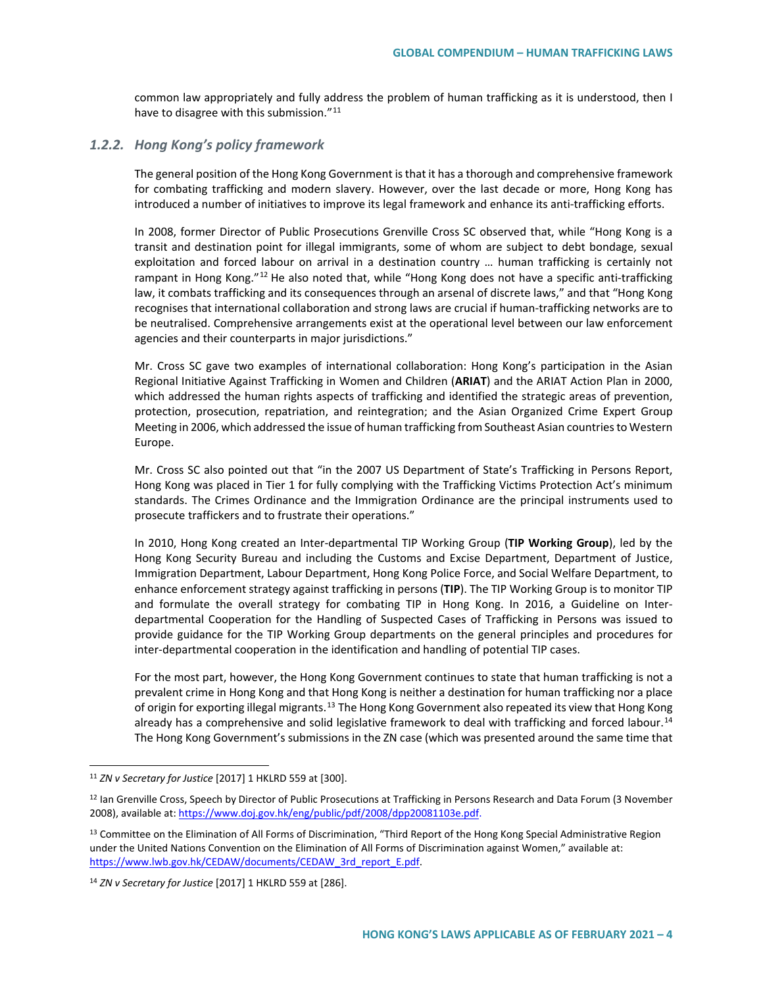common law appropriately and fully address the problem of human trafficking as it is understood, then I have to disagree with this submission."<sup>[11](#page-3-0)</sup>

#### *1.2.2. Hong Kong's policy framework*

The general position of the Hong Kong Government is that it has a thorough and comprehensive framework for combating trafficking and modern slavery. However, over the last decade or more, Hong Kong has introduced a number of initiatives to improve its legal framework and enhance its anti-trafficking efforts.

In 2008, former Director of Public Prosecutions Grenville Cross SC observed that, while "Hong Kong is a transit and destination point for illegal immigrants, some of whom are subject to debt bondage, sexual exploitation and forced labour on arrival in a destination country … human trafficking is certainly not rampant in Hong Kong."<sup>[12](#page-3-1)</sup> He also noted that, while "Hong Kong does not have a specific anti-trafficking law, it combats trafficking and its consequences through an arsenal of discrete laws," and that "Hong Kong recognises that international collaboration and strong laws are crucial if human-trafficking networks are to be neutralised. Comprehensive arrangements exist at the operational level between our law enforcement agencies and their counterparts in major jurisdictions."

Mr. Cross SC gave two examples of international collaboration: Hong Kong's participation in the Asian Regional Initiative Against Trafficking in Women and Children (**ARIAT**) and the ARIAT Action Plan in 2000, which addressed the human rights aspects of trafficking and identified the strategic areas of prevention, protection, prosecution, repatriation, and reintegration; and the Asian Organized Crime Expert Group Meeting in 2006, which addressed the issue of human trafficking from Southeast Asian countries to Western Europe.

Mr. Cross SC also pointed out that "in the 2007 US Department of State's Trafficking in Persons Report, Hong Kong was placed in Tier 1 for fully complying with the Trafficking Victims Protection Act's minimum standards. The Crimes Ordinance and the Immigration Ordinance are the principal instruments used to prosecute traffickers and to frustrate their operations."

In 2010, Hong Kong created an Inter-departmental TIP Working Group (**TIP Working Group**), led by the Hong Kong Security Bureau and including the Customs and Excise Department, Department of Justice, Immigration Department, Labour Department, Hong Kong Police Force, and Social Welfare Department, to enhance enforcement strategy against trafficking in persons (**TIP**). The TIP Working Group is to monitor TIP and formulate the overall strategy for combating TIP in Hong Kong. In 2016, a Guideline on Interdepartmental Cooperation for the Handling of Suspected Cases of Trafficking in Persons was issued to provide guidance for the TIP Working Group departments on the general principles and procedures for inter-departmental cooperation in the identification and handling of potential TIP cases.

For the most part, however, the Hong Kong Government continues to state that human trafficking is not a prevalent crime in Hong Kong and that Hong Kong is neither a destination for human trafficking nor a place of origin for exporting illegal migrants.<sup>[13](#page-3-2)</sup> The Hong Kong Government also repeated its view that Hong Kong already has a comprehensive and solid legislative framework to deal with trafficking and forced labour.<sup>[14](#page-3-3)</sup> The Hong Kong Government's submissions in the ZN case (which was presented around the same time that

<span id="page-3-0"></span> <sup>11</sup> *ZN v Secretary for Justice* [2017] 1 HKLRD 559 at [300].

<span id="page-3-1"></span><sup>&</sup>lt;sup>12</sup> Ian Grenville Cross, Speech by Director of Public Prosecutions at Trafficking in Persons Research and Data Forum (3 November 2008), available at[: https://www.doj.gov.hk/eng/public/pdf/2008/dpp20081103e.pdf.](https://www.doj.gov.hk/eng/public/pdf/2008/dpp20081103e.pdf)

<span id="page-3-2"></span><sup>&</sup>lt;sup>13</sup> Committee on the Elimination of All Forms of Discrimination, "Third Report of the Hong Kong Special Administrative Region under the United Nations Convention on the Elimination of All Forms of Discrimination against Women," available at: [https://www.lwb.gov.hk/CEDAW/documents/CEDAW\\_3rd\\_report\\_E.pdf.](https://www.lwb.gov.hk/CEDAW/documents/CEDAW_3rd_report_E.pdf)

<span id="page-3-3"></span><sup>14</sup> *ZN v Secretary for Justice* [2017] 1 HKLRD 559 at [286].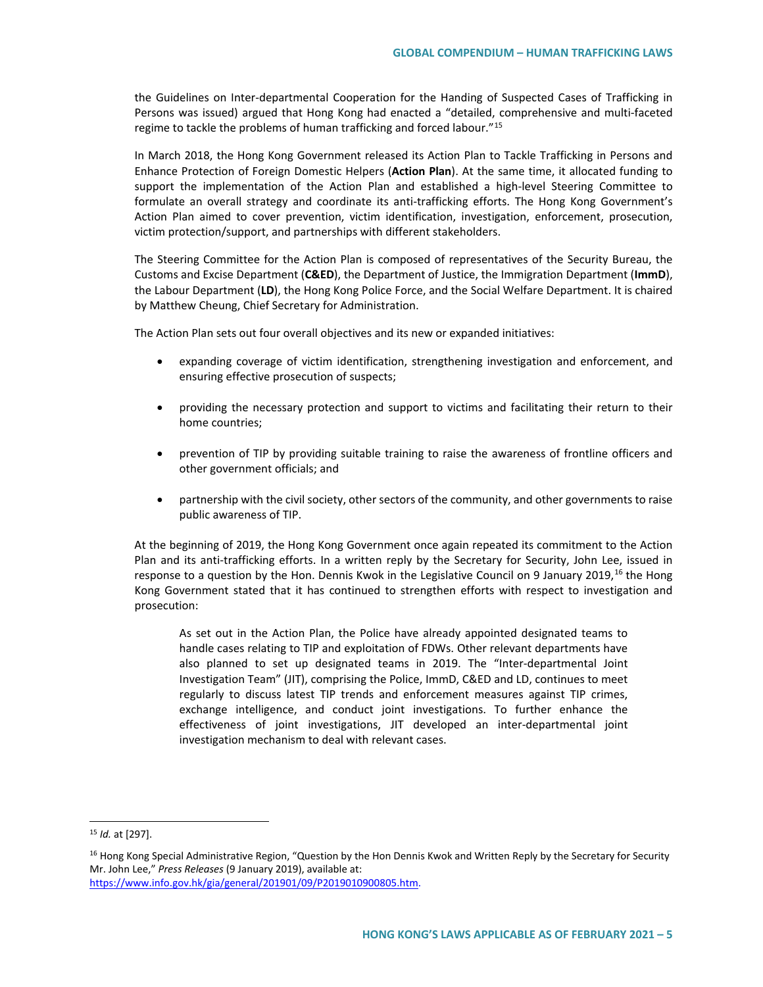the Guidelines on Inter-departmental Cooperation for the Handing of Suspected Cases of Trafficking in Persons was issued) argued that Hong Kong had enacted a "detailed, comprehensive and multi-faceted regime to tackle the problems of human trafficking and forced labour."[15](#page-4-0)

In March 2018, the Hong Kong Government released its Action Plan to Tackle Trafficking in Persons and Enhance Protection of Foreign Domestic Helpers (**Action Plan**). At the same time, it allocated funding to support the implementation of the Action Plan and established a high-level Steering Committee to formulate an overall strategy and coordinate its anti-trafficking efforts. The Hong Kong Government's Action Plan aimed to cover prevention, victim identification, investigation, enforcement, prosecution, victim protection/support, and partnerships with different stakeholders.

The Steering Committee for the Action Plan is composed of representatives of the Security Bureau, the Customs and Excise Department (**C&ED**), the Department of Justice, the Immigration Department (**ImmD**), the Labour Department (**LD**), the Hong Kong Police Force, and the Social Welfare Department. It is chaired by Matthew Cheung, Chief Secretary for Administration.

The Action Plan sets out four overall objectives and its new or expanded initiatives:

- expanding coverage of victim identification, strengthening investigation and enforcement, and ensuring effective prosecution of suspects;
- providing the necessary protection and support to victims and facilitating their return to their home countries;
- prevention of TIP by providing suitable training to raise the awareness of frontline officers and other government officials; and
- partnership with the civil society, other sectors of the community, and other governments to raise public awareness of TIP.

At the beginning of 2019, the Hong Kong Government once again repeated its commitment to the Action Plan and its anti-trafficking efforts. In a written reply by the Secretary for Security, John Lee, issued in response to a question by the Hon. Dennis Kwok in the Legislative Council on 9 January 2019,<sup>[16](#page-4-1)</sup> the Hong Kong Government stated that it has continued to strengthen efforts with respect to investigation and prosecution:

As set out in the Action Plan, the Police have already appointed designated teams to handle cases relating to TIP and exploitation of FDWs. Other relevant departments have also planned to set up designated teams in 2019. The "Inter-departmental Joint Investigation Team" (JIT), comprising the Police, ImmD, C&ED and LD, continues to meet regularly to discuss latest TIP trends and enforcement measures against TIP crimes, exchange intelligence, and conduct joint investigations. To further enhance the effectiveness of joint investigations, JIT developed an inter-departmental joint investigation mechanism to deal with relevant cases.

<span id="page-4-0"></span> <sup>15</sup> *Id.* at [297].

<span id="page-4-1"></span><sup>&</sup>lt;sup>16</sup> Hong Kong Special Administrative Region, "Question by the Hon Dennis Kwok and Written Reply by the Secretary for Security Mr. John Lee," *Press Releases* (9 January 2019), available at:

[https://www.info.gov.hk/gia/general/201901/09/P2019010900805.htm.](https://www.info.gov.hk/gia/general/201901/09/P2019010900805.htm)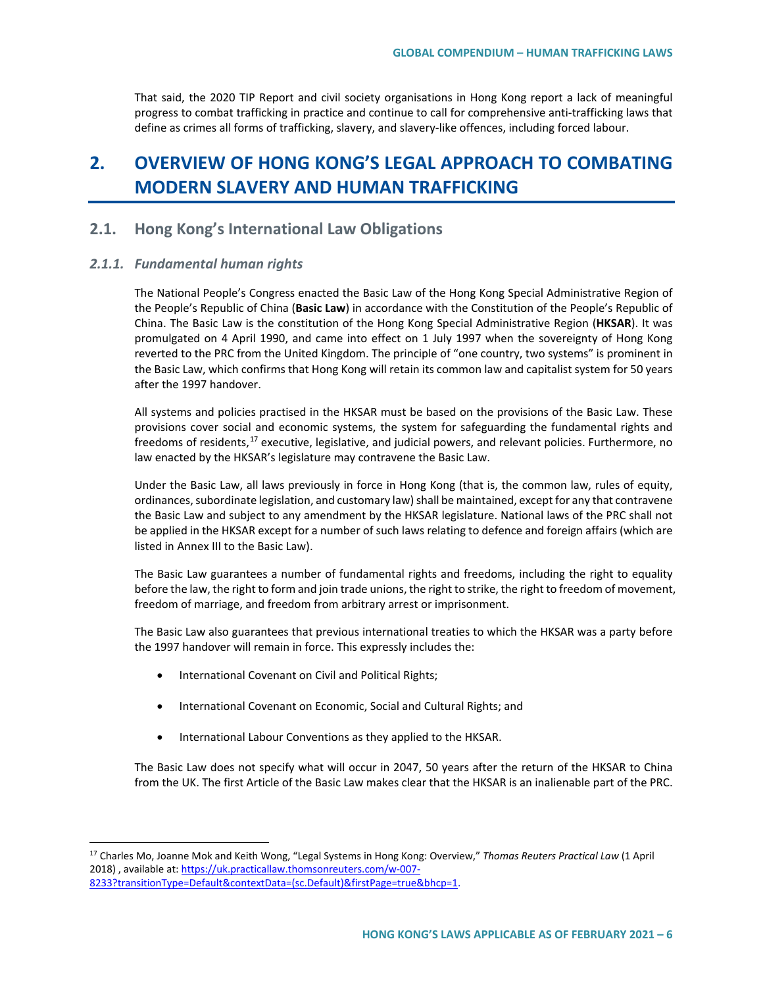That said, the 2020 TIP Report and civil society organisations in Hong Kong report a lack of meaningful progress to combat trafficking in practice and continue to call for comprehensive anti-trafficking laws that define as crimes all forms of trafficking, slavery, and slavery-like offences, including forced labour.

# **2. OVERVIEW OF HONG KONG'S LEGAL APPROACH TO COMBATING MODERN SLAVERY AND HUMAN TRAFFICKING**

# **2.1. Hong Kong's International Law Obligations**

#### *2.1.1. Fundamental human rights*

The National People's Congress enacted the Basic Law of the Hong Kong Special Administrative Region of the People's Republic of China (**Basic Law**) in accordance with the Constitution of the People's Republic of China. The Basic Law is the constitution of the Hong Kong Special Administrative Region (**HKSAR**). It was promulgated on 4 April 1990, and came into effect on 1 July 1997 when the sovereignty of Hong Kong reverted to the PRC from the United Kingdom. The principle of "one country, two systems" is prominent in the Basic Law, which confirms that Hong Kong will retain its common law and capitalist system for 50 years after the 1997 handover.

All systems and policies practised in the HKSAR must be based on the provisions of the Basic Law. These provisions cover social and economic systems, the system for safeguarding the fundamental rights and freedoms of residents,<sup>[17](#page-5-0)</sup> executive, legislative, and judicial powers, and relevant policies. Furthermore, no law enacted by the HKSAR's legislature may contravene the Basic Law.

Under the Basic Law, all laws previously in force in Hong Kong (that is, the common law, rules of equity, ordinances, subordinate legislation, and customary law) shall be maintained, except for any that contravene the Basic Law and subject to any amendment by the HKSAR legislature. National laws of the PRC shall not be applied in the HKSAR except for a number of such laws relating to defence and foreign affairs (which are listed in Annex III to the Basic Law).

The Basic Law guarantees a number of fundamental rights and freedoms, including the right to equality before the law, the right to form and join trade unions, the right to strike, the right to freedom of movement, freedom of marriage, and freedom from arbitrary arrest or imprisonment.

The Basic Law also guarantees that previous international treaties to which the HKSAR was a party before the 1997 handover will remain in force. This expressly includes the:

- International Covenant on Civil and Political Rights;
- International Covenant on Economic, Social and Cultural Rights; and
- International Labour Conventions as they applied to the HKSAR.

The Basic Law does not specify what will occur in 2047, 50 years after the return of the HKSAR to China from the UK. The first Article of the Basic Law makes clear that the HKSAR is an inalienable part of the PRC.

<span id="page-5-0"></span> <sup>17</sup> Charles Mo, Joanne Mok and Keith Wong, "Legal Systems in Hong Kong: Overview," *Thomas Reuters Practical Law* (1 April 2018) , available at[: https://uk.practicallaw.thomsonreuters.com/w-007-](https://uk.practicallaw.thomsonreuters.com/w-007-8233?transitionType=Default&contextData=(sc.Default)&firstPage=true&bhcp=1) [8233?transitionType=Default&contextData=\(sc.Default\)&firstPage=true&bhcp=1.](https://uk.practicallaw.thomsonreuters.com/w-007-8233?transitionType=Default&contextData=(sc.Default)&firstPage=true&bhcp=1)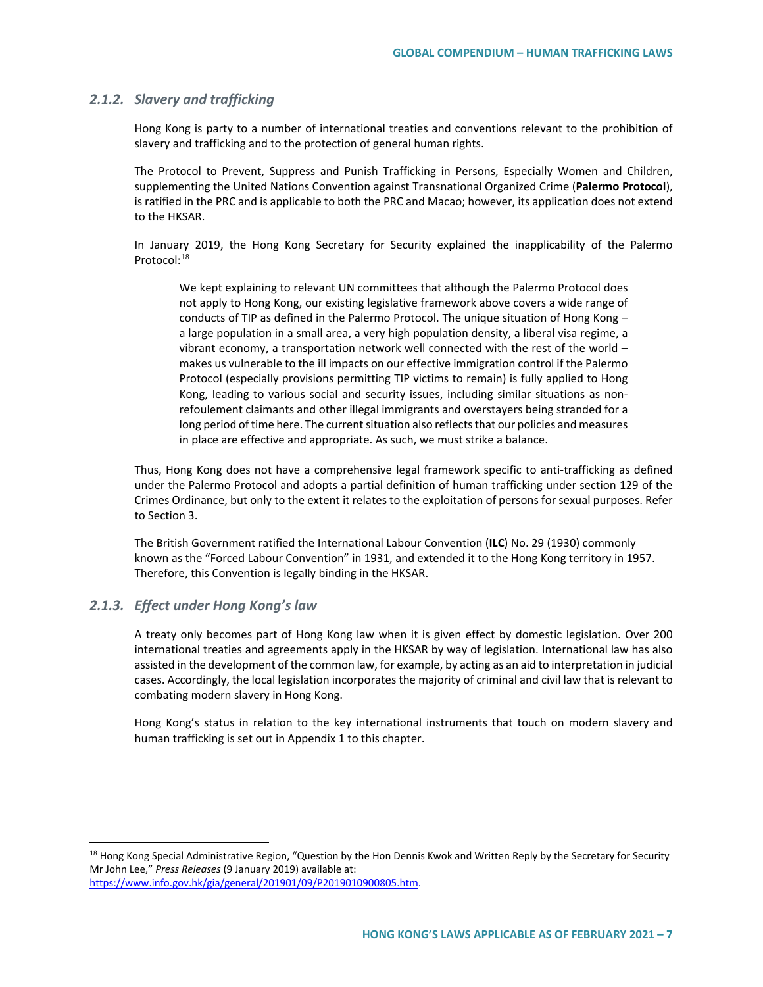#### *2.1.2. Slavery and trafficking*

Hong Kong is party to a number of international treaties and conventions relevant to the prohibition of slavery and trafficking and to the protection of general human rights.

The Protocol to Prevent, Suppress and Punish Trafficking in Persons, Especially Women and Children, supplementing the United Nations Convention against Transnational Organized Crime (**Palermo Protocol**), is ratified in the PRC and is applicable to both the PRC and Macao; however, its application does not extend to the HKSAR.

In January 2019, the Hong Kong Secretary for Security explained the inapplicability of the Palermo Protocol:[18](#page-6-0)

We kept explaining to relevant UN committees that although the Palermo Protocol does not apply to Hong Kong, our existing legislative framework above covers a wide range of conducts of TIP as defined in the Palermo Protocol. The unique situation of Hong Kong a large population in a small area, a very high population density, a liberal visa regime, a vibrant economy, a transportation network well connected with the rest of the world – makes us vulnerable to the ill impacts on our effective immigration control if the Palermo Protocol (especially provisions permitting TIP victims to remain) is fully applied to Hong Kong, leading to various social and security issues, including similar situations as nonrefoulement claimants and other illegal immigrants and overstayers being stranded for a long period of time here. The current situation also reflects that our policies and measures in place are effective and appropriate. As such, we must strike a balance.

Thus, Hong Kong does not have a comprehensive legal framework specific to anti-trafficking as defined under the Palermo Protocol and adopts a partial definition of human trafficking under section 129 of the Crimes Ordinance, but only to the extent it relates to the exploitation of persons for sexual purposes. Refer to Section 3.

The British Government ratified the International Labour Convention (**ILC**) No. 29 (1930) commonly known as the "Forced Labour Convention" in 1931, and extended it to the Hong Kong territory in 1957. Therefore, this Convention is legally binding in the HKSAR.

#### *2.1.3. Effect under Hong Kong's law*

A treaty only becomes part of Hong Kong law when it is given effect by domestic legislation. Over 200 international treaties and agreements apply in the HKSAR by way of legislation. International law has also assisted in the development of the common law, for example, by acting as an aid to interpretation in judicial cases. Accordingly, the local legislation incorporates the majority of criminal and civil law that is relevant to combating modern slavery in Hong Kong.

Hong Kong's status in relation to the key international instruments that touch on modern slavery and human trafficking is set out in Appendix 1 to this chapter.

<span id="page-6-0"></span><sup>18</sup> Hong Kong Special Administrative Region, "Question by the Hon Dennis Kwok and Written Reply by the Secretary for Security Mr John Lee," *Press Releases* (9 January 2019) available at:

[https://www.info.gov.hk/gia/general/201901/09/P2019010900805.htm.](https://www.info.gov.hk/gia/general/201901/09/P2019010900805.htm)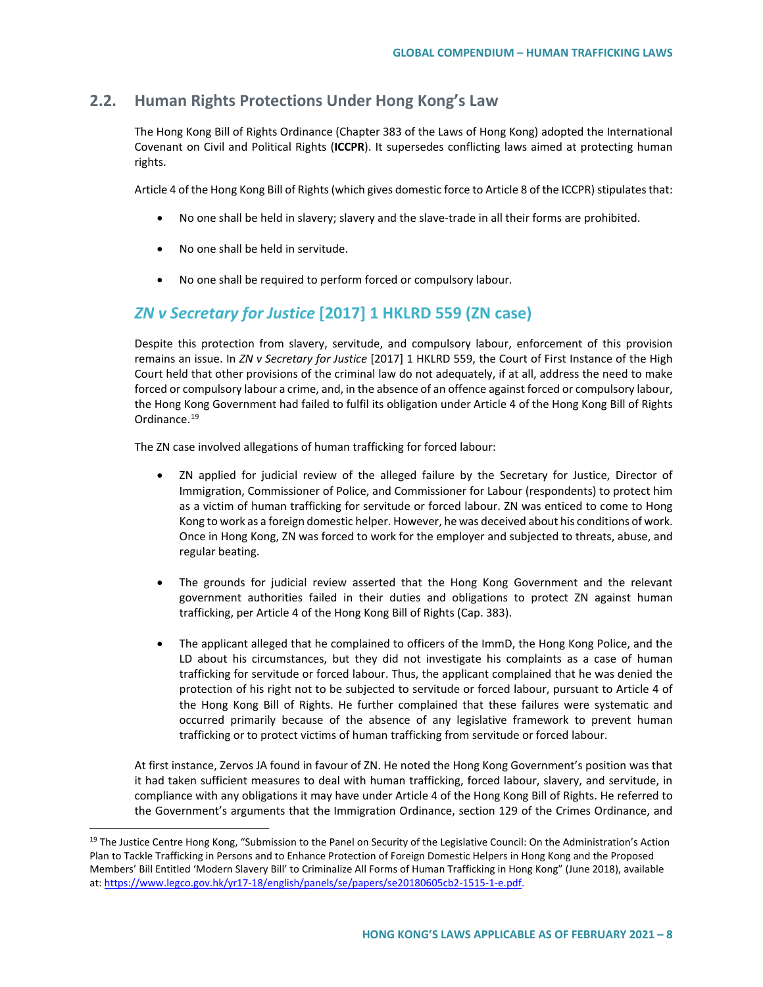# **2.2. Human Rights Protections Under Hong Kong's Law**

The Hong Kong Bill of Rights Ordinance (Chapter 383 of the Laws of Hong Kong) adopted the International Covenant on Civil and Political Rights (**ICCPR**). It supersedes conflicting laws aimed at protecting human rights.

Article 4 of the Hong Kong Bill of Rights (which gives domestic force to Article 8 of the ICCPR) stipulates that:

- No one shall be held in slavery; slavery and the slave-trade in all their forms are prohibited.
- No one shall be held in servitude.
- No one shall be required to perform forced or compulsory labour.

# *ZN v Secretary for Justice* **[2017] 1 HKLRD 559 (ZN case)**

Despite this protection from slavery, servitude, and compulsory labour, enforcement of this provision remains an issue. In *ZN v Secretary for Justice* [2017] 1 HKLRD 559, the Court of First Instance of the High Court held that other provisions of the criminal law do not adequately, if at all, address the need to make forced or compulsory labour a crime, and, in the absence of an offence against forced or compulsory labour, the Hong Kong Government had failed to fulfil its obligation under Article 4 of the Hong Kong Bill of Rights Ordinance.<sup>[19](#page-7-0)</sup>

The ZN case involved allegations of human trafficking for forced labour:

- ZN applied for judicial review of the alleged failure by the Secretary for Justice, Director of Immigration, Commissioner of Police, and Commissioner for Labour (respondents) to protect him as a victim of human trafficking for servitude or forced labour. ZN was enticed to come to Hong Kong to work as a foreign domestic helper. However, he was deceived about his conditions of work. Once in Hong Kong, ZN was forced to work for the employer and subjected to threats, abuse, and regular beating.
- The grounds for judicial review asserted that the Hong Kong Government and the relevant government authorities failed in their duties and obligations to protect ZN against human trafficking, per Article 4 of the Hong Kong Bill of Rights (Cap. 383).
- The applicant alleged that he complained to officers of the ImmD, the Hong Kong Police, and the LD about his circumstances, but they did not investigate his complaints as a case of human trafficking for servitude or forced labour. Thus, the applicant complained that he was denied the protection of his right not to be subjected to servitude or forced labour, pursuant to Article 4 of the Hong Kong Bill of Rights. He further complained that these failures were systematic and occurred primarily because of the absence of any legislative framework to prevent human trafficking or to protect victims of human trafficking from servitude or forced labour.

At first instance, Zervos JA found in favour of ZN. He noted the Hong Kong Government's position was that it had taken sufficient measures to deal with human trafficking, forced labour, slavery, and servitude, in compliance with any obligations it may have under Article 4 of the Hong Kong Bill of Rights. He referred to the Government's arguments that the Immigration Ordinance, section 129 of the Crimes Ordinance, and

<span id="page-7-0"></span> $19$  The Justice Centre Hong Kong, "Submission to the Panel on Security of the Legislative Council: On the Administration's Action Plan to Tackle Trafficking in Persons and to Enhance Protection of Foreign Domestic Helpers in Hong Kong and the Proposed Members' Bill Entitled 'Modern Slavery Bill' to Criminalize All Forms of Human Trafficking in Hong Kong" (June 2018), available at: [https://www.legco.gov.hk/yr17-18/english/panels/se/papers/se20180605cb2-1515-1-e.pdf.](https://www.legco.gov.hk/yr17-18/english/panels/se/papers/se20180605cb2-1515-1-e.pdf)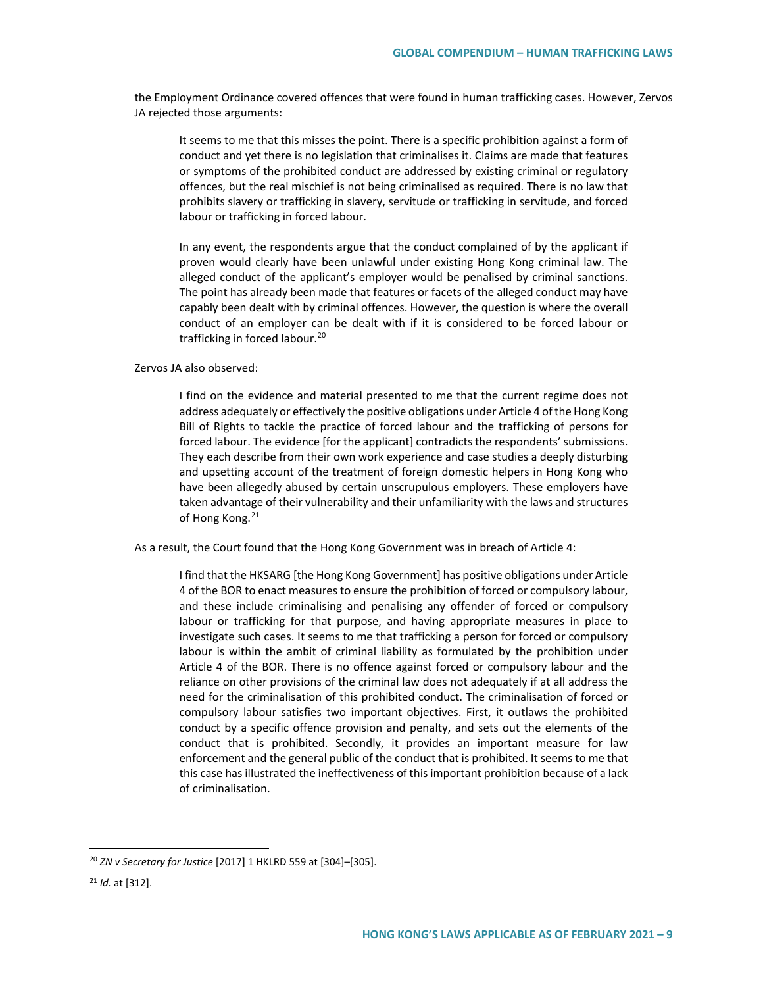the Employment Ordinance covered offences that were found in human trafficking cases. However, Zervos JA rejected those arguments:

It seems to me that this misses the point. There is a specific prohibition against a form of conduct and yet there is no legislation that criminalises it. Claims are made that features or symptoms of the prohibited conduct are addressed by existing criminal or regulatory offences, but the real mischief is not being criminalised as required. There is no law that prohibits slavery or trafficking in slavery, servitude or trafficking in servitude, and forced labour or trafficking in forced labour.

In any event, the respondents argue that the conduct complained of by the applicant if proven would clearly have been unlawful under existing Hong Kong criminal law. The alleged conduct of the applicant's employer would be penalised by criminal sanctions. The point has already been made that features or facets of the alleged conduct may have capably been dealt with by criminal offences. However, the question is where the overall conduct of an employer can be dealt with if it is considered to be forced labour or trafficking in forced labour.[20](#page-8-0)

#### Zervos JA also observed:

I find on the evidence and material presented to me that the current regime does not address adequately or effectively the positive obligations under Article 4 of the Hong Kong Bill of Rights to tackle the practice of forced labour and the trafficking of persons for forced labour. The evidence [for the applicant] contradicts the respondents' submissions. They each describe from their own work experience and case studies a deeply disturbing and upsetting account of the treatment of foreign domestic helpers in Hong Kong who have been allegedly abused by certain unscrupulous employers. These employers have taken advantage of their vulnerability and their unfamiliarity with the laws and structures of Hong Kong.<sup>[21](#page-8-1)</sup>

As a result, the Court found that the Hong Kong Government was in breach of Article 4:

I find that the HKSARG [the Hong Kong Government] has positive obligations under Article 4 of the BOR to enact measures to ensure the prohibition of forced or compulsory labour, and these include criminalising and penalising any offender of forced or compulsory labour or trafficking for that purpose, and having appropriate measures in place to investigate such cases. It seems to me that trafficking a person for forced or compulsory labour is within the ambit of criminal liability as formulated by the prohibition under Article 4 of the BOR. There is no offence against forced or compulsory labour and the reliance on other provisions of the criminal law does not adequately if at all address the need for the criminalisation of this prohibited conduct. The criminalisation of forced or compulsory labour satisfies two important objectives. First, it outlaws the prohibited conduct by a specific offence provision and penalty, and sets out the elements of the conduct that is prohibited. Secondly, it provides an important measure for law enforcement and the general public of the conduct that is prohibited. It seems to me that this case has illustrated the ineffectiveness of this important prohibition because of a lack of criminalisation.

<span id="page-8-0"></span> <sup>20</sup> *ZN v Secretary for Justice* [2017] 1 HKLRD 559 at [304]–[305].

<span id="page-8-1"></span><sup>21</sup> *Id.* at [312].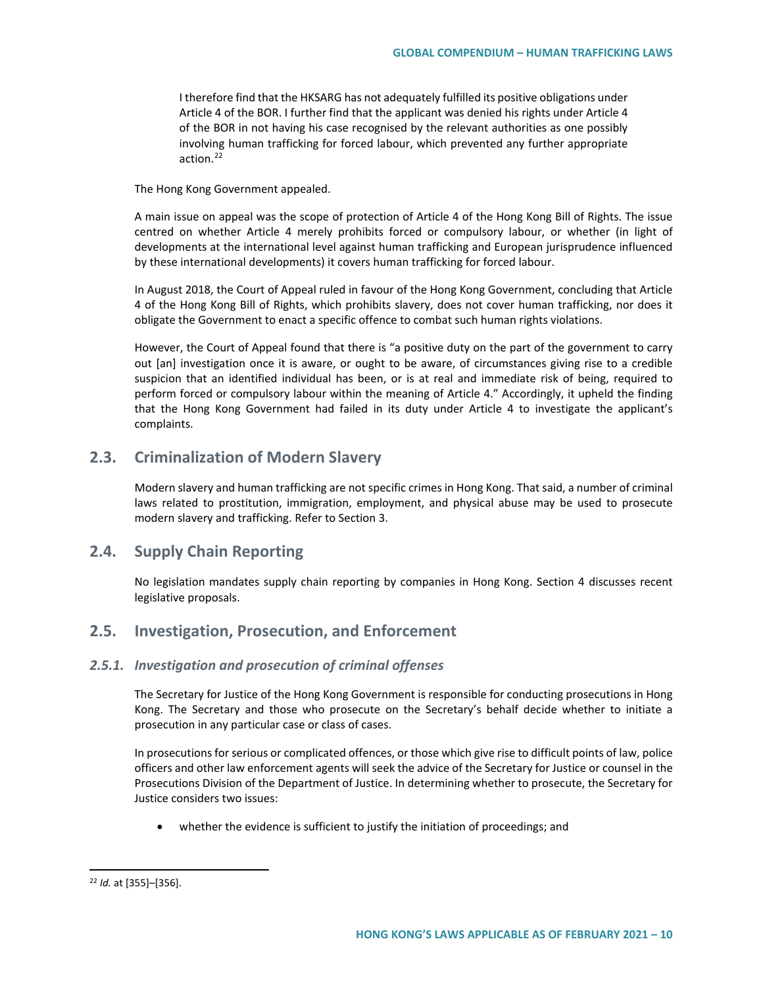I therefore find that the HKSARG has not adequately fulfilled its positive obligations under Article 4 of the BOR. I further find that the applicant was denied his rights under Article 4 of the BOR in not having his case recognised by the relevant authorities as one possibly involving human trafficking for forced labour, which prevented any further appropriate action.<sup>[22](#page-9-0)</sup>

The Hong Kong Government appealed.

A main issue on appeal was the scope of protection of Article 4 of the Hong Kong Bill of Rights. The issue centred on whether Article 4 merely prohibits forced or compulsory labour, or whether (in light of developments at the international level against human trafficking and European jurisprudence influenced by these international developments) it covers human trafficking for forced labour.

In August 2018, the Court of Appeal ruled in favour of the Hong Kong Government, concluding that Article 4 of the Hong Kong Bill of Rights, which prohibits slavery, does not cover human trafficking, nor does it obligate the Government to enact a specific offence to combat such human rights violations.

However, the Court of Appeal found that there is "a positive duty on the part of the government to carry out [an] investigation once it is aware, or ought to be aware, of circumstances giving rise to a credible suspicion that an identified individual has been, or is at real and immediate risk of being, required to perform forced or compulsory labour within the meaning of Article 4." Accordingly, it upheld the finding that the Hong Kong Government had failed in its duty under Article 4 to investigate the applicant's complaints.

# **2.3. Criminalization of Modern Slavery**

Modern slavery and human trafficking are not specific crimes in Hong Kong. That said, a number of criminal laws related to prostitution, immigration, employment, and physical abuse may be used to prosecute modern slavery and trafficking. Refer to Section 3.

## **2.4. Supply Chain Reporting**

No legislation mandates supply chain reporting by companies in Hong Kong. Section 4 discusses recent legislative proposals.

# **2.5. Investigation, Prosecution, and Enforcement**

## *2.5.1. Investigation and prosecution of criminal offenses*

The Secretary for Justice of the Hong Kong Government is responsible for conducting prosecutions in Hong Kong. The Secretary and those who prosecute on the Secretary's behalf decide whether to initiate a prosecution in any particular case or class of cases.

In prosecutions for serious or complicated offences, or those which give rise to difficult points of law, police officers and other law enforcement agents will seek the advice of the Secretary for Justice or counsel in the Prosecutions Division of the Department of Justice. In determining whether to prosecute, the Secretary for Justice considers two issues:

• whether the evidence is sufficient to justify the initiation of proceedings; and

<span id="page-9-0"></span> <sup>22</sup> *Id.* at [355]–[356].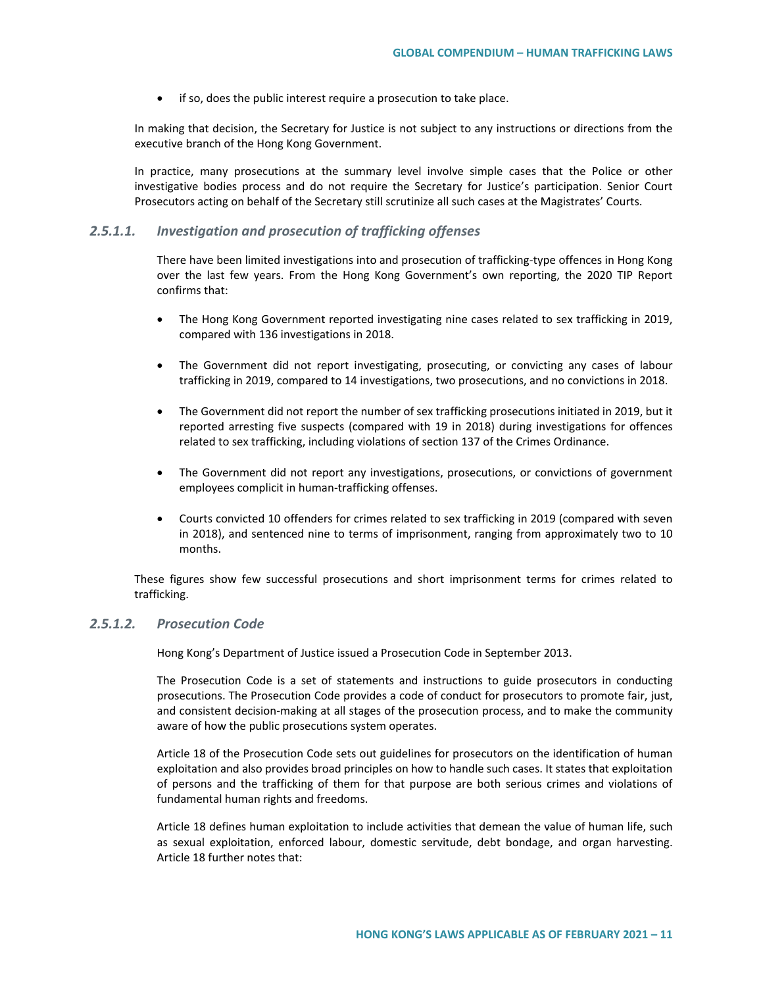• if so, does the public interest require a prosecution to take place.

In making that decision, the Secretary for Justice is not subject to any instructions or directions from the executive branch of the Hong Kong Government.

In practice, many prosecutions at the summary level involve simple cases that the Police or other investigative bodies process and do not require the Secretary for Justice's participation. Senior Court Prosecutors acting on behalf of the Secretary still scrutinize all such cases at the Magistrates' Courts.

#### *2.5.1.1. Investigation and prosecution of trafficking offenses*

There have been limited investigations into and prosecution of trafficking-type offences in Hong Kong over the last few years. From the Hong Kong Government's own reporting, the 2020 TIP Report confirms that:

- The Hong Kong Government reported investigating nine cases related to sex trafficking in 2019, compared with 136 investigations in 2018.
- The Government did not report investigating, prosecuting, or convicting any cases of labour trafficking in 2019, compared to 14 investigations, two prosecutions, and no convictions in 2018.
- The Government did not report the number of sex trafficking prosecutions initiated in 2019, but it reported arresting five suspects (compared with 19 in 2018) during investigations for offences related to sex trafficking, including violations of section 137 of the Crimes Ordinance.
- The Government did not report any investigations, prosecutions, or convictions of government employees complicit in human-trafficking offenses.
- Courts convicted 10 offenders for crimes related to sex trafficking in 2019 (compared with seven in 2018), and sentenced nine to terms of imprisonment, ranging from approximately two to 10 months.

These figures show few successful prosecutions and short imprisonment terms for crimes related to trafficking.

## *2.5.1.2. Prosecution Code*

Hong Kong's Department of Justice issued a Prosecution Code in September 2013.

The Prosecution Code is a set of statements and instructions to guide prosecutors in conducting prosecutions. The Prosecution Code provides a code of conduct for prosecutors to promote fair, just, and consistent decision-making at all stages of the prosecution process, and to make the community aware of how the public prosecutions system operates.

Article 18 of the Prosecution Code sets out guidelines for prosecutors on the identification of human exploitation and also provides broad principles on how to handle such cases. It states that exploitation of persons and the trafficking of them for that purpose are both serious crimes and violations of fundamental human rights and freedoms.

Article 18 defines human exploitation to include activities that demean the value of human life, such as sexual exploitation, enforced labour, domestic servitude, debt bondage, and organ harvesting. Article 18 further notes that: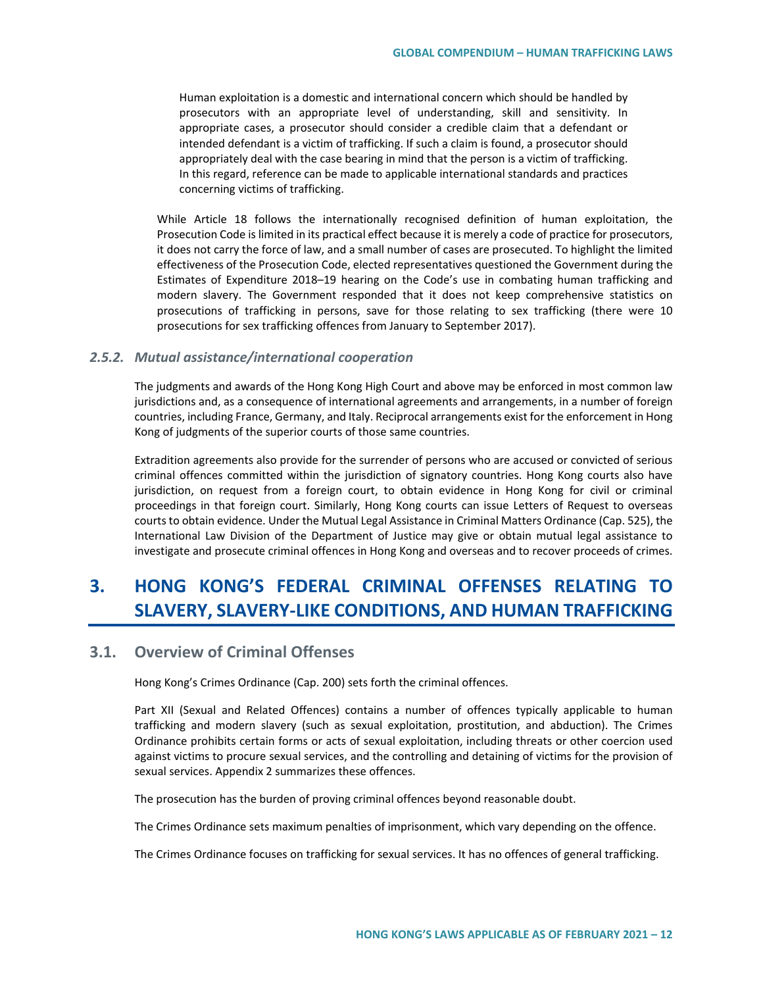Human exploitation is a domestic and international concern which should be handled by prosecutors with an appropriate level of understanding, skill and sensitivity. In appropriate cases, a prosecutor should consider a credible claim that a defendant or intended defendant is a victim of trafficking. If such a claim is found, a prosecutor should appropriately deal with the case bearing in mind that the person is a victim of trafficking. In this regard, reference can be made to applicable international standards and practices concerning victims of trafficking.

While Article 18 follows the internationally recognised definition of human exploitation, the Prosecution Code is limited in its practical effect because it is merely a code of practice for prosecutors, it does not carry the force of law, and a small number of cases are prosecuted. To highlight the limited effectiveness of the Prosecution Code, elected representatives questioned the Government during the Estimates of Expenditure 2018–19 hearing on the Code's use in combating human trafficking and modern slavery. The Government responded that it does not keep comprehensive statistics on prosecutions of trafficking in persons, save for those relating to sex trafficking (there were 10 prosecutions for sex trafficking offences from January to September 2017).

#### *2.5.2. Mutual assistance/international cooperation*

The judgments and awards of the Hong Kong High Court and above may be enforced in most common law jurisdictions and, as a consequence of international agreements and arrangements, in a number of foreign countries, including France, Germany, and Italy. Reciprocal arrangements exist for the enforcement in Hong Kong of judgments of the superior courts of those same countries.

Extradition agreements also provide for the surrender of persons who are accused or convicted of serious criminal offences committed within the jurisdiction of signatory countries. Hong Kong courts also have jurisdiction, on request from a foreign court, to obtain evidence in Hong Kong for civil or criminal proceedings in that foreign court. Similarly, Hong Kong courts can issue Letters of Request to overseas courts to obtain evidence. Under the Mutual Legal Assistance in Criminal Matters Ordinance (Cap. 525), the International Law Division of the Department of Justice may give or obtain mutual legal assistance to investigate and prosecute criminal offences in Hong Kong and overseas and to recover proceeds of crimes.

# **3. HONG KONG'S FEDERAL CRIMINAL OFFENSES RELATING TO SLAVERY, SLAVERY-LIKE CONDITIONS, AND HUMAN TRAFFICKING**

# **3.1. Overview of Criminal Offenses**

Hong Kong's Crimes Ordinance (Cap. 200) sets forth the criminal offences.

Part XII (Sexual and Related Offences) contains a number of offences typically applicable to human trafficking and modern slavery (such as sexual exploitation, prostitution, and abduction). The Crimes Ordinance prohibits certain forms or acts of sexual exploitation, including threats or other coercion used against victims to procure sexual services, and the controlling and detaining of victims for the provision of sexual services. Appendix 2 summarizes these offences.

The prosecution has the burden of proving criminal offences beyond reasonable doubt.

The Crimes Ordinance sets maximum penalties of imprisonment, which vary depending on the offence.

The Crimes Ordinance focuses on trafficking for sexual services. It has no offences of general trafficking.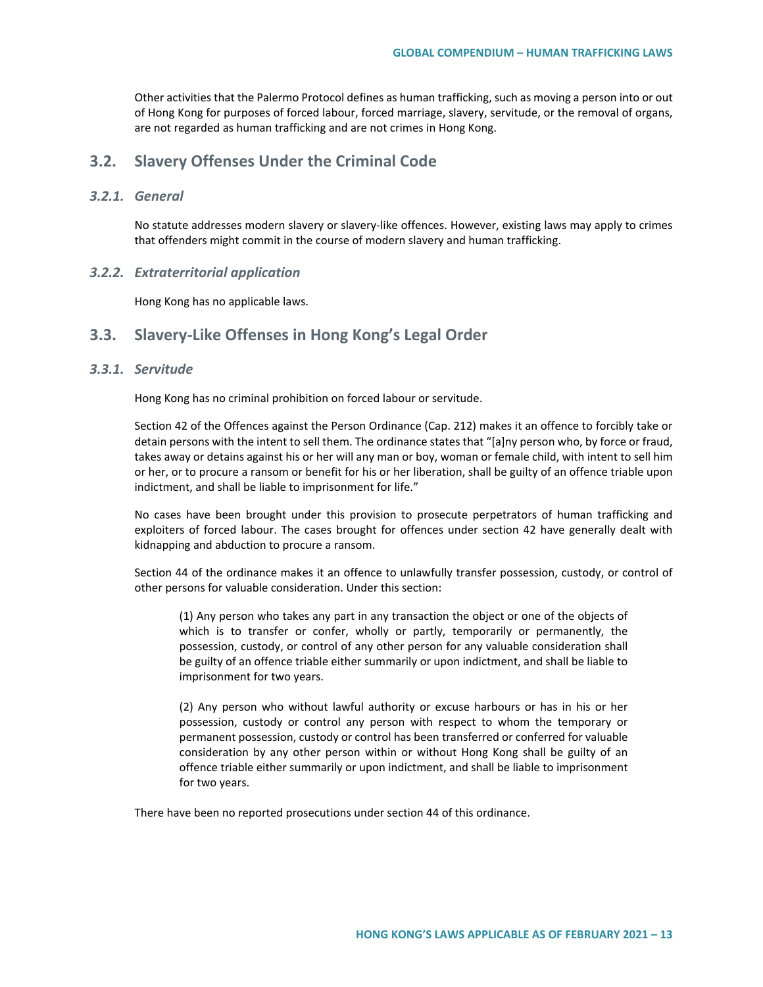Other activities that the Palermo Protocol defines as human trafficking, such as moving a person into or out of Hong Kong for purposes of forced labour, forced marriage, slavery, servitude, or the removal of organs, are not regarded as human trafficking and are not crimes in Hong Kong.

## **3.2. Slavery Offenses Under the Criminal Code**

### *3.2.1. General*

No statute addresses modern slavery or slavery-like offences. However, existing laws may apply to crimes that offenders might commit in the course of modern slavery and human trafficking.

#### *3.2.2. Extraterritorial application*

Hong Kong has no applicable laws.

## **3.3. Slavery-Like Offenses in Hong Kong's Legal Order**

## *3.3.1. Servitude*

Hong Kong has no criminal prohibition on forced labour or servitude.

Section 42 of the Offences against the Person Ordinance (Cap. 212) makes it an offence to forcibly take or detain persons with the intent to sell them. The ordinance states that "[a]ny person who, by force or fraud, takes away or detains against his or her will any man or boy, woman or female child, with intent to sell him or her, or to procure a ransom or benefit for his or her liberation, shall be guilty of an offence triable upon indictment, and shall be liable to imprisonment for life."

No cases have been brought under this provision to prosecute perpetrators of human trafficking and exploiters of forced labour. The cases brought for offences under section 42 have generally dealt with kidnapping and abduction to procure a ransom.

Section 44 of the ordinance makes it an offence to unlawfully transfer possession, custody, or control of other persons for valuable consideration. Under this section:

(1) Any person who takes any part in any transaction the object or one of the objects of which is to transfer or confer, wholly or partly, temporarily or permanently, the possession, custody, or control of any other person for any valuable consideration shall be guilty of an offence triable either summarily or upon indictment, and shall be liable to imprisonment for two years.

(2) Any person who without lawful authority or excuse harbours or has in his or her possession, custody or control any person with respect to whom the temporary or permanent possession, custody or control has been transferred or conferred for valuable consideration by any other person within or without Hong Kong shall be guilty of an offence triable either summarily or upon indictment, and shall be liable to imprisonment for two years.

There have been no reported prosecutions under section 44 of this ordinance.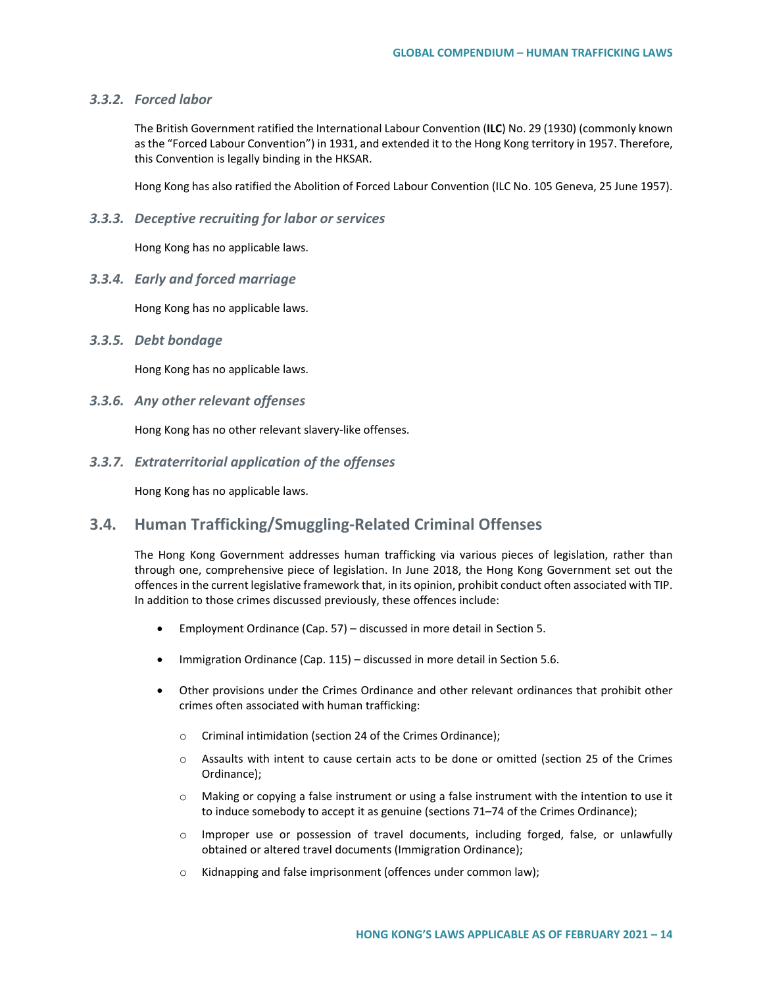#### *3.3.2. Forced labor*

The British Government ratified the International Labour Convention (**ILC**) No. 29 (1930) (commonly known as the "Forced Labour Convention") in 1931, and extended it to the Hong Kong territory in 1957. Therefore, this Convention is legally binding in the HKSAR.

Hong Kong has also ratified the Abolition of Forced Labour Convention (ILC No. 105 Geneva, 25 June 1957).

*3.3.3. Deceptive recruiting for labor or services*

Hong Kong has no applicable laws.

*3.3.4. Early and forced marriage*

Hong Kong has no applicable laws.

#### *3.3.5. Debt bondage*

Hong Kong has no applicable laws.

#### *3.3.6. Any other relevant offenses*

Hong Kong has no other relevant slavery-like offenses.

*3.3.7. Extraterritorial application of the offenses*

Hong Kong has no applicable laws.

# **3.4. Human Trafficking/Smuggling-Related Criminal Offenses**

The Hong Kong Government addresses human trafficking via various pieces of legislation, rather than through one, comprehensive piece of legislation. In June 2018, the Hong Kong Government set out the offences in the current legislative framework that, in its opinion, prohibit conduct often associated with TIP. In addition to those crimes discussed previously, these offences include:

- Employment Ordinance (Cap. 57) discussed in more detail in Section 5.
- Immigration Ordinance (Cap. 115) discussed in more detail in Section 5.6.
- Other provisions under the Crimes Ordinance and other relevant ordinances that prohibit other crimes often associated with human trafficking:
	- o Criminal intimidation (section 24 of the Crimes Ordinance);
	- o Assaults with intent to cause certain acts to be done or omitted (section 25 of the Crimes Ordinance);
	- o Making or copying a false instrument or using a false instrument with the intention to use it to induce somebody to accept it as genuine (sections 71–74 of the Crimes Ordinance);
	- o Improper use or possession of travel documents, including forged, false, or unlawfully obtained or altered travel documents (Immigration Ordinance);
	- o Kidnapping and false imprisonment (offences under common law);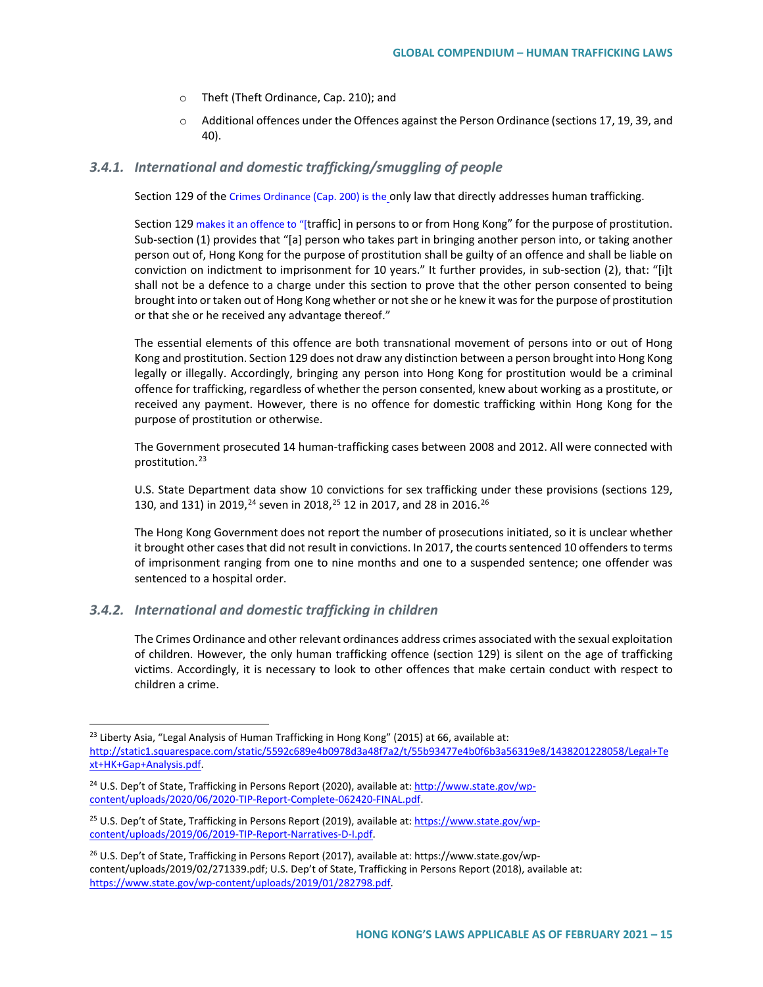- o Theft (Theft Ordinance, Cap. 210); and
- o Additional offences under the Offences against the Person Ordinance (sections 17, 19, 39, and 40).

#### *3.4.1. International and domestic trafficking/smuggling of people*

Section 129 of the [Crimes Ordinance \(Cap. 200\)](https://www.elegislation.gov.hk/hk/cap200) is the only law that directly addresses human trafficking.

Section 129 makes it an offence to "[traffic] in persons to or from Hong Kong" for the purpose of prostitution. Sub-section (1) provides that "[a] person who takes part in bringing another person into, or taking another person out of, Hong Kong for the purpose of prostitution shall be guilty of an offence and shall be liable on conviction on indictment to imprisonment for 10 years." It further provides, in sub-section (2), that: "[i]t shall not be a defence to a charge under this section to prove that the other person consented to being brought into or taken out of Hong Kong whether or not she or he knew it was for the purpose of prostitution or that she or he received any advantage thereof."

The essential elements of this offence are both transnational movement of persons into or out of Hong Kong and prostitution. Section 129 does not draw any distinction between a person brought into Hong Kong legally or illegally. Accordingly, bringing any person into Hong Kong for prostitution would be a criminal offence for trafficking, regardless of whether the person consented, knew about working as a prostitute, or received any payment. However, there is no offence for domestic trafficking within Hong Kong for the purpose of prostitution or otherwise.

The Government prosecuted 14 human-trafficking cases between 2008 and 2012. All were connected with prostitution.<sup>[23](#page-14-0)</sup>

U.S. State Department data show 10 convictions for sex trafficking under these provisions (sections 129, 130, and 131) in 2019,<sup>[24](#page-14-1)</sup> seven in 2018,<sup>[25](#page-14-2)</sup> 12 in 2017, and 28 in 2016.<sup>[26](#page-14-3)</sup>

The Hong Kong Government does not report the number of prosecutions initiated, so it is unclear whether it brought other cases that did not result in convictions. In 2017, the courts sentenced 10 offenders to terms of imprisonment ranging from one to nine months and one to a suspended sentence; one offender was sentenced to a hospital order.

## *3.4.2. International and domestic trafficking in children*

The Crimes Ordinance and other relevant ordinances address crimes associated with the sexual exploitation of children. However, the only human trafficking offence (section 129) is silent on the age of trafficking victims. Accordingly, it is necessary to look to other offences that make certain conduct with respect to children a crime.

<span id="page-14-0"></span> $23$  Liberty Asia, "Legal Analysis of Human Trafficking in Hong Kong" (2015) at 66, available at: [http://static1.squarespace.com/static/5592c689e4b0978d3a48f7a2/t/55b93477e4b0f6b3a56319e8/1438201228058/Legal+Te](http://static1.squarespace.com/static/5592c689e4b0978d3a48f7a2/t/55b93477e4b0f6b3a56319e8/1438201228058/Legal+Text+HK+Gap+Analysis.pdf) [xt+HK+Gap+Analysis.pdf.](http://static1.squarespace.com/static/5592c689e4b0978d3a48f7a2/t/55b93477e4b0f6b3a56319e8/1438201228058/Legal+Text+HK+Gap+Analysis.pdf)

<span id="page-14-1"></span><sup>24</sup> U.S. Dep't of State, Trafficking in Persons Report (2020), available at[: http://www.state.gov/wp](http://www.state.gov/wp-content/uploads/2020/06/2020-TIP-Report-Complete-062420-FINAL.pdf)[content/uploads/2020/06/2020-TIP-Report-Complete-062420-FINAL.pdf.](http://www.state.gov/wp-content/uploads/2020/06/2020-TIP-Report-Complete-062420-FINAL.pdf) 

<span id="page-14-2"></span><sup>&</sup>lt;sup>25</sup> U.S. Dep't of State, Trafficking in Persons Report (2019), available at[: https://www.state.gov/wp](https://www.state.gov/wp-content/uploads/2019/06/2019-TIP-Report-Narratives-D-I.pdf)[content/uploads/2019/06/2019-TIP-Report-Narratives-D-I.pdf.](https://www.state.gov/wp-content/uploads/2019/06/2019-TIP-Report-Narratives-D-I.pdf)

<span id="page-14-3"></span><sup>26</sup> U.S. Dep't of State, Trafficking in Persons Report (2017), available at: https://www.state.gov/wpcontent/uploads/2019/02/271339.pdf; U.S. Dep't of State, Trafficking in Persons Report (2018), available at: [https://www.state.gov/wp-content/uploads/2019/01/282798.pdf.](https://www.state.gov/wp-content/uploads/2019/01/282798.pdf)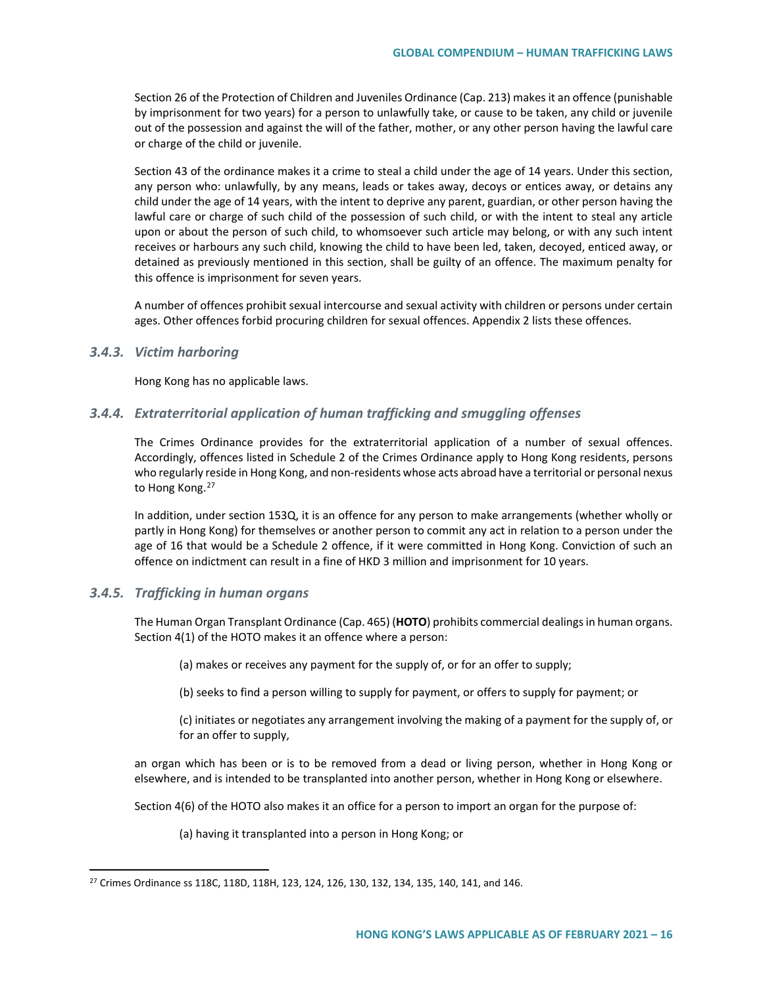Section 26 of the Protection of Children and Juveniles Ordinance (Cap. 213) makes it an offence (punishable by imprisonment for two years) for a person to unlawfully take, or cause to be taken, any child or juvenile out of the possession and against the will of the father, mother, or any other person having the lawful care or charge of the child or juvenile.

Section 43 of the ordinance makes it a crime to steal a child under the age of 14 years. Under this section, any person who: unlawfully, by any means, leads or takes away, decoys or entices away, or detains any child under the age of 14 years, with the intent to deprive any parent, guardian, or other person having the lawful care or charge of such child of the possession of such child, or with the intent to steal any article upon or about the person of such child, to whomsoever such article may belong, or with any such intent receives or harbours any such child, knowing the child to have been led, taken, decoyed, enticed away, or detained as previously mentioned in this section, shall be guilty of an offence. The maximum penalty for this offence is imprisonment for seven years.

A number of offences prohibit sexual intercourse and sexual activity with children or persons under certain ages. Other offences forbid procuring children for sexual offences. Appendix 2 lists these offences.

#### *3.4.3. Victim harboring*

Hong Kong has no applicable laws.

## *3.4.4. Extraterritorial application of human trafficking and smuggling offenses*

The Crimes Ordinance provides for the extraterritorial application of a number of sexual offences. Accordingly, offences listed in Schedule 2 of the Crimes Ordinance apply to Hong Kong residents, persons who regularly reside in Hong Kong, and non-residents whose acts abroad have a territorial or personal nexus to Hong Kong.<sup>[27](#page-15-0)</sup>

In addition, under section 153Q, it is an offence for any person to make arrangements (whether wholly or partly in Hong Kong) for themselves or another person to commit any act in relation to a person under the age of 16 that would be a Schedule 2 offence, if it were committed in Hong Kong. Conviction of such an offence on indictment can result in a fine of HKD 3 million and imprisonment for 10 years.

#### *3.4.5. Trafficking in human organs*

The Human Organ Transplant Ordinance (Cap. 465) (**HOTO**) prohibits commercial dealings in human organs. Section 4(1) of the HOTO makes it an offence where a person:

(a) makes or receives any payment for the supply of, or for an offer to supply;

(b) seeks to find a person willing to supply for payment, or offers to supply for payment; or

(c) initiates or negotiates any arrangement involving the making of a payment for the supply of, or for an offer to supply,

an organ which has been or is to be removed from a dead or living person, whether in Hong Kong or elsewhere, and is intended to be transplanted into another person, whether in Hong Kong or elsewhere.

Section 4(6) of the HOTO also makes it an office for a person to import an organ for the purpose of:

(a) having it transplanted into a person in Hong Kong; or

<span id="page-15-0"></span> <sup>27</sup> Crimes Ordinance ss 118C, 118D, 118H, 123, 124, 126, 130, 132, 134, 135, 140, 141, and 146.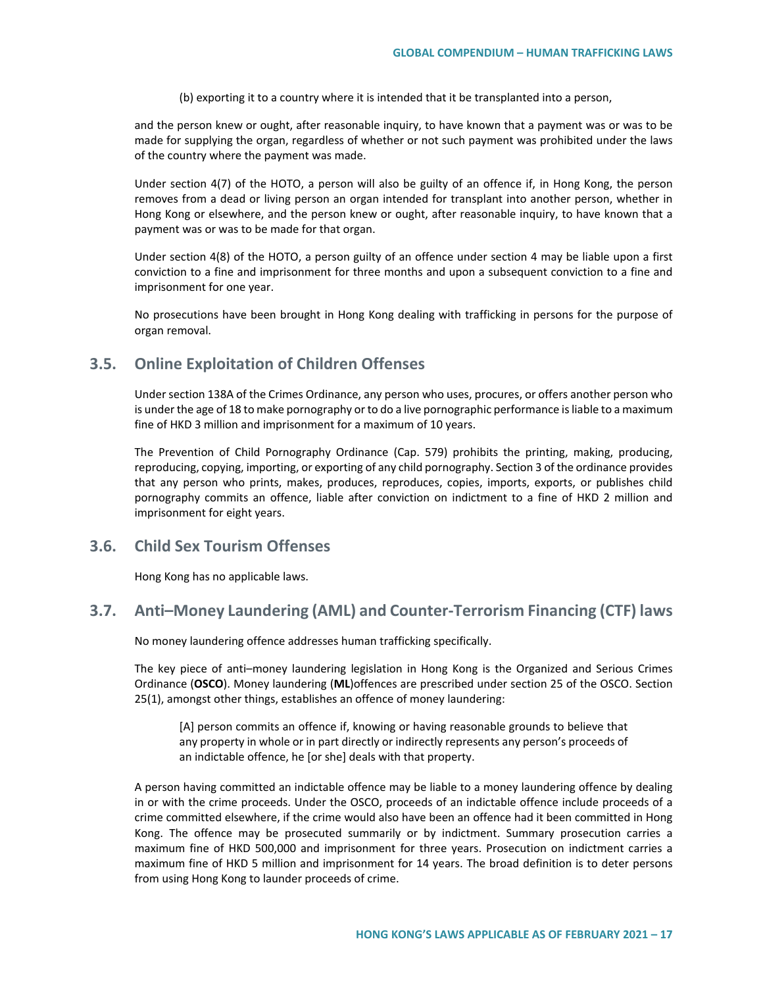(b) exporting it to a country where it is intended that it be transplanted into a person,

and the person knew or ought, after reasonable inquiry, to have known that a payment was or was to be made for supplying the organ, regardless of whether or not such payment was prohibited under the laws of the country where the payment was made.

Under section 4(7) of the HOTO, a person will also be guilty of an offence if, in Hong Kong, the person removes from a dead or living person an organ intended for transplant into another person, whether in Hong Kong or elsewhere, and the person knew or ought, after reasonable inquiry, to have known that a payment was or was to be made for that organ.

Under section 4(8) of the HOTO, a person guilty of an offence under section 4 may be liable upon a first conviction to a fine and imprisonment for three months and upon a subsequent conviction to a fine and imprisonment for one year.

No prosecutions have been brought in Hong Kong dealing with trafficking in persons for the purpose of organ removal.

## **3.5. Online Exploitation of Children Offenses**

Under section 138A of the Crimes Ordinance, any person who uses, procures, or offers another person who is under the age of 18 to make pornography or to do a live pornographic performance is liable to a maximum fine of HKD 3 million and imprisonment for a maximum of 10 years.

The Prevention of Child Pornography Ordinance (Cap. 579) prohibits the printing, making, producing, reproducing, copying, importing, or exporting of any child pornography. Section 3 of the ordinance provides that any person who prints, makes, produces, reproduces, copies, imports, exports, or publishes child pornography commits an offence, liable after conviction on indictment to a fine of HKD 2 million and imprisonment for eight years.

## **3.6. Child Sex Tourism Offenses**

Hong Kong has no applicable laws.

## **3.7. Anti–Money Laundering (AML) and Counter-Terrorism Financing (CTF) laws**

No money laundering offence addresses human trafficking specifically.

The key piece of anti–money laundering legislation in Hong Kong is the Organized and Serious Crimes Ordinance (**OSCO**). Money laundering (**ML**)offences are prescribed under section 25 of the OSCO. Section 25(1), amongst other things, establishes an offence of money laundering:

[A] person commits an offence if, knowing or having reasonable grounds to believe that any property in whole or in part directly or indirectly represents any person's proceeds of an indictable offence, he [or she] deals with that property.

A person having committed an indictable offence may be liable to a money laundering offence by dealing in or with the crime proceeds. Under the OSCO, proceeds of an indictable offence include proceeds of a crime committed elsewhere, if the crime would also have been an offence had it been committed in Hong Kong. The offence may be prosecuted summarily or by indictment. Summary prosecution carries a maximum fine of HKD 500,000 and imprisonment for three years. Prosecution on indictment carries a maximum fine of HKD 5 million and imprisonment for 14 years. The broad definition is to deter persons from using Hong Kong to launder proceeds of crime.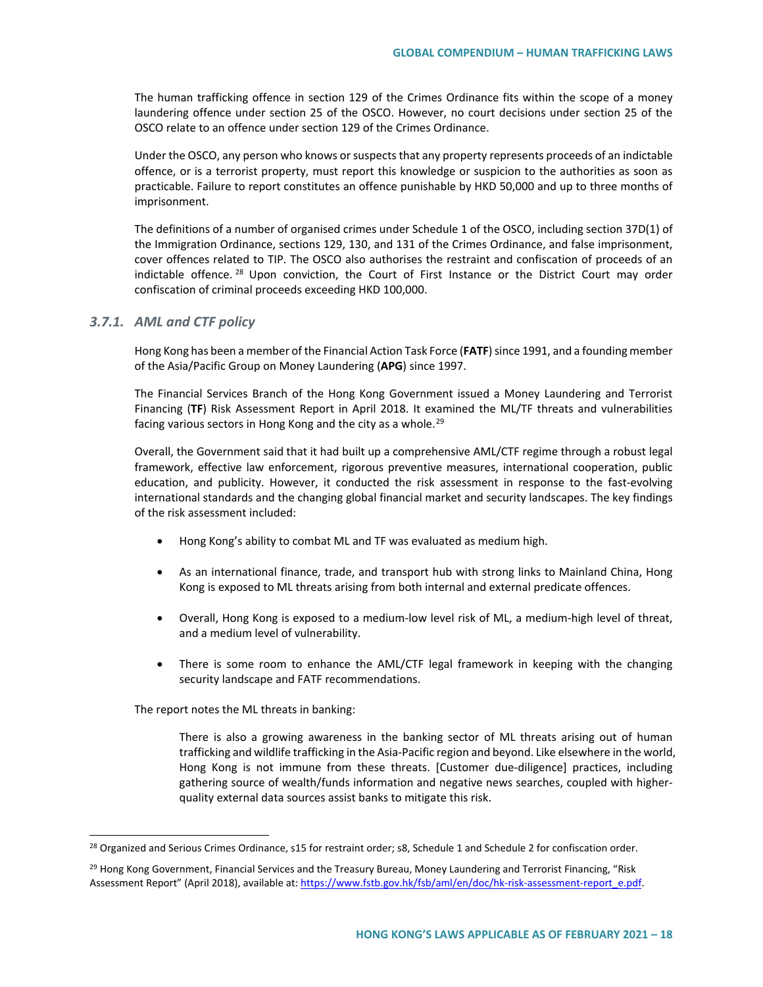The human trafficking offence in section 129 of the Crimes Ordinance fits within the scope of a money laundering offence under section 25 of the OSCO. However, no court decisions under section 25 of the OSCO relate to an offence under section 129 of the Crimes Ordinance.

Under the OSCO, any person who knows or suspects that any property represents proceeds of an indictable offence, or is a terrorist property, must report this knowledge or suspicion to the authorities as soon as practicable. Failure to report constitutes an offence punishable by HKD 50,000 and up to three months of imprisonment.

The definitions of a number of organised crimes under Schedule 1 of the OSCO, including section 37D(1) of the Immigration Ordinance, sections 129, 130, and 131 of the Crimes Ordinance, and false imprisonment, cover offences related to TIP. The OSCO also authorises the restraint and confiscation of proceeds of an indictable offence.<sup>[28](#page-17-0)</sup> Upon conviction, the Court of First Instance or the District Court may order confiscation of criminal proceeds exceeding HKD 100,000.

#### *3.7.1. AML and CTF policy*

Hong Kong has been a member of the Financial Action Task Force (**FATF**) since 1991, and a founding member of the Asia/Pacific Group on Money Laundering (**APG**) since 1997.

The Financial Services Branch of the Hong Kong Government issued a Money Laundering and Terrorist Financing (**TF**) Risk Assessment Report in April 2018. It examined the ML/TF threats and vulnerabilities facing various sectors in Hong Kong and the city as a whole.<sup>[29](#page-17-1)</sup>

Overall, the Government said that it had built up a comprehensive AML/CTF regime through a robust legal framework, effective law enforcement, rigorous preventive measures, international cooperation, public education, and publicity. However, it conducted the risk assessment in response to the fast-evolving international standards and the changing global financial market and security landscapes. The key findings of the risk assessment included:

- Hong Kong's ability to combat ML and TF was evaluated as medium high.
- As an international finance, trade, and transport hub with strong links to Mainland China, Hong Kong is exposed to ML threats arising from both internal and external predicate offences.
- Overall, Hong Kong is exposed to a medium-low level risk of ML, a medium-high level of threat, and a medium level of vulnerability.
- There is some room to enhance the AML/CTF legal framework in keeping with the changing security landscape and FATF recommendations.

The report notes the ML threats in banking:

There is also a growing awareness in the banking sector of ML threats arising out of human trafficking and wildlife trafficking in the Asia-Pacific region and beyond. Like elsewhere in the world, Hong Kong is not immune from these threats. [Customer due-diligence] practices, including gathering source of wealth/funds information and negative news searches, coupled with higherquality external data sources assist banks to mitigate this risk.

<span id="page-17-0"></span><sup>&</sup>lt;sup>28</sup> Organized and Serious Crimes Ordinance, s15 for restraint order; s8, Schedule 1 and Schedule 2 for confiscation order.

<span id="page-17-1"></span><sup>&</sup>lt;sup>29</sup> Hong Kong Government, Financial Services and the Treasury Bureau, Money Laundering and Terrorist Financing, "Risk Assessment Report" (April 2018), available at[: https://www.fstb.gov.hk/fsb/aml/en/doc/hk-risk-assessment-report\\_e.pdf.](https://www.fstb.gov.hk/fsb/aml/en/doc/hk-risk-assessment-report_e.pdf)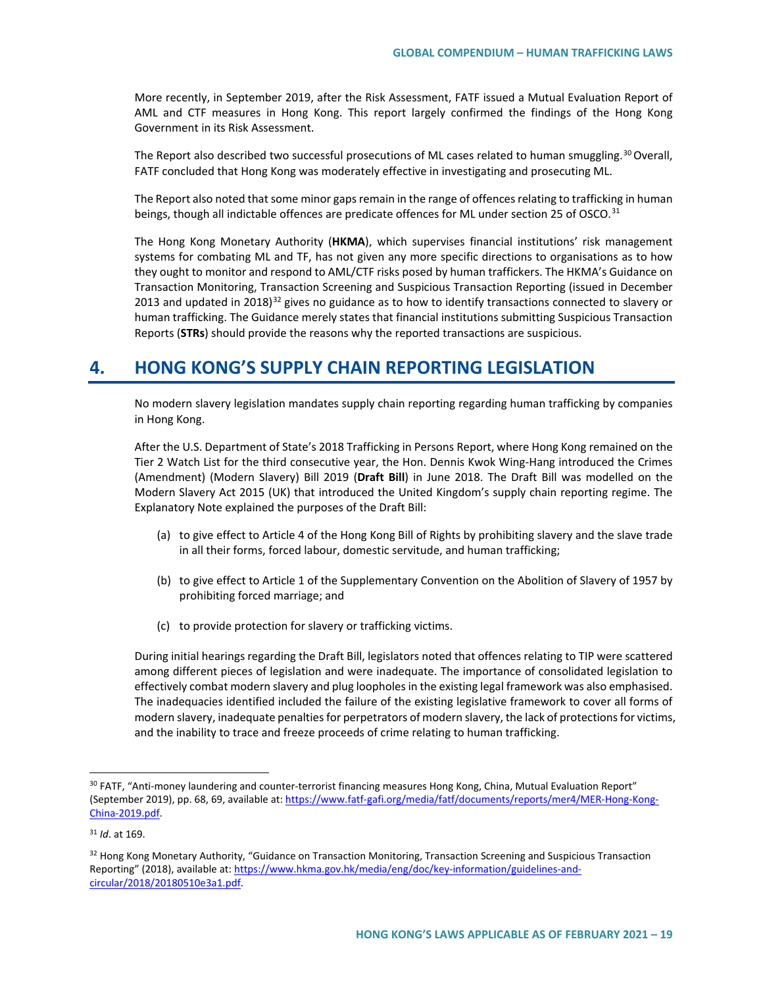More recently, in September 2019, after the Risk Assessment, FATF issued a Mutual Evaluation Report of AML and CTF measures in Hong Kong. This report largely confirmed the findings of the Hong Kong Government in its Risk Assessment.

The Report also described two successful prosecutions of ML cases related to human smuggling.<sup>[30](#page-18-0)</sup> Overall, FATF concluded that Hong Kong was moderately effective in investigating and prosecuting ML.

The Report also noted that some minor gaps remain in the range of offences relating to trafficking in human beings, though all indictable offences are predicate offences for ML under section 25 of OSCO.<sup>[31](#page-18-1)</sup>

The Hong Kong Monetary Authority (**HKMA**), which supervises financial institutions' risk management systems for combating ML and TF, has not given any more specific directions to organisations as to how they ought to monitor and respond to AML/CTF risks posed by human traffickers. The HKMA's Guidance on Transaction Monitoring, Transaction Screening and Suspicious Transaction Reporting (issued in December 2013 and updated in 2018)<sup>[32](#page-18-2)</sup> gives no guidance as to how to identify transactions connected to slavery or human trafficking. The Guidance merely states that financial institutions submitting Suspicious Transaction Reports (**STRs**) should provide the reasons why the reported transactions are suspicious.

# **4. HONG KONG'S SUPPLY CHAIN REPORTING LEGISLATION**

No modern slavery legislation mandates supply chain reporting regarding human trafficking by companies in Hong Kong.

After the U.S. Department of State's 2018 Trafficking in Persons Report, where Hong Kong remained on the Tier 2 Watch List for the third consecutive year, the Hon. Dennis Kwok Wing-Hang introduced the Crimes (Amendment) (Modern Slavery) Bill 2019 (**Draft Bill**) in June 2018. The Draft Bill was modelled on the Modern Slavery Act 2015 (UK) that introduced the United Kingdom's supply chain reporting regime. The Explanatory Note explained the purposes of the Draft Bill:

- (a) to give effect to Article 4 of the Hong Kong Bill of Rights by prohibiting slavery and the slave trade in all their forms, forced labour, domestic servitude, and human trafficking;
- (b) to give effect to Article 1 of the Supplementary Convention on the Abolition of Slavery of 1957 by prohibiting forced marriage; and
- (c) to provide protection for slavery or trafficking victims.

During initial hearings regarding the Draft Bill, legislators noted that offences relating to TIP were scattered among different pieces of legislation and were inadequate. The importance of consolidated legislation to effectively combat modern slavery and plug loopholes in the existing legal framework was also emphasised. The inadequacies identified included the failure of the existing legislative framework to cover all forms of modern slavery, inadequate penalties for perpetrators of modern slavery, the lack of protections for victims, and the inability to trace and freeze proceeds of crime relating to human trafficking.

<span id="page-18-0"></span><sup>&</sup>lt;sup>30</sup> FATF, "Anti-money laundering and counter-terrorist financing measures Hong Kong, China, Mutual Evaluation Report" (September 2019), pp. 68, 69, available at[: https://www.fatf-gafi.org/media/fatf/documents/reports/mer4/MER-Hong-Kong-](https://www.fatf-gafi.org/media/fatf/documents/reports/mer4/MER-Hong-Kong-China-2019.pdf)[China-2019.pdf.](https://www.fatf-gafi.org/media/fatf/documents/reports/mer4/MER-Hong-Kong-China-2019.pdf)

<span id="page-18-1"></span><sup>31</sup> *Id*. at 169.

<span id="page-18-2"></span><sup>32</sup> Hong Kong Monetary Authority, "Guidance on Transaction Monitoring, Transaction Screening and Suspicious Transaction Reporting" (2018), available at: [https://www.hkma.gov.hk/media/eng/doc/key-information/guidelines-and](https://www.hkma.gov.hk/media/eng/doc/key-information/guidelines-and-circular/2018/20180510e3a1.pdf)[circular/2018/20180510e3a1.pdf.](https://www.hkma.gov.hk/media/eng/doc/key-information/guidelines-and-circular/2018/20180510e3a1.pdf)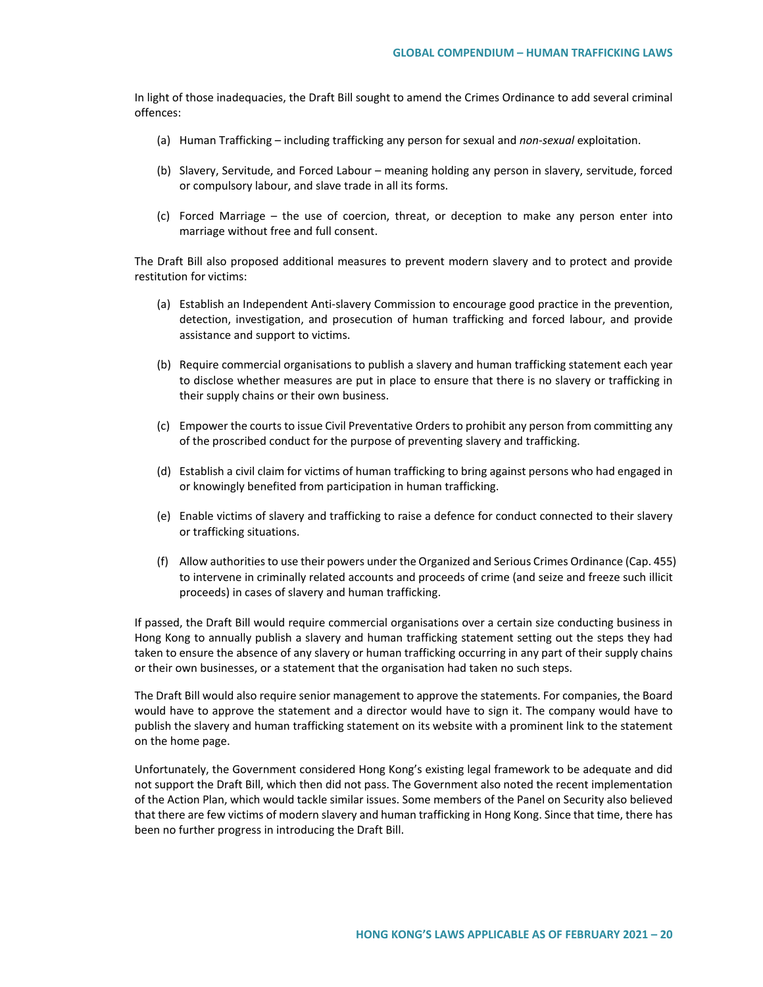In light of those inadequacies, the Draft Bill sought to amend the Crimes Ordinance to add several criminal offences:

- (a) Human Trafficking including trafficking any person for sexual and *non-sexual* exploitation.
- (b) Slavery, Servitude, and Forced Labour meaning holding any person in slavery, servitude, forced or compulsory labour, and slave trade in all its forms.
- (c) Forced Marriage the use of coercion, threat, or deception to make any person enter into marriage without free and full consent.

The Draft Bill also proposed additional measures to prevent modern slavery and to protect and provide restitution for victims:

- (a) Establish an Independent Anti-slavery Commission to encourage good practice in the prevention, detection, investigation, and prosecution of human trafficking and forced labour, and provide assistance and support to victims.
- (b) Require commercial organisations to publish a slavery and human trafficking statement each year to disclose whether measures are put in place to ensure that there is no slavery or trafficking in their supply chains or their own business.
- (c) Empower the courts to issue Civil Preventative Orders to prohibit any person from committing any of the proscribed conduct for the purpose of preventing slavery and trafficking.
- (d) Establish a civil claim for victims of human trafficking to bring against persons who had engaged in or knowingly benefited from participation in human trafficking.
- (e) Enable victims of slavery and trafficking to raise a defence for conduct connected to their slavery or trafficking situations.
- (f) Allow authorities to use their powers under the Organized and Serious Crimes Ordinance (Cap. 455) to intervene in criminally related accounts and proceeds of crime (and seize and freeze such illicit proceeds) in cases of slavery and human trafficking.

If passed, the Draft Bill would require commercial organisations over a certain size conducting business in Hong Kong to annually publish a slavery and human trafficking statement setting out the steps they had taken to ensure the absence of any slavery or human trafficking occurring in any part of their supply chains or their own businesses, or a statement that the organisation had taken no such steps.

The Draft Bill would also require senior management to approve the statements. For companies, the Board would have to approve the statement and a director would have to sign it. The company would have to publish the slavery and human trafficking statement on its website with a prominent link to the statement on the home page.

Unfortunately, the Government considered Hong Kong's existing legal framework to be adequate and did not support the Draft Bill, which then did not pass. The Government also noted the recent implementation of the Action Plan, which would tackle similar issues. Some members of the Panel on Security also believed that there are few victims of modern slavery and human trafficking in Hong Kong. Since that time, there has been no further progress in introducing the Draft Bill.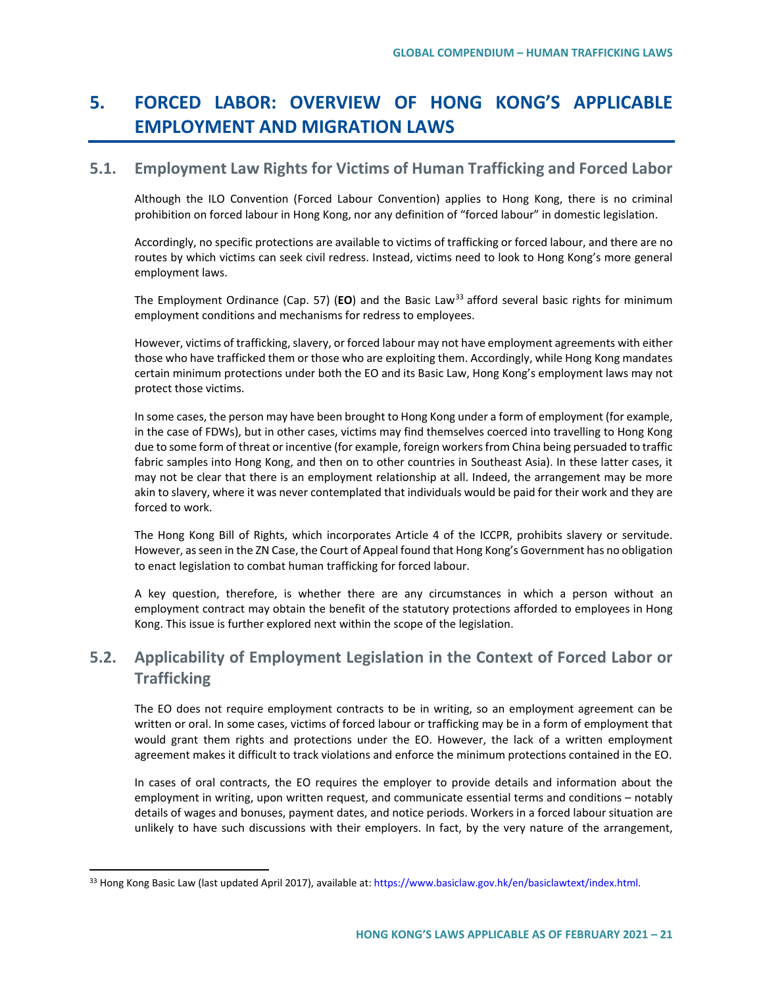# **5. FORCED LABOR: OVERVIEW OF HONG KONG'S APPLICABLE EMPLOYMENT AND MIGRATION LAWS**

# **5.1. Employment Law Rights for Victims of Human Trafficking and Forced Labor**

Although the ILO Convention (Forced Labour Convention) applies to Hong Kong, there is no criminal prohibition on forced labour in Hong Kong, nor any definition of "forced labour" in domestic legislation.

Accordingly, no specific protections are available to victims of trafficking or forced labour, and there are no routes by which victims can seek civil redress. Instead, victims need to look to Hong Kong's more general employment laws.

The Employment Ordinance (Cap. 57) (EO) and the Basic Law<sup>[33](#page-20-0)</sup> afford several basic rights for minimum employment conditions and mechanisms for redress to employees.

However, victims of trafficking, slavery, or forced labour may not have employment agreements with either those who have trafficked them or those who are exploiting them. Accordingly, while Hong Kong mandates certain minimum protections under both the EO and its Basic Law, Hong Kong's employment laws may not protect those victims.

In some cases, the person may have been brought to Hong Kong under a form of employment (for example, in the case of FDWs), but in other cases, victims may find themselves coerced into travelling to Hong Kong due to some form of threat or incentive (for example, foreign workers from China being persuaded to traffic fabric samples into Hong Kong, and then on to other countries in Southeast Asia). In these latter cases, it may not be clear that there is an employment relationship at all. Indeed, the arrangement may be more akin to slavery, where it was never contemplated that individuals would be paid for their work and they are forced to work.

The Hong Kong Bill of Rights, which incorporates Article 4 of the ICCPR, prohibits slavery or servitude. However, as seen in the ZN Case, the Court of Appeal found that Hong Kong's Government has no obligation to enact legislation to combat human trafficking for forced labour.

A key question, therefore, is whether there are any circumstances in which a person without an employment contract may obtain the benefit of the statutory protections afforded to employees in Hong Kong. This issue is further explored next within the scope of the legislation.

# **5.2. Applicability of Employment Legislation in the Context of Forced Labor or Trafficking**

The EO does not require employment contracts to be in writing, so an employment agreement can be written or oral. In some cases, victims of forced labour or trafficking may be in a form of employment that would grant them rights and protections under the EO. However, the lack of a written employment agreement makes it difficult to track violations and enforce the minimum protections contained in the EO.

In cases of oral contracts, the EO requires the employer to provide details and information about the employment in writing, upon written request, and communicate essential terms and conditions – notably details of wages and bonuses, payment dates, and notice periods. Workers in a forced labour situation are unlikely to have such discussions with their employers. In fact, by the very nature of the arrangement,

<span id="page-20-0"></span><sup>33</sup> Hong Kong Basic Law (last updated April 2017), available at[: https://www.basiclaw.gov.hk/en/basiclawtext/index.html.](https://www.basiclaw.gov.hk/en/basiclawtext/index.html)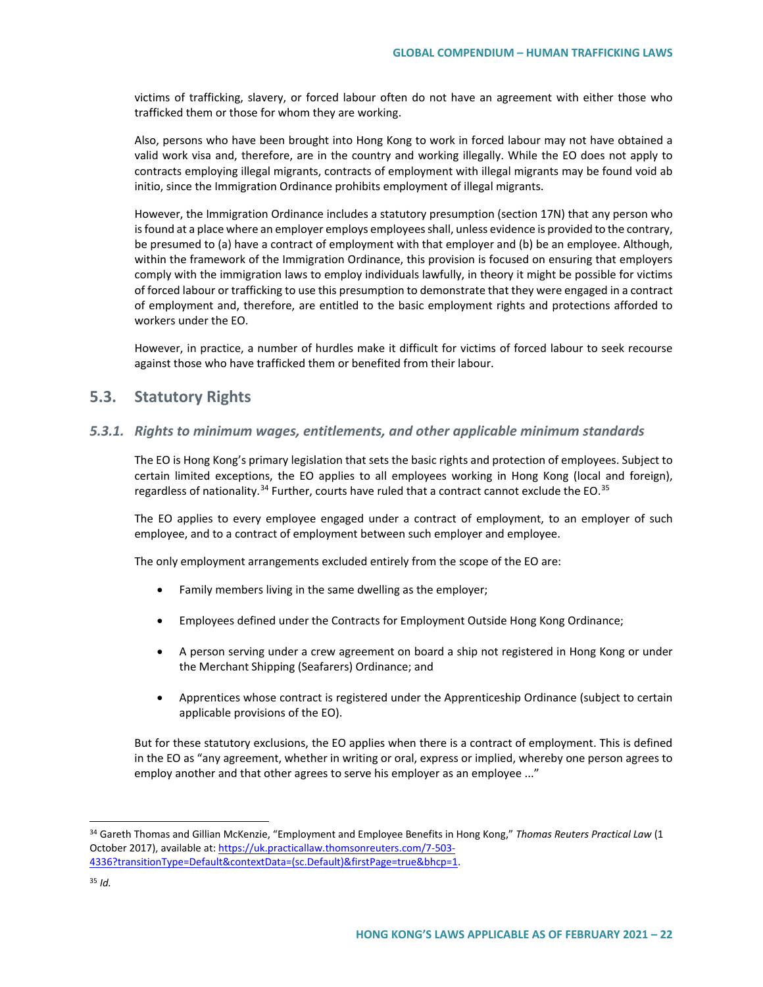victims of trafficking, slavery, or forced labour often do not have an agreement with either those who trafficked them or those for whom they are working.

Also, persons who have been brought into Hong Kong to work in forced labour may not have obtained a valid work visa and, therefore, are in the country and working illegally. While the EO does not apply to contracts employing illegal migrants, contracts of employment with illegal migrants may be found void ab initio, since the Immigration Ordinance prohibits employment of illegal migrants.

However, the Immigration Ordinance includes a statutory presumption (section 17N) that any person who is found at a place where an employer employs employees shall, unless evidence is provided to the contrary, be presumed to (a) have a contract of employment with that employer and (b) be an employee. Although, within the framework of the Immigration Ordinance, this provision is focused on ensuring that employers comply with the immigration laws to employ individuals lawfully, in theory it might be possible for victims of forced labour or trafficking to use this presumption to demonstrate that they were engaged in a contract of employment and, therefore, are entitled to the basic employment rights and protections afforded to workers under the EO.

However, in practice, a number of hurdles make it difficult for victims of forced labour to seek recourse against those who have trafficked them or benefited from their labour.

## **5.3. Statutory Rights**

#### *5.3.1. Rights to minimum wages, entitlements, and other applicable minimum standards*

The EO is Hong Kong's primary legislation that sets the basic rights and protection of employees. Subject to certain limited exceptions, the EO applies to all employees working in Hong Kong (local and foreign), regardless of nationality.<sup>[34](#page-21-0)</sup> Further, courts have ruled that a contract cannot exclude the EO.<sup>[35](#page-21-1)</sup>

The EO applies to every employee engaged under a contract of employment, to an employer of such employee, and to a contract of employment between such employer and employee.

The only employment arrangements excluded entirely from the scope of the EO are:

- Family members living in the same dwelling as the employer;
- Employees defined under the Contracts for Employment Outside Hong Kong Ordinance;
- A person serving under a crew agreement on board a ship not registered in Hong Kong or under the Merchant Shipping (Seafarers) Ordinance; and
- Apprentices whose contract is registered under the Apprenticeship Ordinance (subject to certain applicable provisions of the EO).

But for these statutory exclusions, the EO applies when there is a contract of employment. This is defined in the EO as "any agreement, whether in writing or oral, express or implied, whereby one person agrees to employ another and that other agrees to serve his employer as an employee ..."

<span id="page-21-0"></span> <sup>34</sup> Gareth Thomas and Gillian McKenzie, "Employment and Employee Benefits in Hong Kong," *Thomas Reuters Practical Law* (1 October 2017), available at[: https://uk.practicallaw.thomsonreuters.com/7-503-](https://uk.practicallaw.thomsonreuters.com/7-503-4336?transitionType=Default&contextData=(sc.Default)&firstPage=true&bhcp=1) [4336?transitionType=Default&contextData=\(sc.Default\)&firstPage=true&bhcp=1.](https://uk.practicallaw.thomsonreuters.com/7-503-4336?transitionType=Default&contextData=(sc.Default)&firstPage=true&bhcp=1) 

<span id="page-21-1"></span><sup>35</sup> *Id.*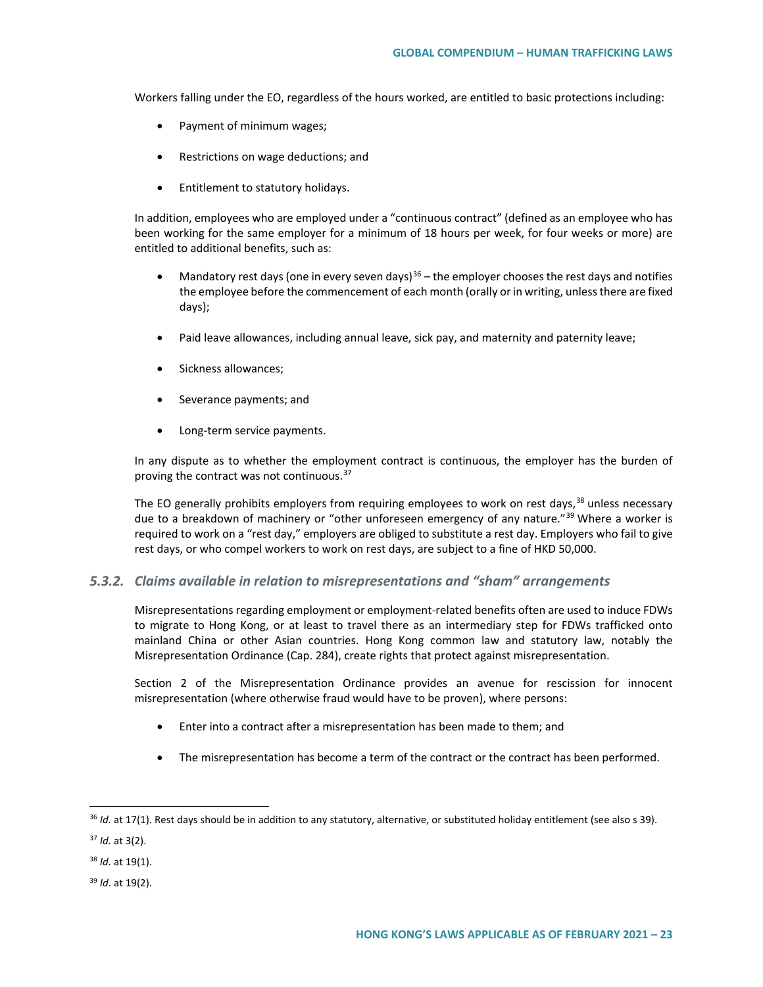Workers falling under the EO, regardless of the hours worked, are entitled to basic protections including:

- Payment of minimum wages;
- Restrictions on wage deductions; and
- Entitlement to statutory holidays.

In addition, employees who are employed under a "continuous contract" (defined as an employee who has been working for the same employer for a minimum of 18 hours per week, for four weeks or more) are entitled to additional benefits, such as:

- Mandatory rest days (one in every seven days)<sup>[36](#page-22-0)</sup> the employer chooses the rest days and notifies the employee before the commencement of each month (orally or in writing, unless there are fixed days);
- Paid leave allowances, including annual leave, sick pay, and maternity and paternity leave;
- Sickness allowances;
- Severance payments; and
- Long-term service payments.

In any dispute as to whether the employment contract is continuous, the employer has the burden of proving the contract was not continuous.[37](#page-22-1)

The EO generally prohibits employers from requiring employees to work on rest days,<sup>[38](#page-22-2)</sup> unless necessary due to a breakdown of machinery or "other unforeseen emergency of any nature."<sup>[39](#page-22-3)</sup> Where a worker is required to work on a "rest day," employers are obliged to substitute a rest day. Employers who fail to give rest days, or who compel workers to work on rest days, are subject to a fine of HKD 50,000.

#### *5.3.2. Claims available in relation to misrepresentations and "sham" arrangements*

Misrepresentations regarding employment or employment-related benefits often are used to induce FDWs to migrate to Hong Kong, or at least to travel there as an intermediary step for FDWs trafficked onto mainland China or other Asian countries. Hong Kong common law and statutory law, notably the Misrepresentation Ordinance (Cap. 284), create rights that protect against misrepresentation.

Section 2 of the Misrepresentation Ordinance provides an avenue for rescission for innocent misrepresentation (where otherwise fraud would have to be proven), where persons:

- Enter into a contract after a misrepresentation has been made to them; and
- The misrepresentation has become a term of the contract or the contract has been performed.

<span id="page-22-0"></span> <sup>36</sup> *Id.* at 17(1). Rest days should be in addition to any statutory, alternative, or substituted holiday entitlement (see also s 39).

<span id="page-22-1"></span><sup>37</sup> *Id.* at 3(2).

<span id="page-22-2"></span><sup>38</sup> *Id.* at 19(1).

<span id="page-22-3"></span><sup>39</sup> *Id*. at 19(2).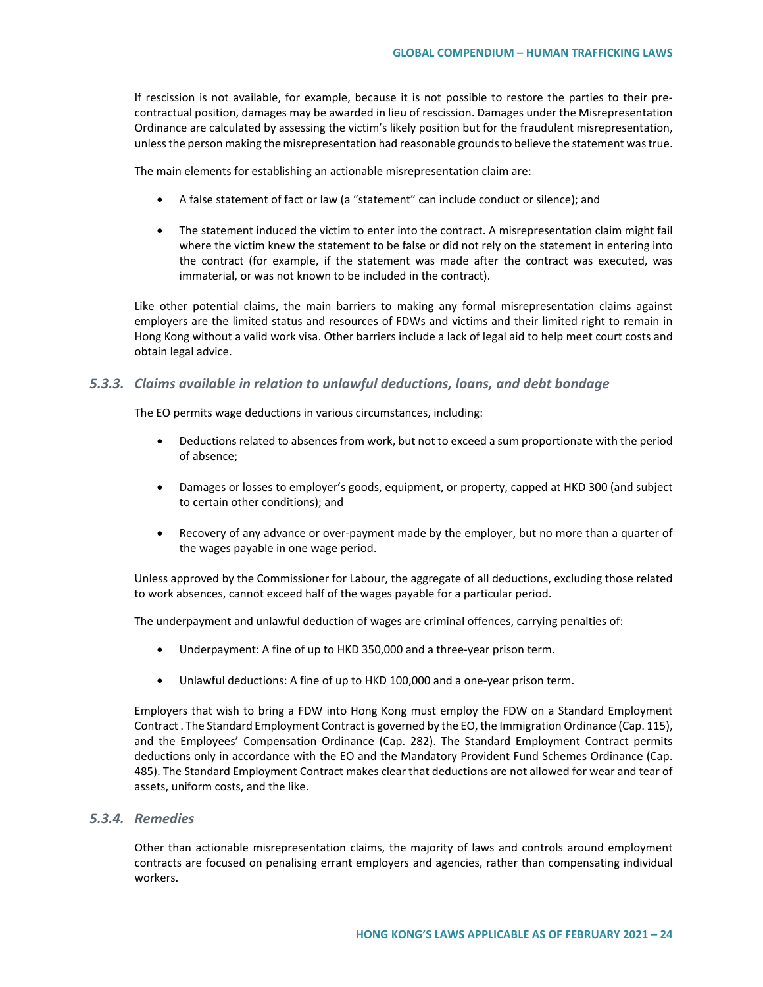If rescission is not available, for example, because it is not possible to restore the parties to their precontractual position, damages may be awarded in lieu of rescission. Damages under the Misrepresentation Ordinance are calculated by assessing the victim's likely position but for the fraudulent misrepresentation, unless the person making the misrepresentation had reasonable grounds to believe the statement was true.

The main elements for establishing an actionable misrepresentation claim are:

- A false statement of fact or law (a "statement" can include conduct or silence); and
- The statement induced the victim to enter into the contract. A misrepresentation claim might fail where the victim knew the statement to be false or did not rely on the statement in entering into the contract (for example, if the statement was made after the contract was executed, was immaterial, or was not known to be included in the contract).

Like other potential claims, the main barriers to making any formal misrepresentation claims against employers are the limited status and resources of FDWs and victims and their limited right to remain in Hong Kong without a valid work visa. Other barriers include a lack of legal aid to help meet court costs and obtain legal advice.

### *5.3.3. Claims available in relation to unlawful deductions, loans, and debt bondage*

The EO permits wage deductions in various circumstances, including:

- Deductions related to absences from work, but not to exceed a sum proportionate with the period of absence;
- Damages or losses to employer's goods, equipment, or property, capped at HKD 300 (and subject to certain other conditions); and
- Recovery of any advance or over-payment made by the employer, but no more than a quarter of the wages payable in one wage period.

Unless approved by the Commissioner for Labour, the aggregate of all deductions, excluding those related to work absences, cannot exceed half of the wages payable for a particular period.

The underpayment and unlawful deduction of wages are criminal offences, carrying penalties of:

- Underpayment: A fine of up to HKD 350,000 and a three-year prison term.
- Unlawful deductions: A fine of up to HKD 100,000 and a one-year prison term.

Employers that wish to bring a FDW into Hong Kong must employ the FDW on a Standard Employment Contract . The Standard Employment Contract is governed by the EO, the Immigration Ordinance (Cap. 115), and the Employees' Compensation Ordinance (Cap. 282). The Standard Employment Contract permits deductions only in accordance with the EO and the Mandatory Provident Fund Schemes Ordinance (Cap. 485). The Standard Employment Contract makes clear that deductions are not allowed for wear and tear of assets, uniform costs, and the like.

## *5.3.4. Remedies*

Other than actionable misrepresentation claims, the majority of laws and controls around employment contracts are focused on penalising errant employers and agencies, rather than compensating individual workers.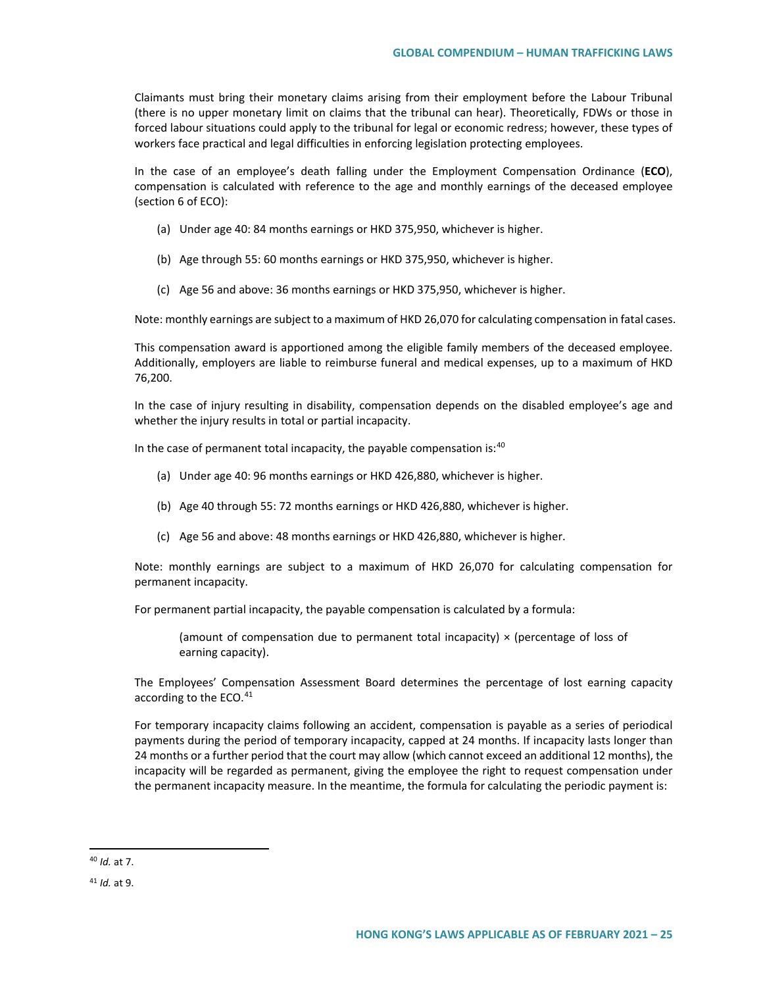Claimants must bring their monetary claims arising from their employment before the Labour Tribunal (there is no upper monetary limit on claims that the tribunal can hear). Theoretically, FDWs or those in forced labour situations could apply to the tribunal for legal or economic redress; however, these types of workers face practical and legal difficulties in enforcing legislation protecting employees.

In the case of an employee's death falling under the Employment Compensation Ordinance (**ECO**), compensation is calculated with reference to the age and monthly earnings of the deceased employee (section 6 of ECO):

- (a) Under age 40: 84 months earnings or HKD 375,950, whichever is higher.
- (b) Age through 55: 60 months earnings or HKD 375,950, whichever is higher.
- (c) Age 56 and above: 36 months earnings or HKD 375,950, whichever is higher.

Note: monthly earnings are subject to a maximum of HKD 26,070 for calculating compensation in fatal cases.

This compensation award is apportioned among the eligible family members of the deceased employee. Additionally, employers are liable to reimburse funeral and medical expenses, up to a maximum of HKD 76,200.

In the case of injury resulting in disability, compensation depends on the disabled employee's age and whether the injury results in total or partial incapacity.

In the case of permanent total incapacity, the payable compensation is: $40$ 

- (a) Under age 40: 96 months earnings or HKD 426,880, whichever is higher.
- (b) Age 40 through 55: 72 months earnings or HKD 426,880, whichever is higher.
- (c) Age 56 and above: 48 months earnings or HKD 426,880, whichever is higher.

Note: monthly earnings are subject to a maximum of HKD 26,070 for calculating compensation for permanent incapacity.

For permanent partial incapacity, the payable compensation is calculated by a formula:

(amount of compensation due to permanent total incapacity)  $\times$  (percentage of loss of earning capacity).

The Employees' Compensation Assessment Board determines the percentage of lost earning capacity according to the ECO.<sup>[41](#page-24-1)</sup>

For temporary incapacity claims following an accident, compensation is payable as a series of periodical payments during the period of temporary incapacity, capped at 24 months. If incapacity lasts longer than 24 months or a further period that the court may allow (which cannot exceed an additional 12 months), the incapacity will be regarded as permanent, giving the employee the right to request compensation under the permanent incapacity measure. In the meantime, the formula for calculating the periodic payment is:

<span id="page-24-0"></span> <sup>40</sup> *Id.* at 7.

<span id="page-24-1"></span><sup>41</sup> *Id.* at 9.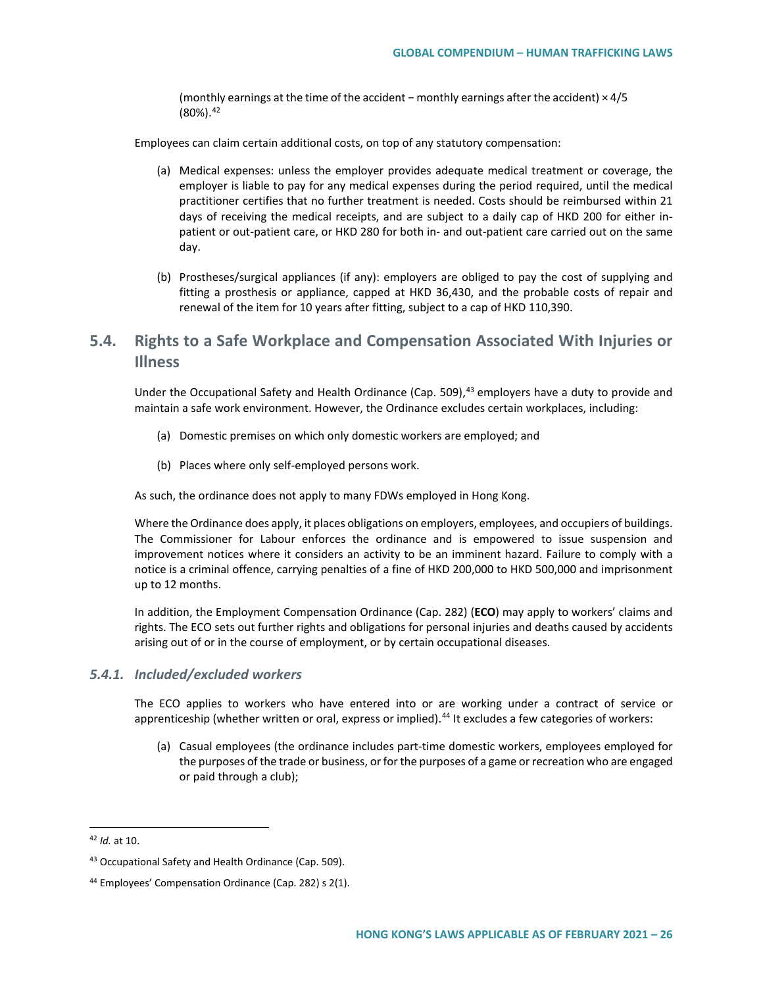(monthly earnings at the time of the accident *−* monthly earnings after the accident) × 4/5  $(80\%)$ .  $42$ 

Employees can claim certain additional costs, on top of any statutory compensation:

- (a) Medical expenses: unless the employer provides adequate medical treatment or coverage, the employer is liable to pay for any medical expenses during the period required, until the medical practitioner certifies that no further treatment is needed. Costs should be reimbursed within 21 days of receiving the medical receipts, and are subject to a daily cap of HKD 200 for either inpatient or out-patient care, or HKD 280 for both in- and out-patient care carried out on the same day.
- (b) Prostheses/surgical appliances (if any): employers are obliged to pay the cost of supplying and fitting a prosthesis or appliance, capped at HKD 36,430, and the probable costs of repair and renewal of the item for 10 years after fitting, subject to a cap of HKD 110,390.

# **5.4. Rights to a Safe Workplace and Compensation Associated With Injuries or Illness**

Under the Occupational Safety and Health Ordinance (Cap. 509),<sup>[43](#page-25-1)</sup> employers have a duty to provide and maintain a safe work environment. However, the Ordinance excludes certain workplaces, including:

- (a) Domestic premises on which only domestic workers are employed; and
- (b) Places where only self-employed persons work.

As such, the ordinance does not apply to many FDWs employed in Hong Kong.

Where the Ordinance does apply, it places obligations on employers, employees, and occupiers of buildings. The Commissioner for Labour enforces the ordinance and is empowered to issue suspension and improvement notices where it considers an activity to be an imminent hazard. Failure to comply with a notice is a criminal offence, carrying penalties of a fine of HKD 200,000 to HKD 500,000 and imprisonment up to 12 months.

In addition, the Employment Compensation Ordinance (Cap. 282) (**ECO**) may apply to workers' claims and rights. The ECO sets out further rights and obligations for personal injuries and deaths caused by accidents arising out of or in the course of employment, or by certain occupational diseases.

#### *5.4.1. Included/excluded workers*

The ECO applies to workers who have entered into or are working under a contract of service or apprenticeship (whether written or oral, express or implied).<sup>[44](#page-25-2)</sup> It excludes a few categories of workers:

(a) Casual employees (the ordinance includes part-time domestic workers, employees employed for the purposes of the trade or business, or for the purposes of a game or recreation who are engaged or paid through a club);

<span id="page-25-0"></span> <sup>42</sup> *Id.* at 10.

<span id="page-25-1"></span><sup>43</sup> Occupational Safety and Health Ordinance (Cap. 509).

<span id="page-25-2"></span><sup>44</sup> Employees' Compensation Ordinance (Cap. 282) s 2(1).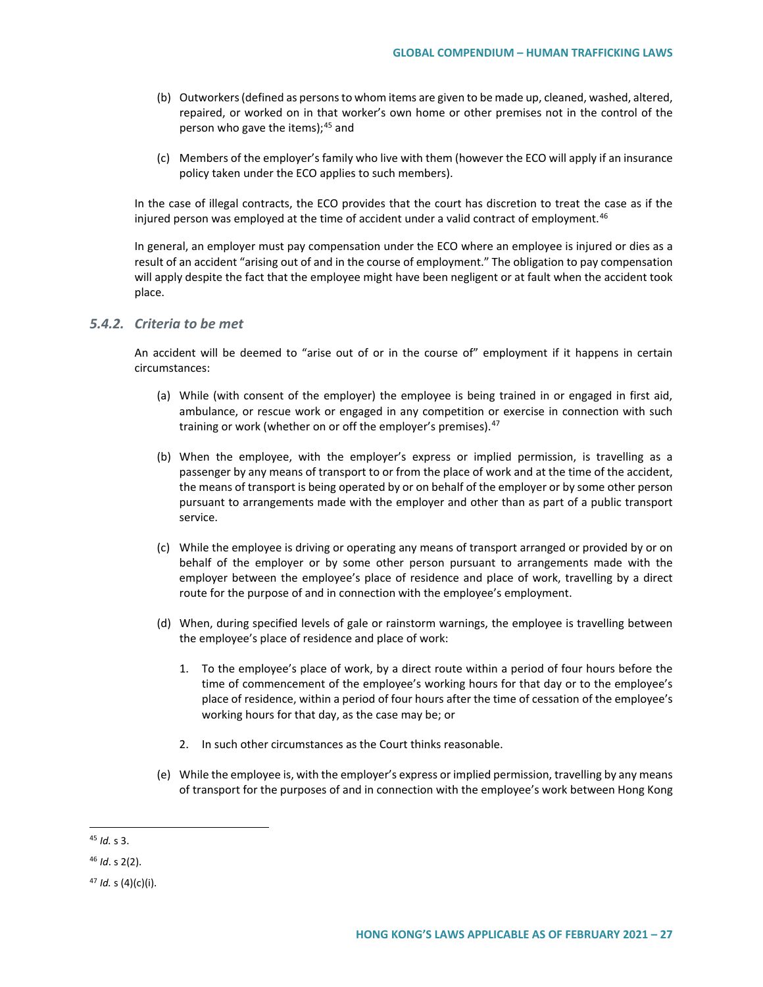- (b) Outworkers (defined as persons to whom items are given to be made up, cleaned, washed, altered, repaired, or worked on in that worker's own home or other premises not in the control of the person who gave the items);  $45$  and
- (c) Members of the employer's family who live with them (however the ECO will apply if an insurance policy taken under the ECO applies to such members).

In the case of illegal contracts, the ECO provides that the court has discretion to treat the case as if the injured person was employed at the time of accident under a valid contract of employment.<sup>[46](#page-26-1)</sup>

In general, an employer must pay compensation under the ECO where an employee is injured or dies as a result of an accident "arising out of and in the course of employment." The obligation to pay compensation will apply despite the fact that the employee might have been negligent or at fault when the accident took place.

## *5.4.2. Criteria to be met*

An accident will be deemed to "arise out of or in the course of" employment if it happens in certain circumstances:

- (a) While (with consent of the employer) the employee is being trained in or engaged in first aid, ambulance, or rescue work or engaged in any competition or exercise in connection with such training or work (whether on or off the employer's premises).<sup>[47](#page-26-2)</sup>
- (b) When the employee, with the employer's express or implied permission, is travelling as a passenger by any means of transport to or from the place of work and at the time of the accident, the means of transport is being operated by or on behalf of the employer or by some other person pursuant to arrangements made with the employer and other than as part of a public transport service.
- (c) While the employee is driving or operating any means of transport arranged or provided by or on behalf of the employer or by some other person pursuant to arrangements made with the employer between the employee's place of residence and place of work, travelling by a direct route for the purpose of and in connection with the employee's employment.
- (d) When, during specified levels of gale or rainstorm warnings, the employee is travelling between the employee's place of residence and place of work:
	- 1. To the employee's place of work, by a direct route within a period of four hours before the time of commencement of the employee's working hours for that day or to the employee's place of residence, within a period of four hours after the time of cessation of the employee's working hours for that day, as the case may be; or
	- 2. In such other circumstances as the Court thinks reasonable.
- (e) While the employee is, with the employer's express or implied permission, travelling by any means of transport for the purposes of and in connection with the employee's work between Hong Kong

<span id="page-26-0"></span> <sup>45</sup> *Id.* s 3.

<span id="page-26-1"></span><sup>46</sup> *Id*. s 2(2).

<span id="page-26-2"></span><sup>47</sup> *Id.* s (4)(c)(i).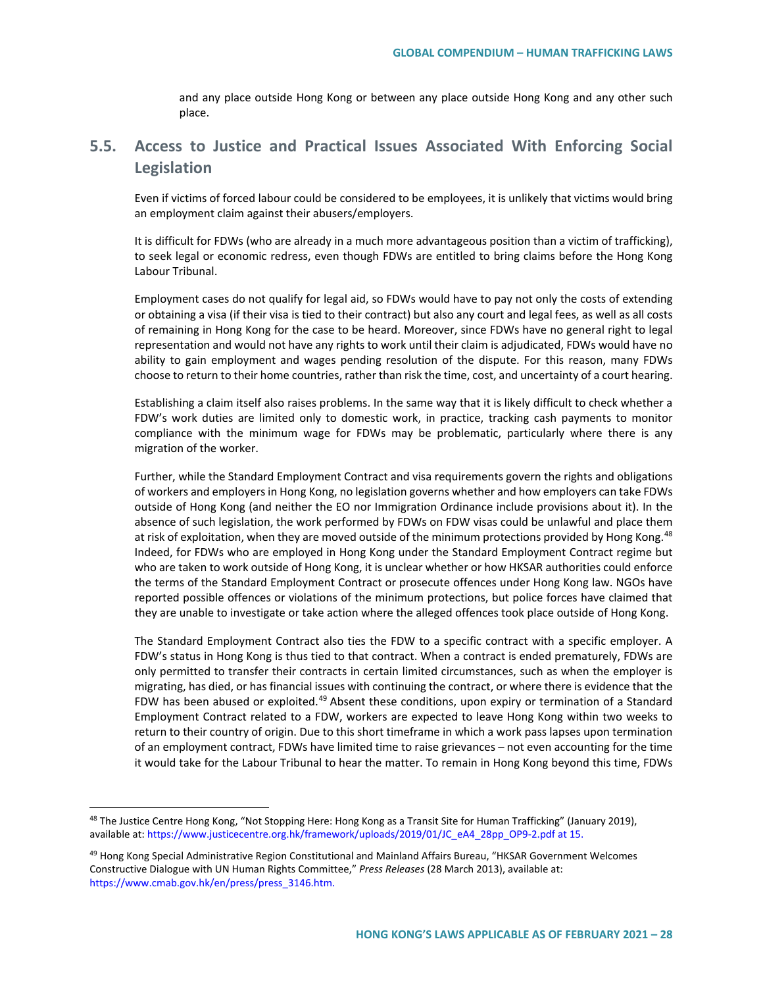and any place outside Hong Kong or between any place outside Hong Kong and any other such place.

# **5.5. Access to Justice and Practical Issues Associated With Enforcing Social Legislation**

Even if victims of forced labour could be considered to be employees, it is unlikely that victims would bring an employment claim against their abusers/employers.

It is difficult for FDWs (who are already in a much more advantageous position than a victim of trafficking), to seek legal or economic redress, even though FDWs are entitled to bring claims before the Hong Kong Labour Tribunal.

Employment cases do not qualify for legal aid, so FDWs would have to pay not only the costs of extending or obtaining a visa (if their visa is tied to their contract) but also any court and legal fees, as well as all costs of remaining in Hong Kong for the case to be heard. Moreover, since FDWs have no general right to legal representation and would not have any rights to work until their claim is adjudicated, FDWs would have no ability to gain employment and wages pending resolution of the dispute. For this reason, many FDWs choose to return to their home countries, rather than risk the time, cost, and uncertainty of a court hearing.

Establishing a claim itself also raises problems. In the same way that it is likely difficult to check whether a FDW's work duties are limited only to domestic work, in practice, tracking cash payments to monitor compliance with the minimum wage for FDWs may be problematic, particularly where there is any migration of the worker.

Further, while the Standard Employment Contract and visa requirements govern the rights and obligations of workers and employers in Hong Kong, no legislation governs whether and how employers can take FDWs outside of Hong Kong (and neither the EO nor Immigration Ordinance include provisions about it). In the absence of such legislation, the work performed by FDWs on FDW visas could be unlawful and place them at risk of exploitation, when they are moved outside of the minimum protections provided by Hong Kong.<sup>[48](#page-27-0)</sup> Indeed, for FDWs who are employed in Hong Kong under the Standard Employment Contract regime but who are taken to work outside of Hong Kong, it is unclear whether or how HKSAR authorities could enforce the terms of the Standard Employment Contract or prosecute offences under Hong Kong law. NGOs have reported possible offences or violations of the minimum protections, but police forces have claimed that they are unable to investigate or take action where the alleged offences took place outside of Hong Kong.

The Standard Employment Contract also ties the FDW to a specific contract with a specific employer. A FDW's status in Hong Kong is thus tied to that contract. When a contract is ended prematurely, FDWs are only permitted to transfer their contracts in certain limited circumstances, such as when the employer is migrating, has died, or has financial issues with continuing the contract, or where there is evidence that the FDW has been abused or exploited.<sup>[49](#page-27-1)</sup> Absent these conditions, upon expiry or termination of a Standard Employment Contract related to a FDW, workers are expected to leave Hong Kong within two weeks to return to their country of origin. Due to this short timeframe in which a work pass lapses upon termination of an employment contract, FDWs have limited time to raise grievances – not even accounting for the time it would take for the Labour Tribunal to hear the matter. To remain in Hong Kong beyond this time, FDWs

<span id="page-27-0"></span><sup>&</sup>lt;sup>48</sup> The Justice Centre Hong Kong, "Not Stopping Here: Hong Kong as a Transit Site for Human Trafficking" (January 2019), available at[: https://www.justicecentre.org.hk/framework/uploads/2019/01/JC\\_eA4\\_28pp\\_OP9-2.pdf](https://www.justicecentre.org.hk/framework/uploads/2019/01/JC_eA4_28pp_OP9-2.pdf) at 15.

<span id="page-27-1"></span><sup>49</sup> Hong Kong Special Administrative Region Constitutional and Mainland Affairs Bureau, "HKSAR Government Welcomes Constructive Dialogue with UN Human Rights Committee," *Press Releases* (28 March 2013), available at: [https://www.cmab.gov.hk/en/press/press\\_3146.htm.](https://www.cmab.gov.hk/en/press/press_3146.htm)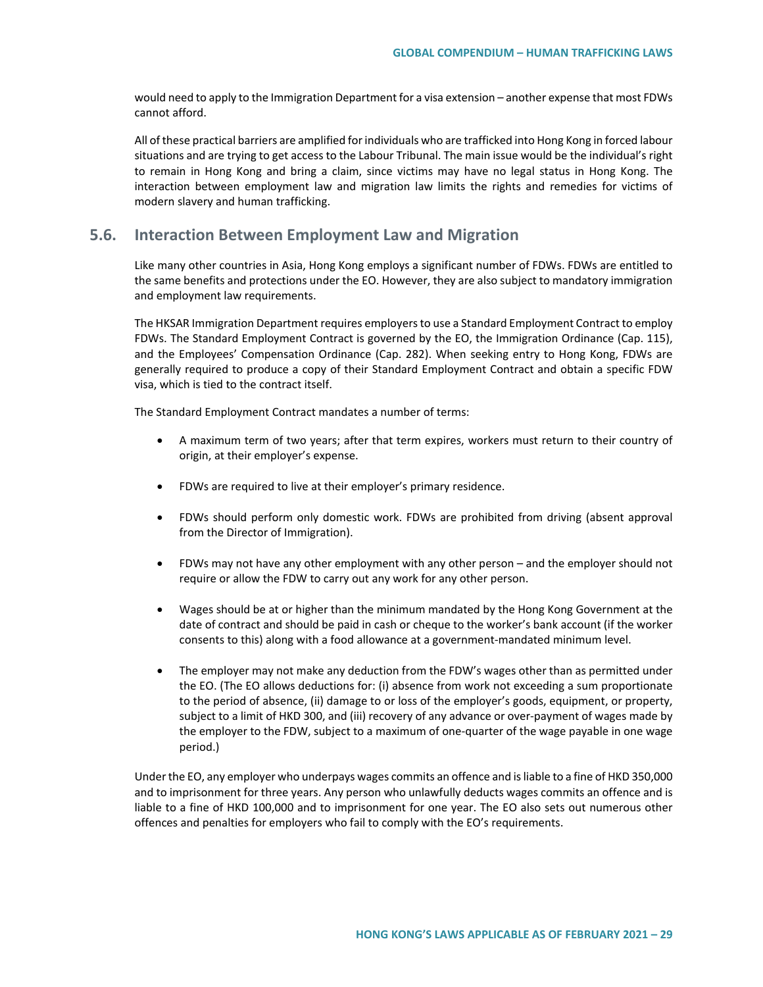would need to apply to the Immigration Department for a visa extension – another expense that most FDWs cannot afford.

All of these practical barriers are amplified for individuals who are trafficked into Hong Kong in forced labour situations and are trying to get access to the Labour Tribunal. The main issue would be the individual's right to remain in Hong Kong and bring a claim, since victims may have no legal status in Hong Kong. The interaction between employment law and migration law limits the rights and remedies for victims of modern slavery and human trafficking.

# **5.6. Interaction Between Employment Law and Migration**

Like many other countries in Asia, Hong Kong employs a significant number of FDWs. FDWs are entitled to the same benefits and protections under the EO. However, they are also subject to mandatory immigration and employment law requirements.

The HKSAR Immigration Department requires employers to use a Standard Employment Contract to employ FDWs. The Standard Employment Contract is governed by the EO, the Immigration Ordinance (Cap. 115), and the Employees' Compensation Ordinance (Cap. 282). When seeking entry to Hong Kong, FDWs are generally required to produce a copy of their Standard Employment Contract and obtain a specific FDW visa, which is tied to the contract itself.

The Standard Employment Contract mandates a number of terms:

- A maximum term of two years; after that term expires, workers must return to their country of origin, at their employer's expense.
- FDWs are required to live at their employer's primary residence.
- FDWs should perform only domestic work. FDWs are prohibited from driving (absent approval from the Director of Immigration).
- FDWs may not have any other employment with any other person and the employer should not require or allow the FDW to carry out any work for any other person.
- Wages should be at or higher than the minimum mandated by the Hong Kong Government at the date of contract and should be paid in cash or cheque to the worker's bank account (if the worker consents to this) along with a food allowance at a government-mandated minimum level.
- The employer may not make any deduction from the FDW's wages other than as permitted under the EO. (The EO allows deductions for: (i) absence from work not exceeding a sum proportionate to the period of absence, (ii) damage to or loss of the employer's goods, equipment, or property, subject to a limit of HKD 300, and (iii) recovery of any advance or over-payment of wages made by the employer to the FDW, subject to a maximum of one-quarter of the wage payable in one wage period.)

Under the EO, any employer who underpays wages commits an offence and is liable to a fine of HKD 350,000 and to imprisonment for three years. Any person who unlawfully deducts wages commits an offence and is liable to a fine of HKD 100,000 and to imprisonment for one year. The EO also sets out numerous other offences and penalties for employers who fail to comply with the EO's requirements.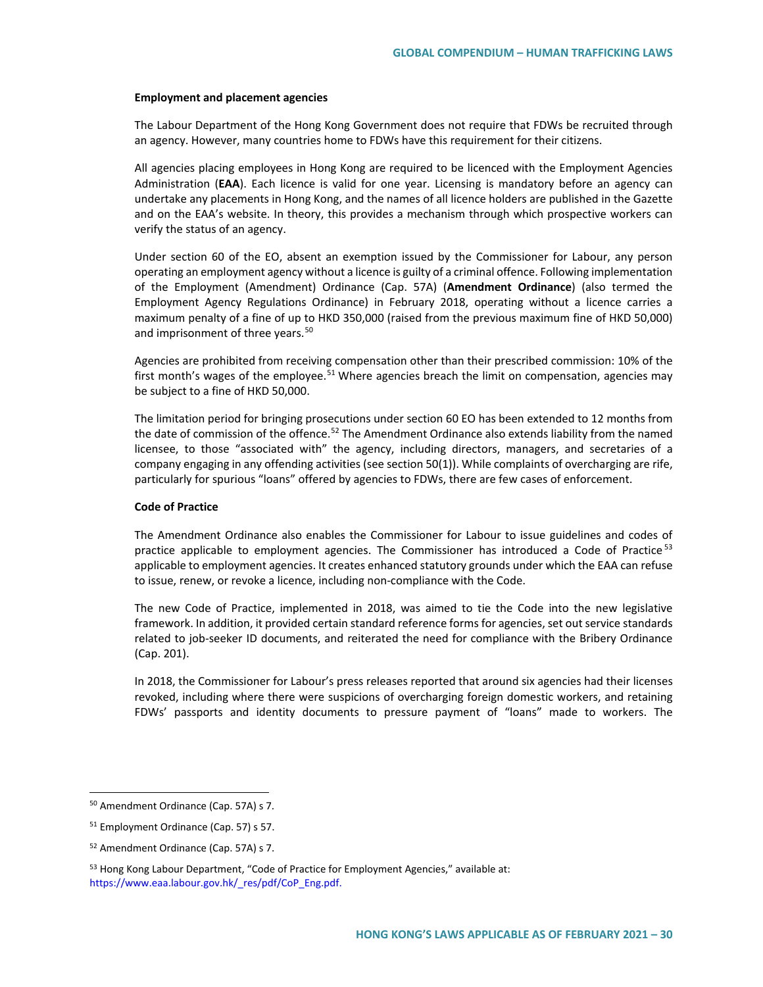#### **Employment and placement agencies**

The Labour Department of the Hong Kong Government does not require that FDWs be recruited through an agency. However, many countries home to FDWs have this requirement for their citizens.

All agencies placing employees in Hong Kong are required to be licenced with the Employment Agencies Administration (**EAA**). Each licence is valid for one year. Licensing is mandatory before an agency can undertake any placements in Hong Kong, and the names of all licence holders are published in the Gazette and on the EAA's website. In theory, this provides a mechanism through which prospective workers can verify the status of an agency.

Under section 60 of the EO, absent an exemption issued by the Commissioner for Labour, any person operating an employment agency without a licence is guilty of a criminal offence. Following implementation of the Employment (Amendment) Ordinance (Cap. 57A) (**Amendment Ordinance**) (also termed the Employment Agency Regulations Ordinance) in February 2018, operating without a licence carries a maximum penalty of a fine of up to HKD 350,000 (raised from the previous maximum fine of HKD 50,000) and imprisonment of three years.<sup>[50](#page-29-0)</sup>

Agencies are prohibited from receiving compensation other than their prescribed commission: 10% of the first month's wages of the employee.<sup>[51](#page-29-1)</sup> Where agencies breach the limit on compensation, agencies may be subject to a fine of HKD 50,000.

The limitation period for bringing prosecutions under section 60 EO has been extended to 12 months from the date of commission of the offence.<sup>[52](#page-29-2)</sup> The Amendment Ordinance also extends liability from the named licensee, to those "associated with" the agency, including directors, managers, and secretaries of a company engaging in any offending activities (see section 50(1)). While complaints of overcharging are rife, particularly for spurious "loans" offered by agencies to FDWs, there are few cases of enforcement.

#### **Code of Practice**

The Amendment Ordinance also enables the Commissioner for Labour to issue guidelines and codes of practice applicable to employment agencies. The Commissioner has introduced a Code of Practice<sup>[53](#page-29-3)</sup> applicable to employment agencies. It creates enhanced statutory grounds under which the EAA can refuse to issue, renew, or revoke a licence, including non-compliance with the Code.

The new Code of Practice, implemented in 2018, was aimed to tie the Code into the new legislative framework. In addition, it provided certain standard reference forms for agencies, set out service standards related to job-seeker ID documents, and reiterated the need for compliance with the Bribery Ordinance (Cap. 201).

In 2018, the Commissioner for Labour's press releases reported that around six agencies had their licenses revoked, including where there were suspicions of overcharging foreign domestic workers, and retaining FDWs' passports and identity documents to pressure payment of "loans" made to workers. The

<span id="page-29-0"></span> <sup>50</sup> Amendment Ordinance (Cap. 57A) s 7.

<span id="page-29-1"></span><sup>51</sup> Employment Ordinance (Cap. 57) s 57.

<span id="page-29-2"></span><sup>52</sup> Amendment Ordinance (Cap. 57A) s 7.

<span id="page-29-3"></span><sup>53</sup> Hong Kong Labour Department, "Code of Practice for Employment Agencies," available at: [https://www.eaa.labour.gov.hk/\\_res/pdf/CoP\\_Eng.pdf.](https://www.eaa.labour.gov.hk/_res/pdf/CoP_Eng.pdf)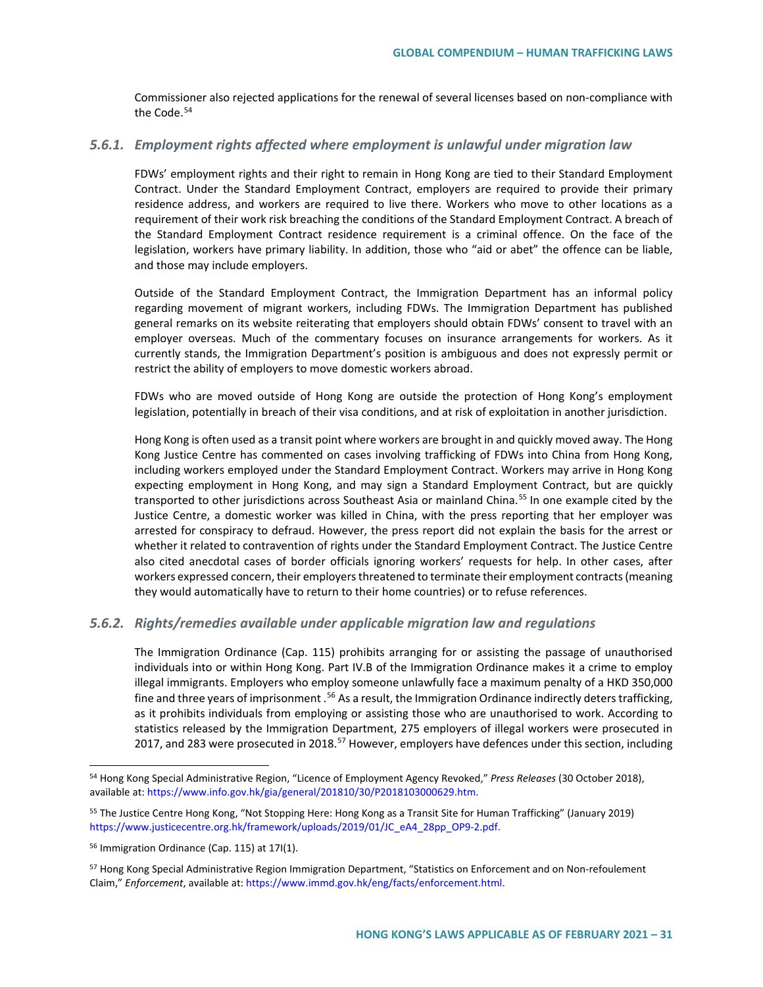Commissioner also rejected applications for the renewal of several licenses based on non-compliance with the Code.<sup>[54](#page-30-0)</sup>

## *5.6.1. Employment rights affected where employment is unlawful under migration law*

FDWs' employment rights and their right to remain in Hong Kong are tied to their Standard Employment Contract. Under the Standard Employment Contract, employers are required to provide their primary residence address, and workers are required to live there. Workers who move to other locations as a requirement of their work risk breaching the conditions of the Standard Employment Contract. A breach of the Standard Employment Contract residence requirement is a criminal offence. On the face of the legislation, workers have primary liability. In addition, those who "aid or abet" the offence can be liable, and those may include employers.

Outside of the Standard Employment Contract, the Immigration Department has an informal policy regarding movement of migrant workers, including FDWs. The Immigration Department has published general remarks on its website reiterating that employers should obtain FDWs' consent to travel with an employer overseas. Much of the commentary focuses on insurance arrangements for workers. As it currently stands, the Immigration Department's position is ambiguous and does not expressly permit or restrict the ability of employers to move domestic workers abroad.

FDWs who are moved outside of Hong Kong are outside the protection of Hong Kong's employment legislation, potentially in breach of their visa conditions, and at risk of exploitation in another jurisdiction.

Hong Kong is often used as a transit point where workers are brought in and quickly moved away. The Hong Kong Justice Centre has commented on cases involving trafficking of FDWs into China from Hong Kong, including workers employed under the Standard Employment Contract. Workers may arrive in Hong Kong expecting employment in Hong Kong, and may sign a Standard Employment Contract, but are quickly transported to other jurisdictions across Southeast Asia or mainland China.<sup>[55](#page-30-1)</sup> In one example cited by the Justice Centre, a domestic worker was killed in China, with the press reporting that her employer was arrested for conspiracy to defraud. However, the press report did not explain the basis for the arrest or whether it related to contravention of rights under the Standard Employment Contract. The Justice Centre also cited anecdotal cases of border officials ignoring workers' requests for help. In other cases, after workers expressed concern, their employers threatened to terminate their employment contracts (meaning they would automatically have to return to their home countries) or to refuse references.

## *5.6.2. Rights/remedies available under applicable migration law and regulations*

The Immigration Ordinance (Cap. 115) prohibits arranging for or assisting the passage of unauthorised individuals into or within Hong Kong. Part IV.B of the Immigration Ordinance makes it a crime to employ illegal immigrants. Employers who employ someone unlawfully face a maximum penalty of a HKD 350,000 fine and three years of imprisonment .<sup>[56](#page-30-2)</sup> As a result, the Immigration Ordinance indirectly deters trafficking, as it prohibits individuals from employing or assisting those who are unauthorised to work. According to statistics released by the Immigration Department, 275 employers of illegal workers were prosecuted in 2017, and 283 were prosecuted in 2018.<sup>[57](#page-30-3)</sup> However, employers have defences under this section, including

<span id="page-30-0"></span> <sup>54</sup> Hong Kong Special Administrative Region, "Licence of Employment Agency Revoked," *Press Releases* (30 October 2018), available at[: https://www.info.gov.hk/gia/general/201810/30/P2018103000629.htm.](https://www.info.gov.hk/gia/general/201810/30/P2018103000629.htm)

<span id="page-30-1"></span><sup>55</sup> The Justice Centre Hong Kong, "Not Stopping Here: Hong Kong as a Transit Site for Human Trafficking" (January 2019) [https://www.justicecentre.org.hk/framework/uploads/2019/01/JC\\_eA4\\_28pp\\_OP9-2.pdf.](https://www.justicecentre.org.hk/framework/uploads/2019/01/JC_eA4_28pp_OP9-2.pdf)

<span id="page-30-2"></span><sup>56</sup> Immigration Ordinance (Cap. 115) at 17I(1).

<span id="page-30-3"></span><sup>&</sup>lt;sup>57</sup> Hong Kong Special Administrative Region Immigration Department, "Statistics on Enforcement and on Non-refoulement Claim," *Enforcement*, available at[: https://www.immd.gov.hk/eng/facts/enforcement.html.](https://www.immd.gov.hk/eng/facts/enforcement.html)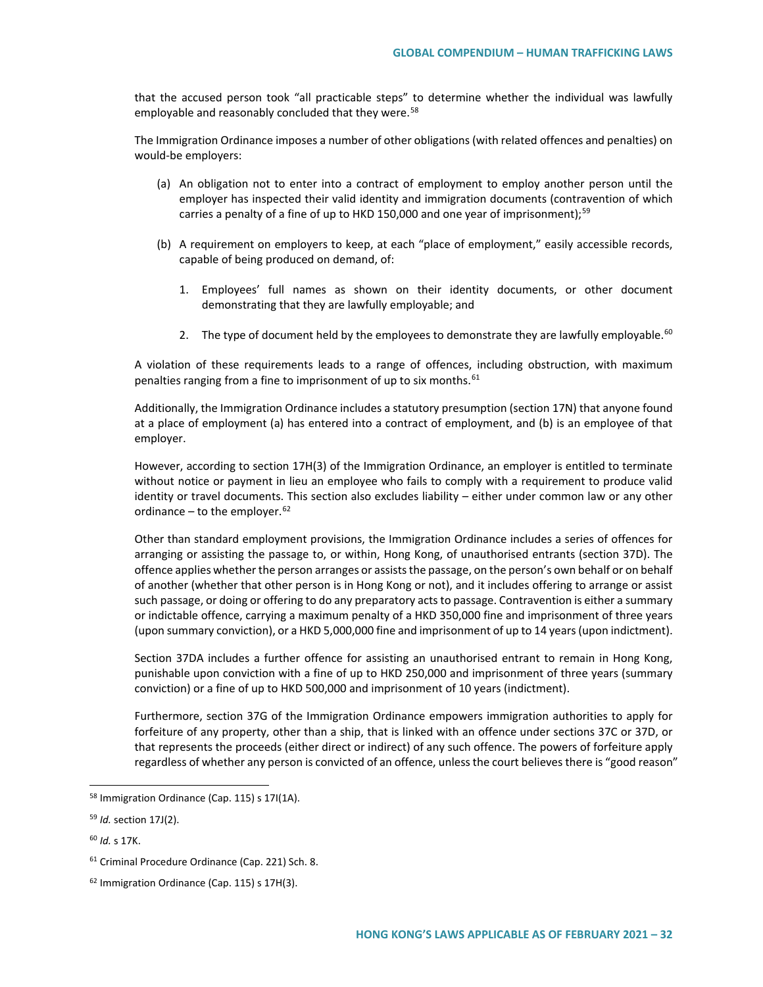that the accused person took "all practicable steps" to determine whether the individual was lawfully employable and reasonably concluded that they were.<sup>[58](#page-31-0)</sup>

The Immigration Ordinance imposes a number of other obligations (with related offences and penalties) on would-be employers:

- (a) An obligation not to enter into a contract of employment to employ another person until the employer has inspected their valid identity and immigration documents (contravention of which carries a penalty of a fine of up to HKD 150,000 and one year of imprisonment);<sup>[59](#page-31-1)</sup>
- (b) A requirement on employers to keep, at each "place of employment," easily accessible records, capable of being produced on demand, of:
	- 1. Employees' full names as shown on their identity documents, or other document demonstrating that they are lawfully employable; and
	- 2. The type of document held by the employees to demonstrate they are lawfully employable.<sup>[60](#page-31-2)</sup>

A violation of these requirements leads to a range of offences, including obstruction, with maximum penalties ranging from a fine to imprisonment of up to six months.<sup>[61](#page-31-3)</sup>

Additionally, the Immigration Ordinance includes a statutory presumption (section 17N) that anyone found at a place of employment (a) has entered into a contract of employment, and (b) is an employee of that employer.

However, according to section 17H(3) of the Immigration Ordinance, an employer is entitled to terminate without notice or payment in lieu an employee who fails to comply with a requirement to produce valid identity or travel documents. This section also excludes liability – either under common law or any other ordinance – to the employer.  $62$ 

Other than standard employment provisions, the Immigration Ordinance includes a series of offences for arranging or assisting the passage to, or within, Hong Kong, of unauthorised entrants (section 37D). The offence applies whether the person arranges or assists the passage, on the person's own behalf or on behalf of another (whether that other person is in Hong Kong or not), and it includes offering to arrange or assist such passage, or doing or offering to do any preparatory acts to passage. Contravention is either a summary or indictable offence, carrying a maximum penalty of a HKD 350,000 fine and imprisonment of three years (upon summary conviction), or a HKD 5,000,000 fine and imprisonment of up to 14 years (upon indictment).

Section 37DA includes a further offence for assisting an unauthorised entrant to remain in Hong Kong, punishable upon conviction with a fine of up to HKD 250,000 and imprisonment of three years (summary conviction) or a fine of up to HKD 500,000 and imprisonment of 10 years (indictment).

Furthermore, section 37G of the Immigration Ordinance empowers immigration authorities to apply for forfeiture of any property, other than a ship, that is linked with an offence under sections 37C or 37D, or that represents the proceeds (either direct or indirect) of any such offence. The powers of forfeiture apply regardless of whether any person is convicted of an offence, unless the court believes there is "good reason"

<span id="page-31-0"></span> <sup>58</sup> Immigration Ordinance (Cap. 115) s 17I(1A).

<span id="page-31-1"></span><sup>59</sup> *Id.* section 17J(2).

<span id="page-31-2"></span><sup>60</sup> *Id.* s 17K.

<span id="page-31-3"></span><sup>61</sup> Criminal Procedure Ordinance (Cap. 221) Sch. 8.

<span id="page-31-4"></span><sup>62</sup> Immigration Ordinance (Cap. 115) s 17H(3).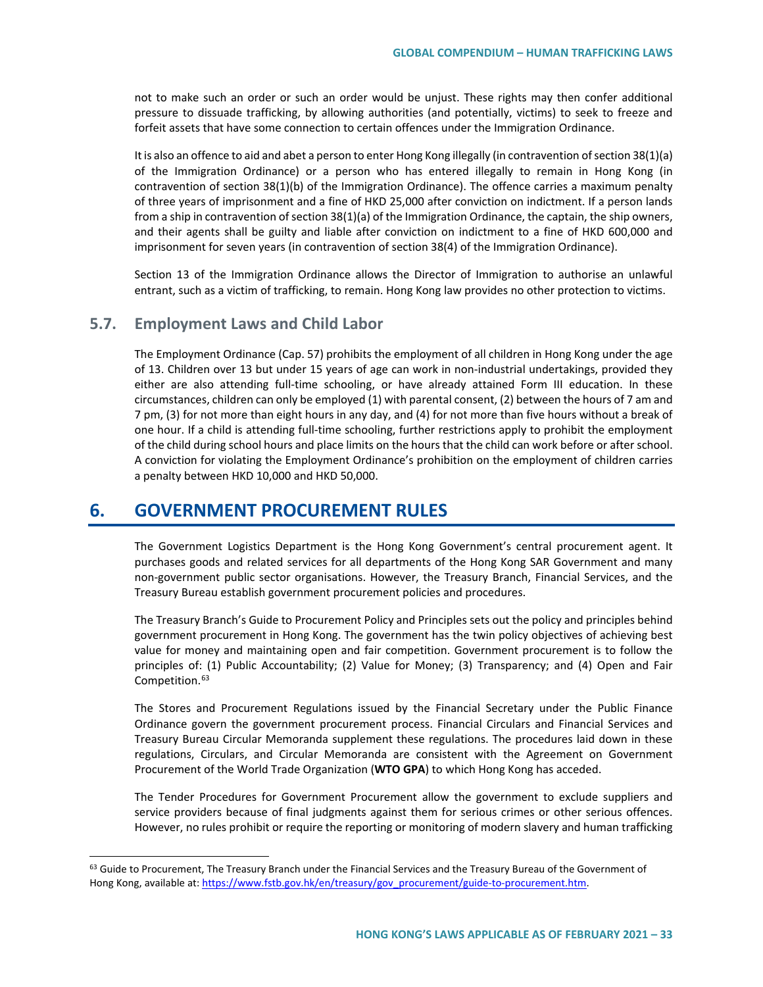not to make such an order or such an order would be unjust. These rights may then confer additional pressure to dissuade trafficking, by allowing authorities (and potentially, victims) to seek to freeze and forfeit assets that have some connection to certain offences under the Immigration Ordinance.

It is also an offence to aid and abet a person to enter Hong Kong illegally (in contravention of section 38(1)(a) of the Immigration Ordinance) or a person who has entered illegally to remain in Hong Kong (in contravention of section 38(1)(b) of the Immigration Ordinance). The offence carries a maximum penalty of three years of imprisonment and a fine of HKD 25,000 after conviction on indictment. If a person lands from a ship in contravention of section 38(1)(a) of the Immigration Ordinance, the captain, the ship owners, and their agents shall be guilty and liable after conviction on indictment to a fine of HKD 600,000 and imprisonment for seven years (in contravention of section 38(4) of the Immigration Ordinance).

Section 13 of the Immigration Ordinance allows the Director of Immigration to authorise an unlawful entrant, such as a victim of trafficking, to remain. Hong Kong law provides no other protection to victims.

# **5.7. Employment Laws and Child Labor**

The Employment Ordinance (Cap. 57) prohibits the employment of all children in Hong Kong under the age of 13. Children over 13 but under 15 years of age can work in non-industrial undertakings, provided they either are also attending full-time schooling, or have already attained Form III education. In these circumstances, children can only be employed (1) with parental consent, (2) between the hours of 7 am and 7 pm, (3) for not more than eight hours in any day, and (4) for not more than five hours without a break of one hour. If a child is attending full-time schooling, further restrictions apply to prohibit the employment of the child during school hours and place limits on the hours that the child can work before or after school. A conviction for violating the Employment Ordinance's prohibition on the employment of children carries a penalty between HKD 10,000 and HKD 50,000.

# **6. GOVERNMENT PROCUREMENT RULES**

The Government Logistics Department is the Hong Kong Government's central procurement agent. It purchases goods and related services for all departments of the Hong Kong SAR Government and many non-government public sector organisations. However, the Treasury Branch, Financial Services, and the Treasury Bureau establish government procurement policies and procedures.

The Treasury Branch's Guide to Procurement Policy and Principles sets out the policy and principles behind government procurement in Hong Kong. The government has the twin policy objectives of achieving best value for money and maintaining open and fair competition. Government procurement is to follow the principles of: (1) Public Accountability; (2) Value for Money; (3) Transparency; and (4) Open and Fair Competition.<sup>[63](#page-32-0)</sup>

The Stores and Procurement Regulations issued by the Financial Secretary under the Public Finance Ordinance govern the government procurement process. Financial Circulars and Financial Services and Treasury Bureau Circular Memoranda supplement these regulations. The procedures laid down in these regulations, Circulars, and Circular Memoranda are consistent with the Agreement on Government Procurement of the World Trade Organization (**WTO GPA**) to which Hong Kong has acceded.

The Tender Procedures for Government Procurement allow the government to exclude suppliers and service providers because of final judgments against them for serious crimes or other serious offences. However, no rules prohibit or require the reporting or monitoring of modern slavery and human trafficking

<span id="page-32-0"></span><sup>&</sup>lt;sup>63</sup> Guide to Procurement, The Treasury Branch under the Financial Services and the Treasury Bureau of the Government of Hong Kong, available at[: https://www.fstb.gov.hk/en/treasury/gov\\_procurement/guide-to-procurement.htm.](https://www.fstb.gov.hk/en/treasury/gov_procurement/guide-to-procurement.htm)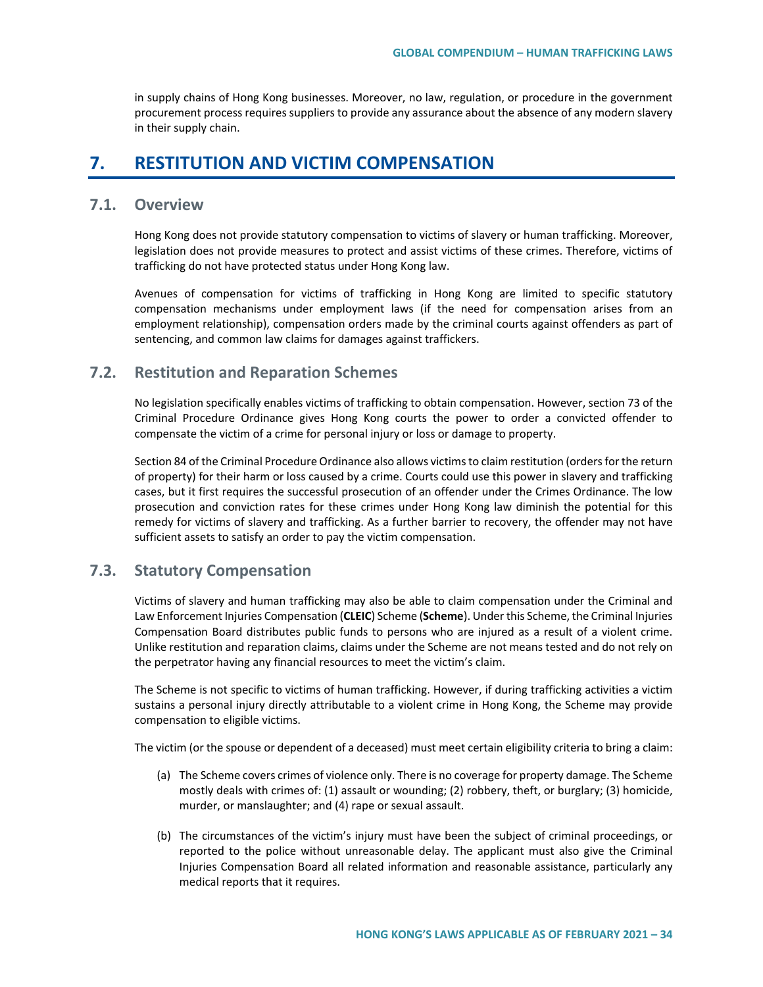in supply chains of Hong Kong businesses. Moreover, no law, regulation, or procedure in the government procurement process requires suppliers to provide any assurance about the absence of any modern slavery in their supply chain.

# **7. RESTITUTION AND VICTIM COMPENSATION**

# **7.1. Overview**

Hong Kong does not provide statutory compensation to victims of slavery or human trafficking. Moreover, legislation does not provide measures to protect and assist victims of these crimes. Therefore, victims of trafficking do not have protected status under Hong Kong law.

Avenues of compensation for victims of trafficking in Hong Kong are limited to specific statutory compensation mechanisms under employment laws (if the need for compensation arises from an employment relationship), compensation orders made by the criminal courts against offenders as part of sentencing, and common law claims for damages against traffickers.

## **7.2. Restitution and Reparation Schemes**

No legislation specifically enables victims of trafficking to obtain compensation. However, section 73 of the Criminal Procedure Ordinance gives Hong Kong courts the power to order a convicted offender to compensate the victim of a crime for personal injury or loss or damage to property.

Section 84 of the Criminal Procedure Ordinance also allows victims to claim restitution (orders for the return of property) for their harm or loss caused by a crime. Courts could use this power in slavery and trafficking cases, but it first requires the successful prosecution of an offender under the Crimes Ordinance. The low prosecution and conviction rates for these crimes under Hong Kong law diminish the potential for this remedy for victims of slavery and trafficking. As a further barrier to recovery, the offender may not have sufficient assets to satisfy an order to pay the victim compensation.

# **7.3. Statutory Compensation**

Victims of slavery and human trafficking may also be able to claim compensation under the Criminal and Law Enforcement Injuries Compensation (**CLEIC**) Scheme (**Scheme**). Under this Scheme, the Criminal Injuries Compensation Board distributes public funds to persons who are injured as a result of a violent crime. Unlike restitution and reparation claims, claims under the Scheme are not means tested and do not rely on the perpetrator having any financial resources to meet the victim's claim.

The Scheme is not specific to victims of human trafficking. However, if during trafficking activities a victim sustains a personal injury directly attributable to a violent crime in Hong Kong, the Scheme may provide compensation to eligible victims.

The victim (or the spouse or dependent of a deceased) must meet certain eligibility criteria to bring a claim:

- (a) The Scheme covers crimes of violence only. There is no coverage for property damage. The Scheme mostly deals with crimes of: (1) assault or wounding; (2) robbery, theft, or burglary; (3) homicide, murder, or manslaughter; and (4) rape or sexual assault.
- (b) The circumstances of the victim's injury must have been the subject of criminal proceedings, or reported to the police without unreasonable delay. The applicant must also give the Criminal Injuries Compensation Board all related information and reasonable assistance, particularly any medical reports that it requires.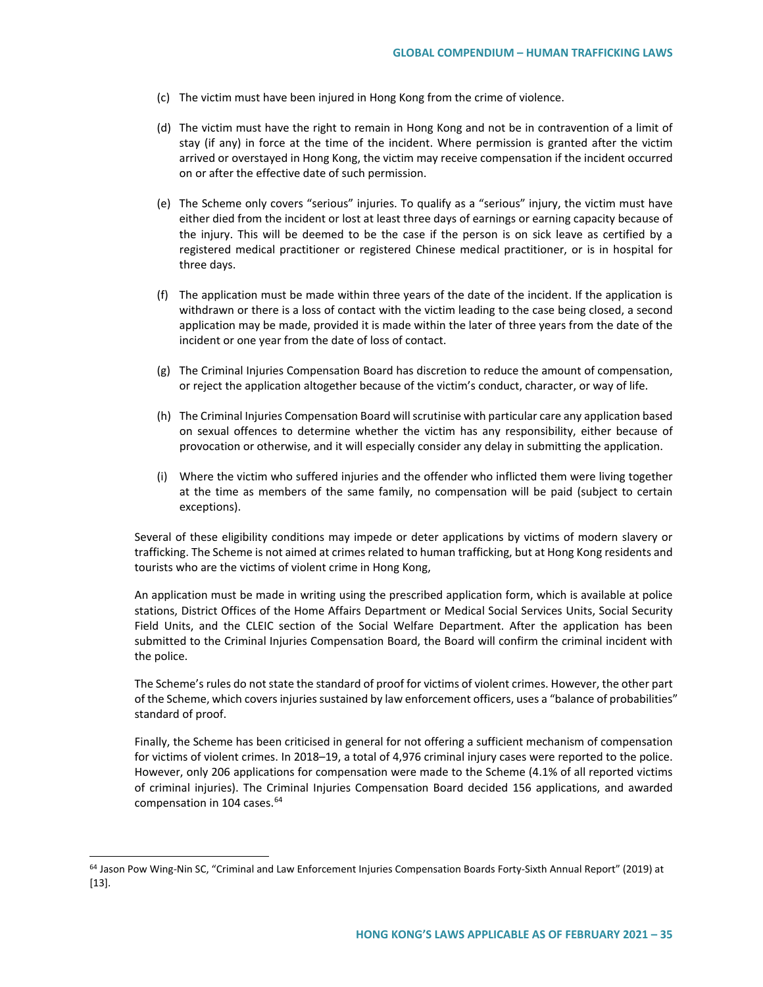- (c) The victim must have been injured in Hong Kong from the crime of violence.
- (d) The victim must have the right to remain in Hong Kong and not be in contravention of a limit of stay (if any) in force at the time of the incident. Where permission is granted after the victim arrived or overstayed in Hong Kong, the victim may receive compensation if the incident occurred on or after the effective date of such permission.
- (e) The Scheme only covers "serious" injuries. To qualify as a "serious" injury, the victim must have either died from the incident or lost at least three days of earnings or earning capacity because of the injury. This will be deemed to be the case if the person is on sick leave as certified by a registered medical practitioner or registered Chinese medical practitioner, or is in hospital for three days.
- (f) The application must be made within three years of the date of the incident. If the application is withdrawn or there is a loss of contact with the victim leading to the case being closed, a second application may be made, provided it is made within the later of three years from the date of the incident or one year from the date of loss of contact.
- (g) The Criminal Injuries Compensation Board has discretion to reduce the amount of compensation, or reject the application altogether because of the victim's conduct, character, or way of life.
- (h) The Criminal Injuries Compensation Board will scrutinise with particular care any application based on sexual offences to determine whether the victim has any responsibility, either because of provocation or otherwise, and it will especially consider any delay in submitting the application.
- (i) Where the victim who suffered injuries and the offender who inflicted them were living together at the time as members of the same family, no compensation will be paid (subject to certain exceptions).

Several of these eligibility conditions may impede or deter applications by victims of modern slavery or trafficking. The Scheme is not aimed at crimes related to human trafficking, but at Hong Kong residents and tourists who are the victims of violent crime in Hong Kong,

An application must be made in writing using the prescribed application form, which is available at police stations, District Offices of the Home Affairs Department or Medical Social Services Units, Social Security Field Units, and the CLEIC section of the Social Welfare Department. After the application has been submitted to the Criminal Injuries Compensation Board, the Board will confirm the criminal incident with the police.

The Scheme's rules do not state the standard of proof for victims of violent crimes. However, the other part of the Scheme, which covers injuries sustained by law enforcement officers, uses a "balance of probabilities" standard of proof.

Finally, the Scheme has been criticised in general for not offering a sufficient mechanism of compensation for victims of violent crimes. In 2018–19, a total of 4,976 criminal injury cases were reported to the police. However, only 206 applications for compensation were made to the Scheme (4.1% of all reported victims of criminal injuries). The Criminal Injuries Compensation Board decided 156 applications, and awarded compensation in 104 cases.<sup>[64](#page-34-0)</sup>

<span id="page-34-0"></span><sup>&</sup>lt;sup>64</sup> Jason Pow Wing-Nin SC, "Criminal and Law Enforcement Injuries Compensation Boards Forty-Sixth Annual Report" (2019) at [13].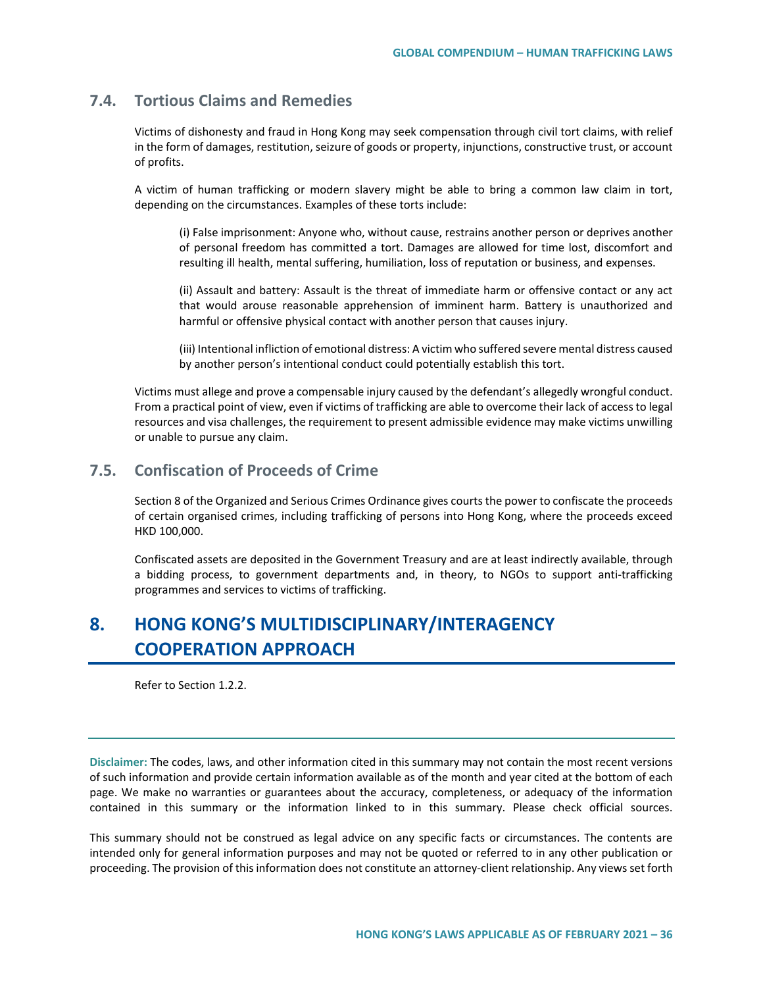# **7.4. Tortious Claims and Remedies**

Victims of dishonesty and fraud in Hong Kong may seek compensation through civil tort claims, with relief in the form of damages, restitution, seizure of goods or property, injunctions, constructive trust, or account of profits.

A victim of human trafficking or modern slavery might be able to bring a common law claim in tort, depending on the circumstances. Examples of these torts include:

(i) False imprisonment: Anyone who, without cause, restrains another person or deprives another of personal freedom has committed a tort. Damages are allowed for time lost, discomfort and resulting ill health, mental suffering, humiliation, loss of reputation or business, and expenses.

(ii) Assault and battery: Assault is the threat of immediate harm or offensive contact or any act that would arouse reasonable apprehension of imminent harm. Battery is unauthorized and harmful or offensive physical contact with another person that causes injury.

(iii) Intentional infliction of emotional distress: A victim who suffered severe mental distress caused by another person's intentional conduct could potentially establish this tort.

Victims must allege and prove a compensable injury caused by the defendant's allegedly wrongful conduct. From a practical point of view, even if victims of trafficking are able to overcome their lack of access to legal resources and visa challenges, the requirement to present admissible evidence may make victims unwilling or unable to pursue any claim.

## **7.5. Confiscation of Proceeds of Crime**

Section 8 of the Organized and Serious Crimes Ordinance gives courts the power to confiscate the proceeds of certain organised crimes, including trafficking of persons into Hong Kong, where the proceeds exceed HKD 100,000.

Confiscated assets are deposited in the Government Treasury and are at least indirectly available, through a bidding process, to government departments and, in theory, to NGOs to support anti-trafficking programmes and services to victims of trafficking.

# **8. HONG KONG'S MULTIDISCIPLINARY/INTERAGENCY COOPERATION APPROACH**

Refer to Section 1.2.2.

**Disclaimer:** The codes, laws, and other information cited in this summary may not contain the most recent versions of such information and provide certain information available as of the month and year cited at the bottom of each page. We make no warranties or guarantees about the accuracy, completeness, or adequacy of the information contained in this summary or the information linked to in this summary. Please check official sources.

This summary should not be construed as legal advice on any specific facts or circumstances. The contents are intended only for general information purposes and may not be quoted or referred to in any other publication or proceeding. The provision of this information does not constitute an attorney-client relationship. Any views set forth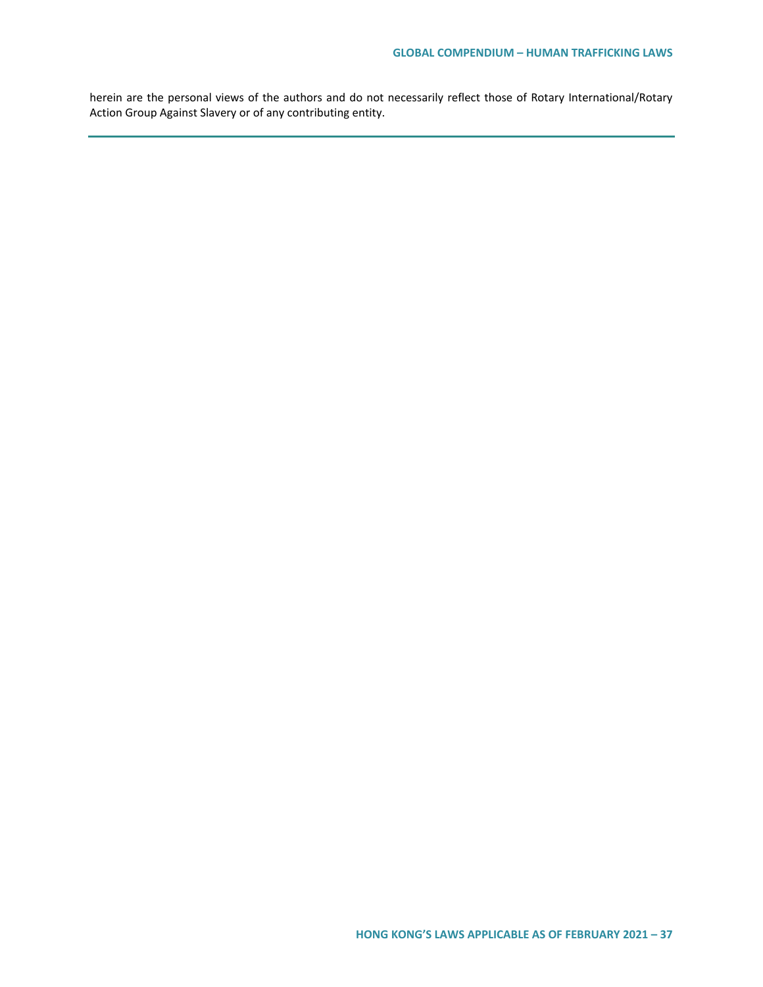herein are the personal views of the authors and do not necessarily reflect those of Rotary International/Rotary Action Group Against Slavery or of any contributing entity.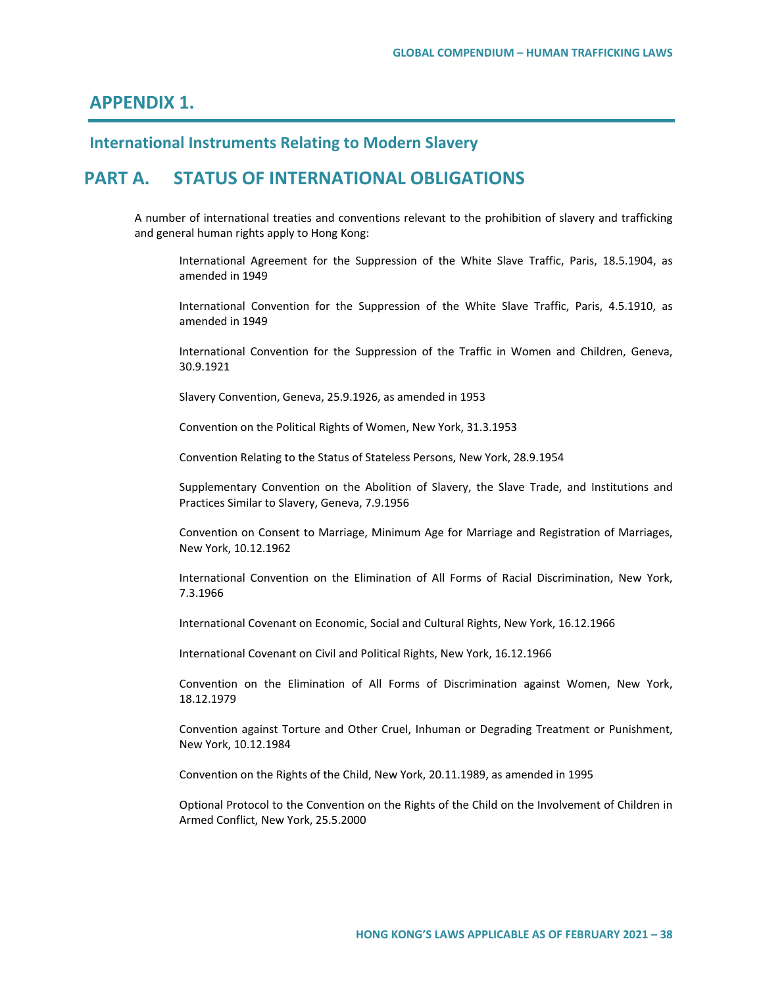# **APPENDIX 1.**

# **International Instruments Relating to Modern Slavery**

# **PART A. STATUS OF INTERNATIONAL OBLIGATIONS**

A number of international treaties and conventions relevant to the prohibition of slavery and trafficking and general human rights apply to Hong Kong:

International Agreement for the Suppression of the White Slave Traffic, Paris, 18.5.1904, as amended in 1949

International Convention for the Suppression of the White Slave Traffic, Paris, 4.5.1910, as amended in 1949

International Convention for the Suppression of the Traffic in Women and Children, Geneva, 30.9.1921

Slavery Convention, Geneva, 25.9.1926, as amended in 1953

Convention on the Political Rights of Women, New York, 31.3.1953

Convention Relating to the Status of Stateless Persons, New York, 28.9.1954

Supplementary Convention on the Abolition of Slavery, the Slave Trade, and Institutions and Practices Similar to Slavery, Geneva, 7.9.1956

Convention on Consent to Marriage, Minimum Age for Marriage and Registration of Marriages, New York, 10.12.1962

International Convention on the Elimination of All Forms of Racial Discrimination, New York, 7.3.1966

International Covenant on Economic, Social and Cultural Rights, New York, 16.12.1966

International Covenant on Civil and Political Rights, New York, 16.12.1966

Convention on the Elimination of All Forms of Discrimination against Women, New York, 18.12.1979

Convention against Torture and Other Cruel, Inhuman or Degrading Treatment or Punishment, New York, 10.12.1984

Convention on the Rights of the Child, New York, 20.11.1989, as amended in 1995

Optional Protocol to the Convention on the Rights of the Child on the Involvement of Children in Armed Conflict, New York, 25.5.2000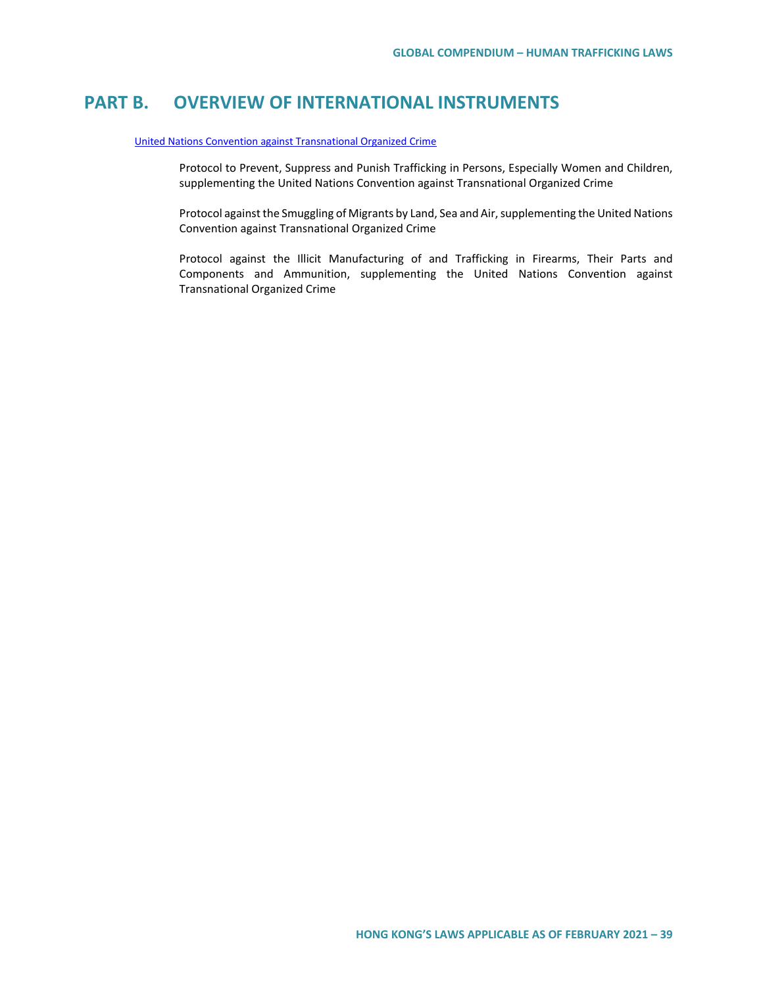# **PART B. OVERVIEW OF INTERNATIONAL INSTRUMENTS**

#### [United Nations Convention against Transnational Organized Crime](https://www.unodc.org/documents/middleeastandnorthafrica/organised-crime/UNITED_NATIONS_CONVENTION_AGAINST_TRANSNATIONAL_ORGANIZED_CRIME_AND_THE_PROTOCOLS_THERETO.pdf)

Protocol to Prevent, Suppress and Punish Trafficking in Persons, Especially Women and Children, supplementing the United Nations Convention against Transnational Organized Crime

Protocol against the Smuggling of Migrants by Land, Sea and Air, supplementing the United Nations Convention against Transnational Organized Crime

Protocol against the Illicit Manufacturing of and Trafficking in Firearms, Their Parts and Components and Ammunition, supplementing the United Nations Convention against Transnational Organized Crime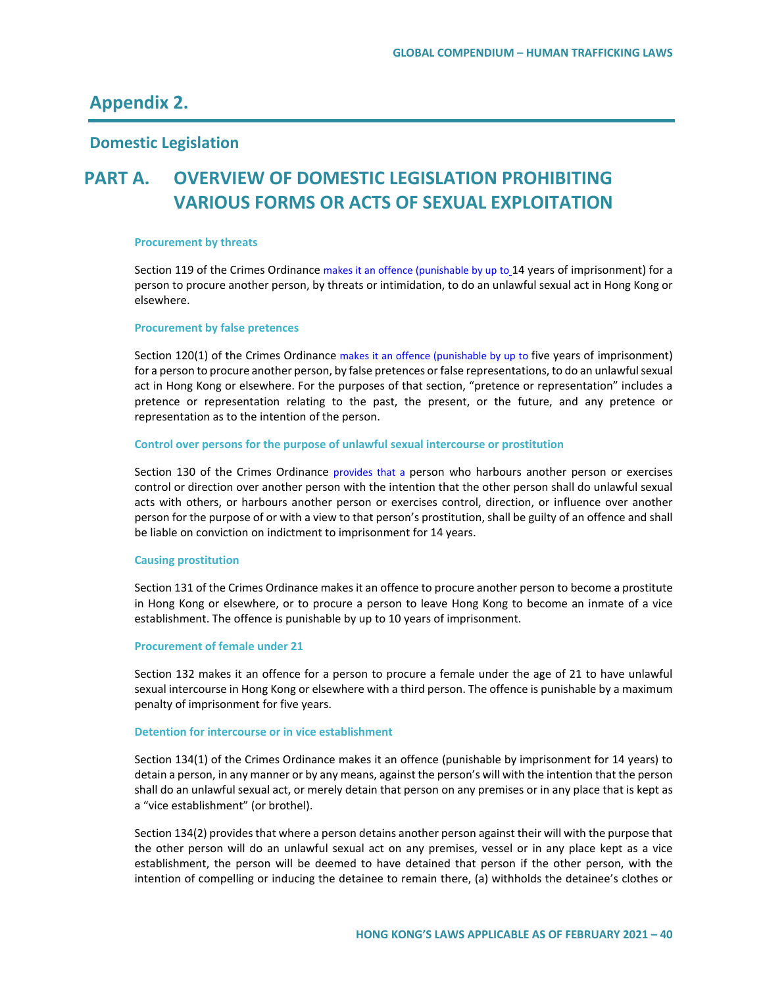# **Appendix 2.**

## **Domestic Legislation**

# **PART A. OVERVIEW OF DOMESTIC LEGISLATION PROHIBITING VARIOUS FORMS OR ACTS OF SEXUAL EXPLOITATION**

#### **Procurement by threats**

Section 119 of the Crimes Ordinance makes it an offence (punishable by up to 14 years of imprisonment) for a person to procure another person, by threats or intimidation, to do an unlawful sexual act in Hong Kong or elsewhere.

#### **Procurement by false pretences**

Section 120(1) of the Crimes Ordinance makes it an offence (punishable by up to five years of imprisonment) for a person to procure another person, by false pretences or false representations, to do an unlawful sexual act in Hong Kong or elsewhere. For the purposes of that section, "pretence or representation" includes a pretence or representation relating to the past, the present, or the future, and any pretence or representation as to the intention of the person.

#### **Control over persons for the purpose of unlawful sexual intercourse or prostitution**

Section 130 of the Crimes Ordinance provides that a person who harbours another person or exercises control or direction over another person with the intention that the other person shall do unlawful sexual acts with others, or harbours another person or exercises control, direction, or influence over another person for the purpose of or with a view to that person's prostitution, shall be guilty of an offence and shall be liable on conviction on indictment to imprisonment for 14 years.

#### **Causing prostitution**

Section 131 of the Crimes Ordinance makes it an offence to procure another person to become a prostitute in Hong Kong or elsewhere, or to procure a person to leave Hong Kong to become an inmate of a vice establishment. The offence is punishable by up to 10 years of imprisonment.

#### **Procurement of female under 21**

Section 132 makes it an offence for a person to procure a female under the age of 21 to have unlawful sexual intercourse in Hong Kong or elsewhere with a third person. The offence is punishable by a maximum penalty of imprisonment for five years.

#### **Detention for intercourse or in vice establishment**

Section 134(1) of the [Crimes Ordinance](https://www.elegislation.gov.hk/hk/cap200) makes it an offence (punishable by imprisonment for 14 years) to detain a person, in any manner or by any means, against the person's will with the intention that the person shall do an unlawful sexual act, or merely detain that person on any premises or in any place that is kept as a "vice establishment" (or brothel).

Section 134(2) provides that where a person detains another person against their will with the purpose that the other person will do an unlawful sexual act on any premises, vessel or in any place kept as a vice establishment, the person will be deemed to have detained that person if the other person, with the intention of compelling or inducing the detainee to remain there, (a) withholds the detainee's clothes or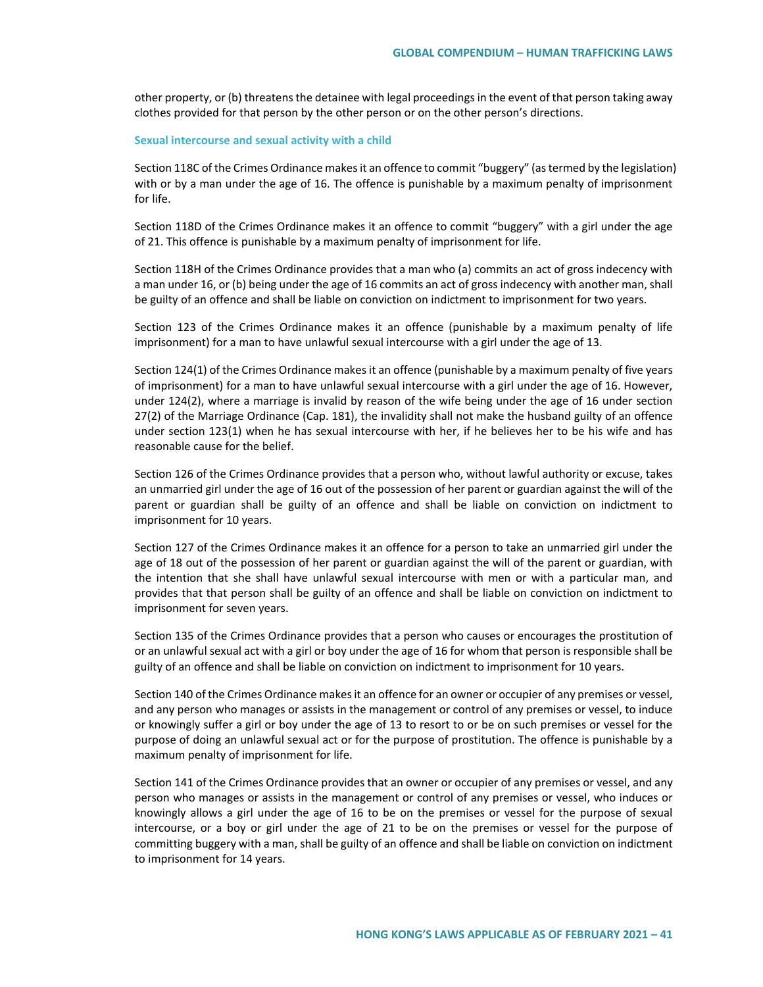other property, or (b) threatens the detainee with legal proceedings in the event of that person taking away clothes provided for that person by the other person or on the other person's directions.

#### **Sexual intercourse and sexual activity with a child**

Section 118C of the Crimes Ordinance makes it an offence to commit "buggery" (as termed by the legislation) with or by a man under the age of 16. The offence is punishable by a maximum penalty of imprisonment for life.

Section 118D of the Crimes Ordinance makes it an offence to commit "buggery" with a girl under the age of 21. This offence is punishable by a maximum penalty of imprisonment for life.

Section 118H of the Crimes Ordinance provides that a man who (a) commits an act of gross indecency with a man under 16, or (b) being under the age of 16 commits an act of gross indecency with another man, shall be guilty of an offence and shall be liable on conviction on indictment to imprisonment for two years.

Section 123 of the Crimes Ordinance makes it an offence (punishable by a maximum penalty of life imprisonment) for a man to have unlawful sexual intercourse with a girl under the age of 13.

Section 124(1) of the Crimes Ordinance makes it an offence (punishable by a maximum penalty of five years of imprisonment) for a man to have unlawful sexual intercourse with a girl under the age of 16. However, under 124(2), where a marriage is invalid by reason of the wife being under the age of 16 under section 27(2) of the Marriage Ordinance (Cap. 181), the invalidity shall not make the husband guilty of an offence under section 123(1) when he has sexual intercourse with her, if he believes her to be his wife and has reasonable cause for the belief.

Section 126 of the Crimes Ordinance provides that a person who, without lawful authority or excuse, takes an unmarried girl under the age of 16 out of the possession of her parent or guardian against the will of the parent or guardian shall be guilty of an offence and shall be liable on conviction on indictment to imprisonment for 10 years.

Section 127 of the Crimes Ordinance makes it an offence for a person to take an unmarried girl under the age of 18 out of the possession of her parent or guardian against the will of the parent or guardian, with the intention that she shall have unlawful sexual intercourse with men or with a particular man, and provides that that person shall be guilty of an offence and shall be liable on conviction on indictment to imprisonment for seven years.

Section 135 of the Crimes Ordinance provides that a person who causes or encourages the prostitution of or an unlawful sexual act with a girl or boy under the age of 16 for whom that person is responsible shall be guilty of an offence and shall be liable on conviction on indictment to imprisonment for 10 years.

Section 140 of the Crimes Ordinance makes it an offence for an owner or occupier of any premises or vessel, and any person who manages or assists in the management or control of any premises or vessel, to induce or knowingly suffer a girl or boy under the age of 13 to resort to or be on such premises or vessel for the purpose of doing an unlawful sexual act or for the purpose of prostitution. The offence is punishable by a maximum penalty of imprisonment for life.

Section 141 of the Crimes Ordinance provides that an owner or occupier of any premises or vessel, and any person who manages or assists in the management or control of any premises or vessel, who induces or knowingly allows a girl under the age of 16 to be on the premises or vessel for the purpose of sexual intercourse, or a boy or girl under the age of 21 to be on the premises or vessel for the purpose of committing buggery with a man, shall be guilty of an offence and shall be liable on conviction on indictment to imprisonment for 14 years.